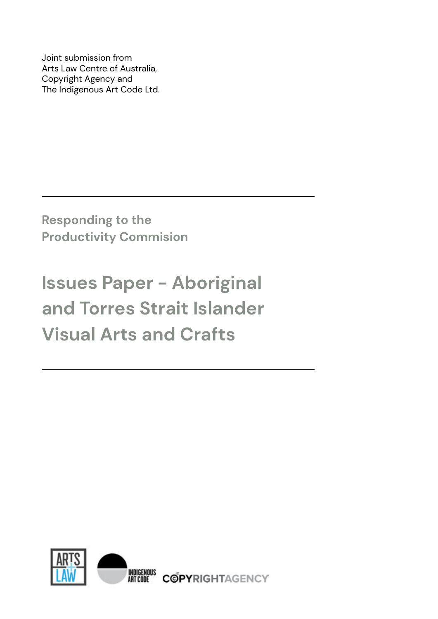Joint submission from Arts Law Centre of Australia, Copyright Agency and The Indigenous Art Code Ltd.

**Responding to the Productivity Commision**

# **Issues Paper - Aboriginal and Torres Strait Islander Visual Arts and Crafts**

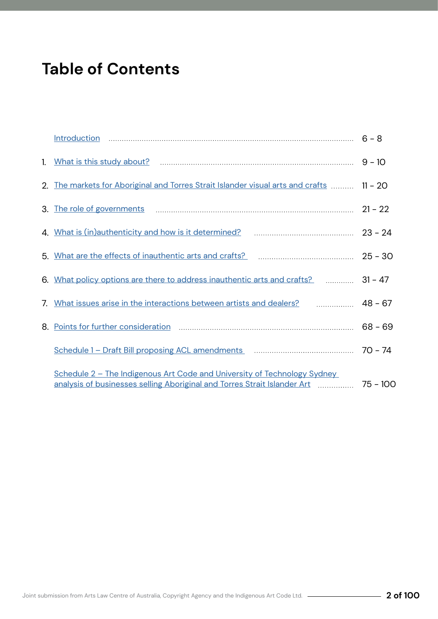## **Table of Contents**

|                                                                                                                                                                           | $9 - 10$  |
|---------------------------------------------------------------------------------------------------------------------------------------------------------------------------|-----------|
| 2. The markets for Aboriginal and Torres Strait Islander visual arts and crafts                                                                                           | $11 - 20$ |
|                                                                                                                                                                           | $21 - 22$ |
| 4. What is (in)authenticity and how is it determined? <b>Mature 2010</b> 10:000 23 - 24                                                                                   |           |
| 5. What are the effects of inauthentic arts and crafts? <b>Entity and in the ULS</b> - 30                                                                                 |           |
| 6. What policy options are there to address inauthentic arts and crafts? <b>Election</b> 31 - 47                                                                          |           |
| 7. What issues arise in the interactions between artists and dealers? <b>Mate 19th August</b> 28 - 67                                                                     |           |
|                                                                                                                                                                           | $68 - 69$ |
|                                                                                                                                                                           |           |
| Schedule 2 - The Indigenous Art Code and University of Technology Sydney<br>analysis of businesses selling Aboriginal and Torres Strait Islander Art [111, 2016] 75 - 100 |           |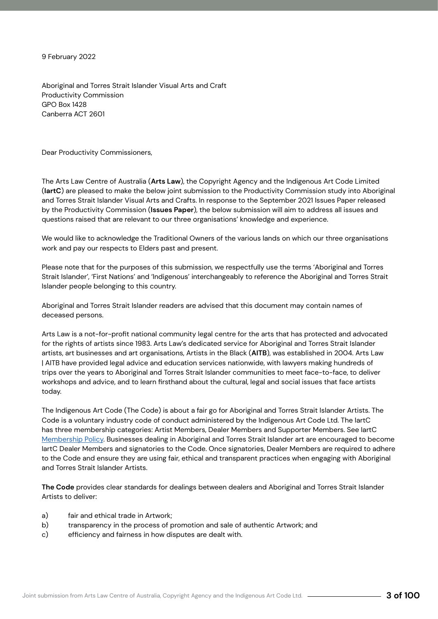9 February 2022

Aboriginal and Torres Strait Islander Visual Arts and Craft Productivity Commission GPO Box 1428 Canberra ACT 2601

Dear Productivity Commissioners,

The Arts Law Centre of Australia (**Arts Law**), the Copyright Agency and the Indigenous Art Code Limited (**IartC**) are pleased to make the below joint submission to the Productivity Commission study into Aboriginal and Torres Strait Islander Visual Arts and Crafts. In response to the September 2021 Issues Paper released by the Productivity Commission (**Issues Paper**), the below submission will aim to address all issues and questions raised that are relevant to our three organisations' knowledge and experience.

We would like to acknowledge the Traditional Owners of the various lands on which our three organisations work and pay our respects to Elders past and present.

Please note that for the purposes of this submission, we respectfully use the terms 'Aboriginal and Torres Strait Islander', 'First Nations' and 'Indigenous' interchangeably to reference the Aboriginal and Torres Strait Islander people belonging to this country.

Aboriginal and Torres Strait Islander readers are advised that this document may contain names of deceased persons.

Arts Law is a not-for-profit national community legal centre for the arts that has protected and advocated for the rights of artists since 1983. Arts Law's dedicated service for Aboriginal and Torres Strait Islander artists, art businesses and art organisations, Artists in the Black (**AITB**), was established in 2004. Arts Law | AITB have provided legal advice and education services nationwide, with lawyers making hundreds of trips over the years to Aboriginal and Torres Strait Islander communities to meet face-to-face, to deliver workshops and advice, and to learn firsthand about the cultural, legal and social issues that face artists today.

The Indigenous Art Code (The Code) is about a fair go for Aboriginal and Torres Strait Islander Artists. The Code is a voluntary industry code of conduct administered by the Indigenous Art Code Ltd. The IartC has three membership categories: Artist Members, Dealer Members and Supporter Members. See IartC Membership Policy. Businesses dealing in Aboriginal and Torres Strait Islander art are encouraged to become IartC Dealer Members and signatories to the Code. Once signatories, Dealer Members are required to adhere to the Code and ensure they are using fair, ethical and transparent practices when engaging with Aboriginal and Torres Strait Islander Artists.

**The Code** provides clear standards for dealings between dealers and Aboriginal and Torres Strait Islander Artists to deliver:

- a) fair and ethical trade in Artwork;
- b) transparency in the process of promotion and sale of authentic Artwork; and
- c) efficiency and fairness in how disputes are dealt with.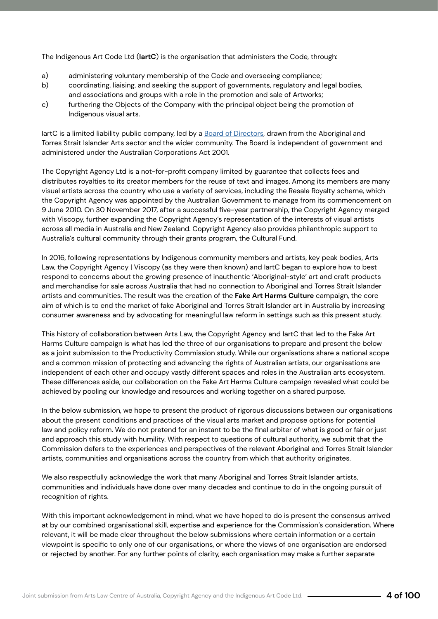The Indigenous Art Code Ltd (**IartC**) is the organisation that administers the Code, through:

- a) administering voluntary membership of the Code and overseeing compliance;
- b) coordinating, liaising, and seeking the support of governments, regulatory and legal bodies,
- and associations and groups with a role in the promotion and sale of Artworks;
- c) furthering the Objects of the Company with the principal object being the promotion of Indigenous visual arts.

IartC is a limited liability public company, led by a Board of Directors, drawn from the Aboriginal and Torres Strait Islander Arts sector and the wider community. The Board is independent of government and administered under the Australian Corporations Act 2001.

The Copyright Agency Ltd is a not-for-profit company limited by guarantee that collects fees and distributes royalties to its creator members for the reuse of text and images. Among its members are many visual artists across the country who use a variety of services, including the Resale Royalty scheme, which the Copyright Agency was appointed by the Australian Government to manage from its commencement on 9 June 2010. On 30 November 2017, after a successful five-year partnership, the Copyright Agency merged with Viscopy, further expanding the Copyright Agency's representation of the interests of visual artists across all media in Australia and New Zealand. Copyright Agency also provides philanthropic support to Australia's cultural community through their grants program, the Cultural Fund.

In 2016, following representations by Indigenous community members and artists, key peak bodies, Arts Law, the Copyright Agency | Viscopy (as they were then known) and IartC began to explore how to best respond to concerns about the growing presence of inauthentic 'Aboriginal-style' art and craft products and merchandise for sale across Australia that had no connection to Aboriginal and Torres Strait Islander artists and communities. The result was the creation of the **Fake Art Harms Culture** campaign, the core aim of which is to end the market of fake Aboriginal and Torres Strait Islander art in Australia by increasing consumer awareness and by advocating for meaningful law reform in settings such as this present study.

This history of collaboration between Arts Law, the Copyright Agency and IartC that led to the Fake Art Harms Culture campaign is what has led the three of our organisations to prepare and present the below as a joint submission to the Productivity Commission study. While our organisations share a national scope and a common mission of protecting and advancing the rights of Australian artists, our organisations are independent of each other and occupy vastly different spaces and roles in the Australian arts ecosystem. These differences aside, our collaboration on the Fake Art Harms Culture campaign revealed what could be achieved by pooling our knowledge and resources and working together on a shared purpose.

In the below submission, we hope to present the product of rigorous discussions between our organisations about the present conditions and practices of the visual arts market and propose options for potential law and policy reform. We do not pretend for an instant to be the final arbiter of what is good or fair or just and approach this study with humility. With respect to questions of cultural authority, we submit that the Commission defers to the experiences and perspectives of the relevant Aboriginal and Torres Strait Islander artists, communities and organisations across the country from which that authority originates.

We also respectfully acknowledge the work that many Aboriginal and Torres Strait Islander artists, communities and individuals have done over many decades and continue to do in the ongoing pursuit of recognition of rights.

With this important acknowledgement in mind, what we have hoped to do is present the consensus arrived at by our combined organisational skill, expertise and experience for the Commission's consideration. Where relevant, it will be made clear throughout the below submissions where certain information or a certain viewpoint is specific to only one of our organisations, or where the views of one organisation are endorsed or rejected by another. For any further points of clarity, each organisation may make a further separate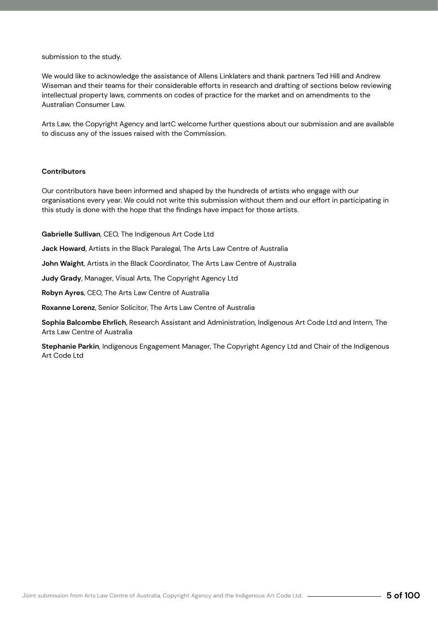#### submission to the study.

We would like to acknowledge the assistance of Allens Linklaters and thank partners Ted Hill and Andrew Wiseman and their teams for their considerable efforts in research and drafting of sections below reviewing intellectual property laws, comments on codes of practice for the market and on amendments to the Australian Consumer Law.

Arts Law, the Copyright Agency and IartC welcome further questions about our submission and are available to discuss any of the issues raised with the Commission.

#### **Contributors**

Our contributors have been informed and shaped by the hundreds of artists who engage with our organisations every year. We could not write this submission without them and our effort in participating in this study is done with the hope that the findings have impact for those artists.

**Gabrielle Sullivan**, CEO, The Indigenous Art Code Ltd

**Jack Howard**, Artists in the Black Paralegal, The Arts Law Centre of Australia

**John Waight**, Artists in the Black Coordinator, The Arts Law Centre of Australia

**Judy Grady**, Manager, Visual Arts, The Copyright Agency Ltd

**Robyn Ayres**, CEO, The Arts Law Centre of Australia

**Roxanne Lorenz**, Senior Solicitor, The Arts Law Centre of Australia

**Sophia Balcombe Ehrlich**, Research Assistant and Administration, Indigenous Art Code Ltd and Intern, The Arts Law Centre of Australia

**Stephanie Parkin**, Indigenous Engagement Manager, The Copyright Agency Ltd and Chair of the Indigenous Art Code Ltd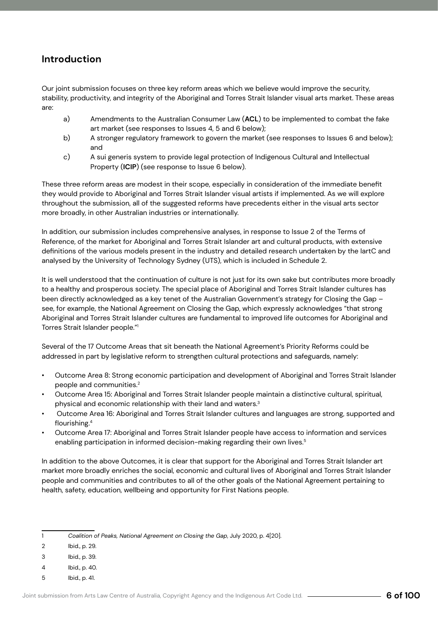## <span id="page-5-0"></span>**Introduction**

Our joint submission focuses on three key reform areas which we believe would improve the security, stability, productivity, and integrity of the Aboriginal and Torres Strait Islander visual arts market. These areas are:

- a) Amendments to the Australian Consumer Law (**ACL**) to be implemented to combat the fake art market (see responses to Issues 4, 5 and 6 below);
- b) A stronger regulatory framework to govern the market (see responses to Issues 6 and below); and
- c) A sui generis system to provide legal protection of Indigenous Cultural and Intellectual Property (**ICIP**) (see response to Issue 6 below).

These three reform areas are modest in their scope, especially in consideration of the immediate benefit they would provide to Aboriginal and Torres Strait Islander visual artists if implemented. As we will explore throughout the submission, all of the suggested reforms have precedents either in the visual arts sector more broadly, in other Australian industries or internationally.

In addition, our submission includes comprehensive analyses, in response to Issue 2 of the Terms of Reference, of the market for Aboriginal and Torres Strait Islander art and cultural products, with extensive definitions of the various models present in the industry and detailed research undertaken by the IartC and analysed by the University of Technology Sydney (UTS), which is included in Schedule 2.

It is well understood that the continuation of culture is not just for its own sake but contributes more broadly to a healthy and prosperous society. The special place of Aboriginal and Torres Strait Islander cultures has been directly acknowledged as a key tenet of the Australian Government's strategy for Closing the Gap – see, for example, the National Agreement on Closing the Gap, which expressly acknowledges "that strong Aboriginal and Torres Strait Islander cultures are fundamental to improved life outcomes for Aboriginal and Torres Strait Islander people."1

Several of the 17 Outcome Areas that sit beneath the National Agreement's Priority Reforms could be addressed in part by legislative reform to strengthen cultural protections and safeguards, namely:

- Outcome Area 8: Strong economic participation and development of Aboriginal and Torres Strait Islander people and communities.2
- Outcome Area 15: Aboriginal and Torres Strait Islander people maintain a distinctive cultural, spiritual, physical and economic relationship with their land and waters.3
- Outcome Area 16: Aboriginal and Torres Strait Islander cultures and languages are strong, supported and flourishing.<sup>4</sup>
- Outcome Area 17: Aboriginal and Torres Strait Islander people have access to information and services enabling participation in informed decision-making regarding their own lives.<sup>5</sup>

In addition to the above Outcomes, it is clear that support for the Aboriginal and Torres Strait Islander art market more broadly enriches the social, economic and cultural lives of Aboriginal and Torres Strait Islander people and communities and contributes to all of the other goals of the National Agreement pertaining to health, safety, education, wellbeing and opportunity for First Nations people.

| Coalition of Peaks, National Agreement on Closing the Gap, July 2020, p. 4[20]. |  |
|---------------------------------------------------------------------------------|--|
|---------------------------------------------------------------------------------|--|

- 2 Ibid., p. 29.
- 3 Ibid., p. 39.
- 4 Ibid., p. 40.
- 5 Ibid., p. 41.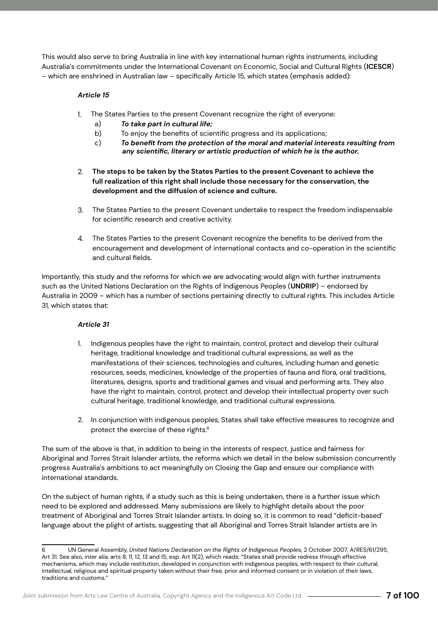This would also serve to bring Australia in line with key international human rights instruments, including Australia's commitments under the International Covenant on Economic, Social and Cultural Rights (**ICESCR**) – which are enshrined in Australian law – specifically Article 15, which states (emphasis added):

#### *Article 15*

- The States Parties to the present Covenant recognize the right of everyone: 1.
	- a) *To take part in cultural life;*
	- b) To enjoy the benefits of scientific progress and its applications:
	- c) *To benefit from the protection of the moral and material interests resulting from any scientific, literary or artistic production of which he is the author.*
- **The steps to be taken by the States Parties to the present Covenant to achieve the**  2. **full realization of this right shall include those necessary for the conservation, the development and the diffusion of science and culture.**
- The States Parties to the present Covenant undertake to respect the freedom indispensable 3. for scientific research and creative activity.
- The States Parties to the present Covenant recognize the benefits to be derived from the 4.encouragement and development of international contacts and co-operation in the scientific and cultural fields.

Importantly, this study and the reforms for which we are advocating would align with further instruments such as the United Nations Declaration on the Rights of Indigenous Peoples (**UNDRIP**) – endorsed by Australia in 2009 – which has a number of sections pertaining directly to cultural rights. This includes Article 31, which states that:

#### *Article 31*

- 1. Indigenous peoples have the right to maintain, control, protect and develop their cultural heritage, traditional knowledge and traditional cultural expressions, as well as the manifestations of their sciences, technologies and cultures, including human and genetic resources, seeds, medicines, knowledge of the properties of fauna and flora, oral traditions, literatures, designs, sports and traditional games and visual and performing arts. They also have the right to maintain, control, protect and develop their intellectual property over such cultural heritage, traditional knowledge, and traditional cultural expressions.
- 2. In conjunction with indigenous peoples, States shall take effective measures to recognize and protect the exercise of these rights.<sup>6</sup>

The sum of the above is that, in addition to being in the interests of respect, justice and fairness for Aboriginal and Torres Strait Islander artists, the reforms which we detail in the below submission concurrently progress Australia's ambitions to act meaningfully on Closing the Gap and ensure our compliance with international standards.

On the subject of human rights, if a study such as this is being undertaken, there is a further issue which need to be explored and addressed. Many submissions are likely to highlight details about the poor treatment of Aboriginal and Torres Strait Islander artists. In doing so, it is common to read "deficit-based' language about the plight of artists, suggesting that all Aboriginal and Torres Strait Islander artists are in

<sup>6</sup> UN General Assembly, *United Nations Declaration on the Rights of Indigenous People*s, 2 October 2007, A/RES/61/295, Art 31. See also, *inter alia,* arts 8, 11, 12, 13 and 15, esp. Art 11(2), which reads: "States shall provide redress through effective mechanisms, which may include restitution, developed in conjunction with indigenous peoples, with respect to their cultural, intellectual, religious and spiritual property taken without their free, prior and informed consent or in violation of their laws, traditions and customs."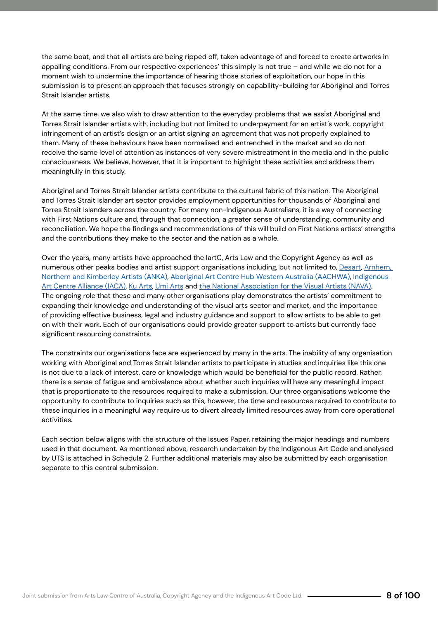the same boat, and that all artists are being ripped off, taken advantage of and forced to create artworks in appalling conditions. From our respective experiences' this simply is not true – and while we do not for a moment wish to undermine the importance of hearing those stories of exploitation, our hope in this submission is to present an approach that focuses strongly on capability-building for Aboriginal and Torres Strait Islander artists.

At the same time, we also wish to draw attention to the everyday problems that we assist Aboriginal and Torres Strait Islander artists with, including but not limited to underpayment for an artist's work, copyright infringement of an artist's design or an artist signing an agreement that was not properly explained to them. Many of these behaviours have been normalised and entrenched in the market and so do not receive the same level of attention as instances of very severe mistreatment in the media and in the public consciousness. We believe, however, that it is important to highlight these activities and address them meaningfully in this study.

Aboriginal and Torres Strait Islander artists contribute to the cultural fabric of this nation. The Aboriginal and Torres Strait Islander art sector provides employment opportunities for thousands of Aboriginal and Torres Strait Islanders across the country. For many non-Indigenous Australians, it is a way of connecting with First Nations culture and, through that connection, a greater sense of understanding, community and reconciliation. We hope the findings and recommendations of this will build on First Nations artists' strengths and the contributions they make to the sector and the nation as a whole.

Over the years, many artists have approached the IartC, Arts Law and the Copyright Agency as well as numerous other peaks bodies and artist support organisations including, but not limited to, Desart, Arnhem, Northern and Kimberley Artists (ANKA), Aboriginal Art Centre Hub Western Australia (AACHWA), Indigenous Art Centre Alliance (IACA), Ku Arts, Umi Arts and the National Association for the Visual Artists (NAVA). The ongoing role that these and many other organisations play demonstrates the artists' commitment to expanding their knowledge and understanding of the visual arts sector and market, and the importance of providing effective business, legal and industry guidance and support to allow artists to be able to get on with their work. Each of our organisations could provide greater support to artists but currently face significant resourcing constraints.

The constraints our organisations face are experienced by many in the arts. The inability of any organisation working with Aboriginal and Torres Strait Islander artists to participate in studies and inquiries like this one is not due to a lack of interest, care or knowledge which would be beneficial for the public record. Rather, there is a sense of fatigue and ambivalence about whether such inquiries will have any meaningful impact that is proportionate to the resources required to make a submission. Our three organisations welcome the opportunity to contribute to inquiries such as this, however, the time and resources required to contribute to these inquiries in a meaningful way require us to divert already limited resources away from core operational activities.

Each section below aligns with the structure of the Issues Paper, retaining the major headings and numbers used in that document. As mentioned above, research undertaken by the Indigenous Art Code and analysed by UTS is attached in Schedule 2. Further additional materials may also be submitted by each organisation separate to this central submission.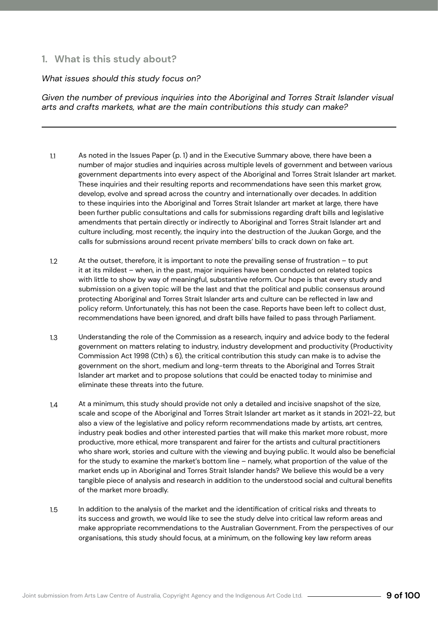### <span id="page-8-0"></span>**1. What is this study about?**

#### *What issues should this study focus on?*

*Given the number of previous inquiries into the Aboriginal and Torres Strait Islander visual arts and crafts markets, what are the main contributions this study can make?*

- As noted in the Issues Paper (p. 1) and in the Executive Summary above, there have been a number of major studies and inquiries across multiple levels of government and between various government departments into every aspect of the Aboriginal and Torres Strait Islander art market. These inquiries and their resulting reports and recommendations have seen this market grow, develop, evolve and spread across the country and internationally over decades. In addition to these inquiries into the Aboriginal and Torres Strait Islander art market at large, there have been further public consultations and calls for submissions regarding draft bills and legislative amendments that pertain directly or indirectly to Aboriginal and Torres Strait Islander art and culture including, most recently, the inquiry into the destruction of the Juukan Gorge, and the calls for submissions around recent private members' bills to crack down on fake art. 1.1
- At the outset, therefore, it is important to note the prevailing sense of frustration to put it at its mildest – when, in the past, major inquiries have been conducted on related topics with little to show by way of meaningful, substantive reform. Our hope is that every study and submission on a given topic will be the last and that the political and public consensus around protecting Aboriginal and Torres Strait Islander arts and culture can be reflected in law and policy reform. Unfortunately, this has not been the case. Reports have been left to collect dust, recommendations have been ignored, and draft bills have failed to pass through Parliament. 1.2
- Understanding the role of the Commission as a research, inquiry and advice body to the federal government on matters relating to industry, industry development and productivity (Productivity Commission Act 1998 (Cth) s 6), the critical contribution this study can make is to advise the government on the short, medium and long-term threats to the Aboriginal and Torres Strait Islander art market and to propose solutions that could be enacted today to minimise and eliminate these threats into the future. 1.3
- At a minimum, this study should provide not only a detailed and incisive snapshot of the size, scale and scope of the Aboriginal and Torres Strait Islander art market as it stands in 2021-22, but also a view of the legislative and policy reform recommendations made by artists, art centres, industry peak bodies and other interested parties that will make this market more robust, more productive, more ethical, more transparent and fairer for the artists and cultural practitioners who share work, stories and culture with the viewing and buying public. It would also be beneficial for the study to examine the market's bottom line – namely, what proportion of the value of the market ends up in Aboriginal and Torres Strait Islander hands? We believe this would be a very tangible piece of analysis and research in addition to the understood social and cultural benefits of the market more broadly. 1.4
- In addition to the analysis of the market and the identification of critical risks and threats to its success and growth, we would like to see the study delve into critical law reform areas and make appropriate recommendations to the Australian Government. From the perspectives of our organisations, this study should focus, at a minimum, on the following key law reform areas 1.5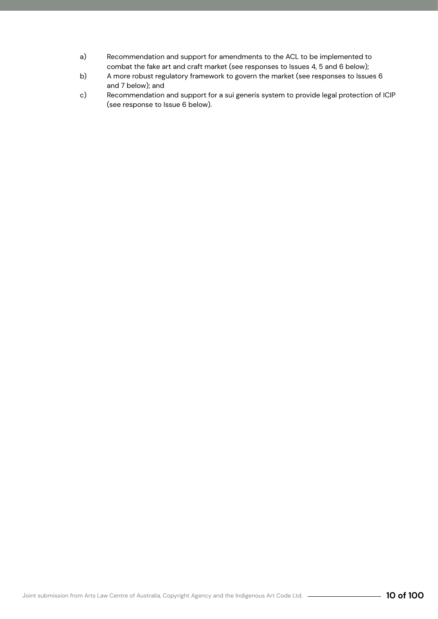- a) Recommendation and support for amendments to the ACL to be implemented to combat the fake art and craft market (see responses to Issues 4, 5 and 6 below);
- b) A more robust regulatory framework to govern the market (see responses to Issues 6 and 7 below); and
- c) Recommendation and support for a sui generis system to provide legal protection of ICIP (see response to Issue 6 below).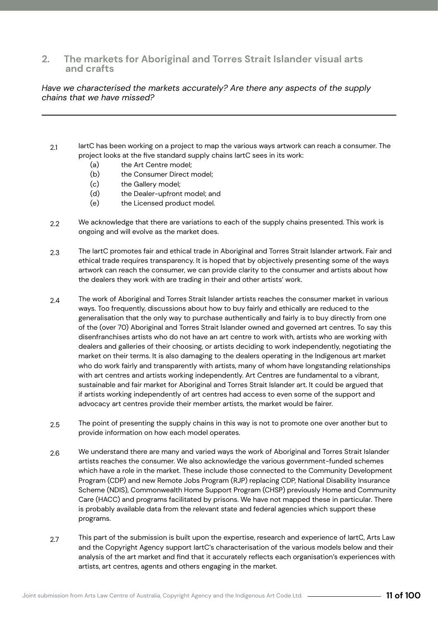#### <span id="page-10-0"></span>**2. The markets for Aboriginal and Torres Strait Islander visual arts and crafts**

#### *Have we characterised the markets accurately? Are there any aspects of the supply chains that we have missed?*

- IartC has been working on a project to map the various ways artwork can reach a consumer. The project looks at the five standard supply chains IartC sees in its work: 2.1
	- (a) the Art Centre model;
	- (b) the Consumer Direct model;
	- (c) the Gallery model;
	- (d) the Dealer-upfront model; and
	- (e) the Licensed product model.
- We acknowledge that there are variations to each of the supply chains presented. This work is ongoing and will evolve as the market does.  $2.2<sub>2</sub>$
- The IartC promotes fair and ethical trade in Aboriginal and Torres Strait Islander artwork. Fair and ethical trade requires transparency. It is hoped that by objectively presenting some of the ways artwork can reach the consumer, we can provide clarity to the consumer and artists about how the dealers they work with are trading in their and other artists' work. 2.3
- The work of Aboriginal and Torres Strait Islander artists reaches the consumer market in various ways. Too frequently, discussions about how to buy fairly and ethically are reduced to the generalisation that the only way to purchase authentically and fairly is to buy directly from one of the (over 70) Aboriginal and Torres Strait Islander owned and governed art centres. To say this disenfranchises artists who do not have an art centre to work with, artists who are working with dealers and galleries of their choosing, or artists deciding to work independently, negotiating the market on their terms. It is also damaging to the dealers operating in the Indigenous art market who do work fairly and transparently with artists, many of whom have longstanding relationships with art centres and artists working independently. Art Centres are fundamental to a vibrant, sustainable and fair market for Aboriginal and Torres Strait Islander art. It could be argued that if artists working independently of art centres had access to even some of the support and advocacy art centres provide their member artists, the market would be fairer. 2.4
- The point of presenting the supply chains in this way is not to promote one over another but to provide information on how each model operates. 2.5
- We understand there are many and varied ways the work of Aboriginal and Torres Strait Islander artists reaches the consumer. We also acknowledge the various government-funded schemes which have a role in the market. These include those connected to the Community Development Program (CDP) and new Remote Jobs Program (RJP) replacing CDP, National Disability Insurance Scheme (NDIS), Commonwealth Home Support Program (CHSP) previously Home and Community Care (HACC) and programs facilitated by prisons. We have not mapped these in particular. There is probably available data from the relevant state and federal agencies which support these programs. 2.6
- This part of the submission is built upon the expertise, research and experience of IartC, Arts Law and the Copyright Agency support IartC's characterisation of the various models below and their analysis of the art market and find that it accurately reflects each organisation's experiences with artists, art centres, agents and others engaging in the market. 2.7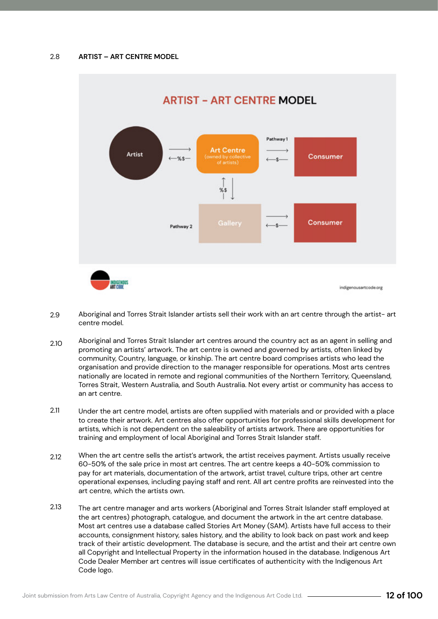

- Aboriginal and Torres Strait Islander artists sell their work with an art centre through the artist- art centre model. 2.9
- Aboriginal and Torres Strait Islander art centres around the country act as an agent in selling and promoting an artists' artwork. The art centre is owned and governed by artists, often linked by community, Country, language, or kinship. The art centre board comprises artists who lead the organisation and provide direction to the manager responsible for operations. Most arts centres nationally are located in remote and regional communities of the Northern Territory, Queensland, Torres Strait, Western Australia, and South Australia. Not every artist or community has access to an art centre. 2.10
- Under the art centre model, artists are often supplied with materials and or provided with a place to create their artwork. Art centres also offer opportunities for professional skills development for artists, which is not dependent on the saleability of artists artwork. There are opportunities for training and employment of local Aboriginal and Torres Strait Islander staff. 2.11
- When the art centre sells the artist's artwork, the artist receives payment. Artists usually receive 60-50% of the sale price in most art centres. The art centre keeps a 40-50% commission to pay for art materials, documentation of the artwork, artist travel, culture trips, other art centre operational expenses, including paying staff and rent. All art centre profits are reinvested into the art centre, which the artists own. 2.12
- The art centre manager and arts workers (Aboriginal and Torres Strait Islander staff employed at the art centres) photograph, catalogue, and document the artwork in the art centre database. Most art centres use a database called Stories Art Money (SAM). Artists have full access to their accounts, consignment history, sales history, and the ability to look back on past work and keep track of their artistic development. The database is secure, and the artist and their art centre own all Copyright and Intellectual Property in the information housed in the database. Indigenous Art Code Dealer Member art centres will issue certificates of authenticity with the Indigenous Art Code logo. 2.13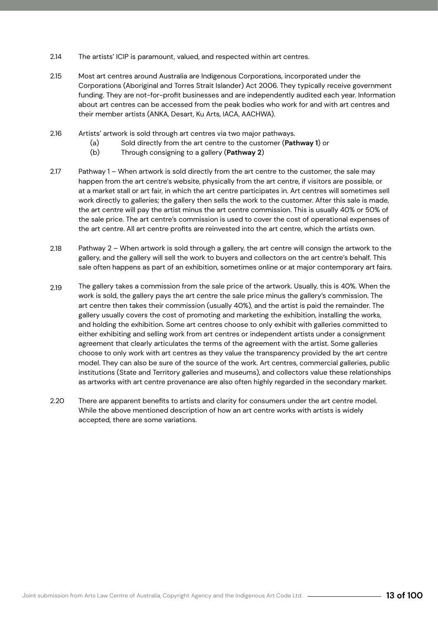- The artists' ICIP is paramount, valued, and respected within art centres. 2.14
- Most art centres around Australia are Indigenous Corporations, incorporated under the Corporations (Aboriginal and Torres Strait Islander) Act 2006. They typically receive government funding. They are not-for-profit businesses and are independently audited each year. Information about art centres can be accessed from the peak bodies who work for and with art centres and their member artists (ANKA, Desart, Ku Arts, IACA, AACHWA). 2.15
- Artists' artwork is sold through art centres via two major pathways. 2.16
	- (a) Sold directly from the art centre to the customer (**Pathway 1**) or
	- (b) Through consigning to a gallery (**Pathway 2**)
- Pathway 1 When artwork is sold directly from the art centre to the customer, the sale may happen from the art centre's website, physically from the art centre, if visitors are possible, or at a market stall or art fair, in which the art centre participates in. Art centres will sometimes sell work directly to galleries; the gallery then sells the work to the customer. After this sale is made, the art centre will pay the artist minus the art centre commission. This is usually 40% or 50% of the sale price. The art centre's commission is used to cover the cost of operational expenses of the art centre. All art centre profits are reinvested into the art centre, which the artists own. 2.17
- Pathway 2 When artwork is sold through a gallery, the art centre will consign the artwork to the gallery, and the gallery will sell the work to buyers and collectors on the art centre's behalf. This sale often happens as part of an exhibition, sometimes online or at major contemporary art fairs. 2.18
- The gallery takes a commission from the sale price of the artwork. Usually, this is 40%. When the work is sold, the gallery pays the art centre the sale price minus the gallery's commission. The art centre then takes their commission (usually 40%), and the artist is paid the remainder. The gallery usually covers the cost of promoting and marketing the exhibition, installing the works, and holding the exhibition. Some art centres choose to only exhibit with galleries committed to either exhibiting and selling work from art centres or independent artists under a consignment agreement that clearly articulates the terms of the agreement with the artist. Some galleries choose to only work with art centres as they value the transparency provided by the art centre model. They can also be sure of the source of the work. Art centres, commercial galleries, public institutions (State and Territory galleries and museums), and collectors value these relationships as artworks with art centre provenance are also often highly regarded in the secondary market. 2.19
- There are apparent benefits to artists and clarity for consumers under the art centre model. While the above mentioned description of how an art centre works with artists is widely accepted, there are some variations.  $2.20$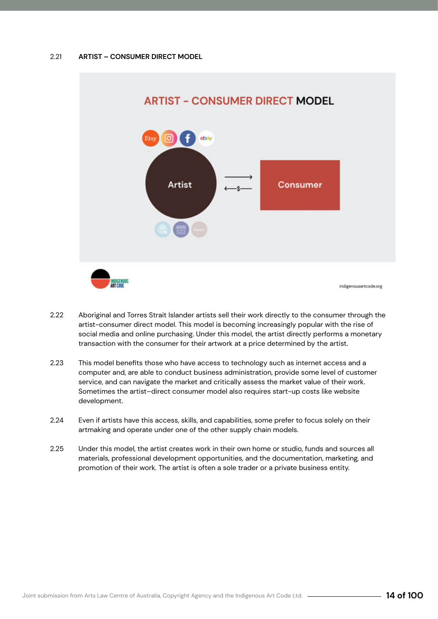

- Aboriginal and Torres Strait Islander artists sell their work directly to the consumer through the artist-consumer direct model. This model is becoming increasingly popular with the rise of social media and online purchasing. Under this model, the artist directly performs a monetary transaction with the consumer for their artwork at a price determined by the artist. 2.22
- This model benefits those who have access to technology such as internet access and a computer and, are able to conduct business administration, provide some level of customer service, and can navigate the market and critically assess the market value of their work. Sometimes the artist–direct consumer model also requires start-up costs like website development. 2.23
- Even if artists have this access, skills, and capabilities, some prefer to focus solely on their artmaking and operate under one of the other supply chain models. 2.24
- Under this model, the artist creates work in their own home or studio, funds and sources all materials, professional development opportunities, and the documentation, marketing, and promotion of their work. The artist is often a sole trader or a private business entity. 2.25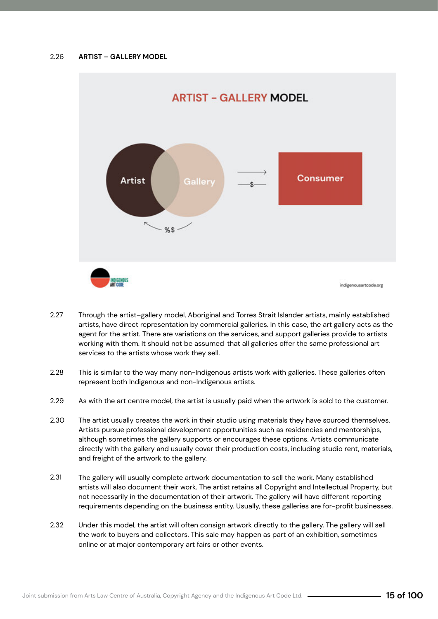

- Through the artist–gallery model, Aboriginal and Torres Strait Islander artists, mainly established artists, have direct representation by commercial galleries. In this case, the art gallery acts as the agent for the artist. There are variations on the services, and support galleries provide to artists working with them. It should not be assumed that all galleries offer the same professional art services to the artists whose work they sell. 2.27
- This is similar to the way many non-Indigenous artists work with galleries. These galleries often represent both Indigenous and non-Indigenous artists. 2.28
- As with the art centre model, the artist is usually paid when the artwork is sold to the customer. 2.29
- The artist usually creates the work in their studio using materials they have sourced themselves. Artists pursue professional development opportunities such as residencies and mentorships, although sometimes the gallery supports or encourages these options. Artists communicate directly with the gallery and usually cover their production costs, including studio rent, materials, and freight of the artwork to the gallery. 2.30
- The gallery will usually complete artwork documentation to sell the work. Many established artists will also document their work. The artist retains all Copyright and Intellectual Property, but not necessarily in the documentation of their artwork. The gallery will have different reporting requirements depending on the business entity. Usually, these galleries are for-profit businesses. 2.31
- Under this model, the artist will often consign artwork directly to the gallery. The gallery will sell the work to buyers and collectors. This sale may happen as part of an exhibition, sometimes online or at major contemporary art fairs or other events. 2.32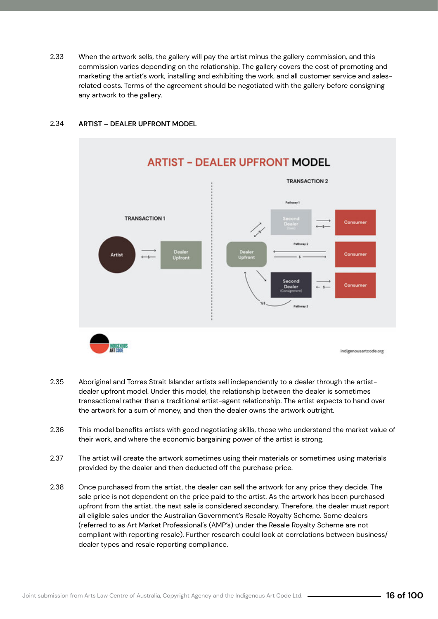When the artwork sells, the gallery will pay the artist minus the gallery commission, and this commission varies depending on the relationship. The gallery covers the cost of promoting and marketing the artist's work, installing and exhibiting the work, and all customer service and salesrelated costs. Terms of the agreement should be negotiated with the gallery before consigning any artwork to the gallery. 2.33



#### **ARTIST – DEALER UPFRONT MODEL** 2.34

- Aboriginal and Torres Strait Islander artists sell independently to a dealer through the artistdealer upfront model. Under this model, the relationship between the dealer is sometimes transactional rather than a traditional artist-agent relationship. The artist expects to hand over the artwork for a sum of money, and then the dealer owns the artwork outright. 2.35
- This model benefits artists with good negotiating skills, those who understand the market value of their work, and where the economic bargaining power of the artist is strong. 2.36
- The artist will create the artwork sometimes using their materials or sometimes using materials provided by the dealer and then deducted off the purchase price. 2.37
- Once purchased from the artist, the dealer can sell the artwork for any price they decide. The sale price is not dependent on the price paid to the artist. As the artwork has been purchased upfront from the artist, the next sale is considered secondary. Therefore, the dealer must report all eligible sales under the Australian Government's Resale Royalty Scheme. Some dealers (referred to as Art Market Professional's (AMP's) under the Resale Royalty Scheme are not compliant with reporting resale). Further research could look at correlations between business/ dealer types and resale reporting compliance. 2.38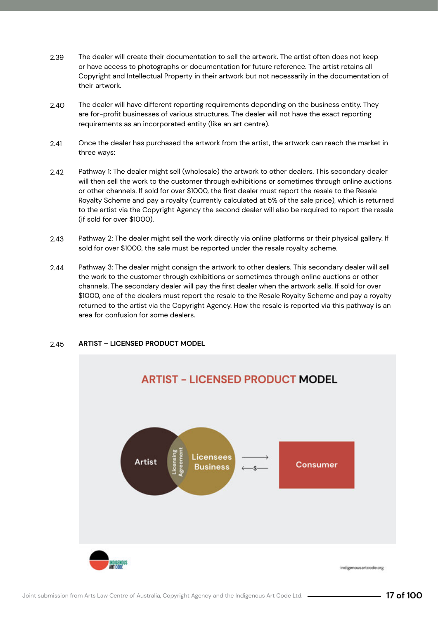- The dealer will create their documentation to sell the artwork. The artist often does not keep or have access to photographs or documentation for future reference. The artist retains all Copyright and Intellectual Property in their artwork but not necessarily in the documentation of their artwork. 2.39
- The dealer will have different reporting requirements depending on the business entity. They are for-profit businesses of various structures. The dealer will not have the exact reporting requirements as an incorporated entity (like an art centre). 2.40
- Once the dealer has purchased the artwork from the artist, the artwork can reach the market in three ways: 2.41
- Pathway 1: The dealer might sell (wholesale) the artwork to other dealers. This secondary dealer will then sell the work to the customer through exhibitions or sometimes through online auctions or other channels. If sold for over \$1000, the first dealer must report the resale to the Resale Royalty Scheme and pay a royalty (currently calculated at 5% of the sale price), which is returned to the artist via the Copyright Agency the second dealer will also be required to report the resale (if sold for over \$1000). 2.42
- Pathway 2: The dealer might sell the work directly via online platforms or their physical gallery. If sold for over \$1000, the sale must be reported under the resale royalty scheme. 2.43
- Pathway 3: The dealer might consign the artwork to other dealers. This secondary dealer will sell the work to the customer through exhibitions or sometimes through online auctions or other channels. The secondary dealer will pay the first dealer when the artwork sells. If sold for over \$1000, one of the dealers must report the resale to the Resale Royalty Scheme and pay a royalty returned to the artist via the Copyright Agency. How the resale is reported via this pathway is an area for confusion for some dealers. 2.44

#### **ARTIST – LICENSED PRODUCT MODEL** 2.45

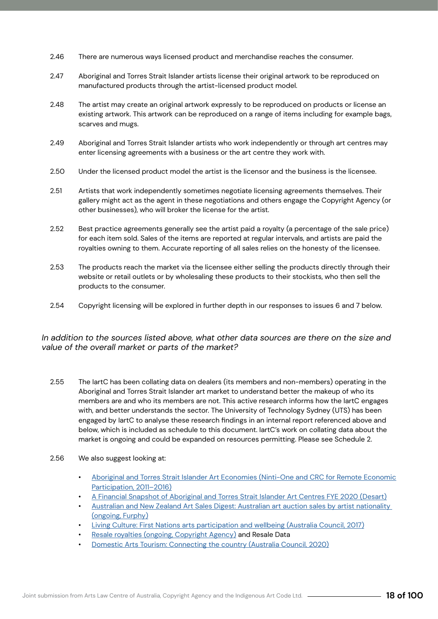- There are numerous ways licensed product and merchandise reaches the consumer. 2.46
- Aboriginal and Torres Strait Islander artists license their original artwork to be reproduced on manufactured products through the artist-licensed product model. 2.47
- The artist may create an original artwork expressly to be reproduced on products or license an existing artwork. This artwork can be reproduced on a range of items including for example bags, scarves and mugs. 2.48
- Aboriginal and Torres Strait Islander artists who work independently or through art centres may enter licensing agreements with a business or the art centre they work with. 2.49
- Under the licensed product model the artist is the licensor and the business is the licensee. 2.50
- Artists that work independently sometimes negotiate licensing agreements themselves. Their gallery might act as the agent in these negotiations and others engage the Copyright Agency (or other businesses), who will broker the license for the artist. 2.51
- Best practice agreements generally see the artist paid a royalty (a percentage of the sale price) for each item sold. Sales of the items are reported at regular intervals, and artists are paid the royalties owning to them. Accurate reporting of all sales relies on the honesty of the licensee. 2.52
- The products reach the market via the licensee either selling the products directly through their website or retail outlets or by wholesaling these products to their stockists, who then sell the products to the consumer. 2.53
- Copyright licensing will be explored in further depth in our responses to issues 6 and 7 below. 2.54

#### *In addition to the sources listed above, what other data sources are there on the size and value of the overall market or parts of the market?*

- The IartC has been collating data on dealers (its members and non-members) operating in the Aboriginal and Torres Strait Islander art market to understand better the makeup of who its members are and who its members are not. This active research informs how the IartC engages with, and better understands the sector. The University of Technology Sydney (UTS) has been engaged by IartC to analyse these research findings in an internal report referenced above and below, which is included as schedule to this document. IartC's work on collating data about the market is ongoing and could be expanded on resources permitting. Please see Schedule 2. 2.55
- We also suggest looking at: 2.56
	- Aboriginal and Torres Strait Islander Art Economies (Ninti-One and CRC for Remote Economic Participation, 2011–2016)
	- A Financial Snapshot of Aboriginal and Torres Strait Islander Art Centres FYE 2020 (Desart)
	- Australian and New Zealand Art Sales Digest: Australian art auction sales by artist nationality (ongoing, Furphy)
	- Living Culture: First Nations arts participation and wellbeing (Australia Council, 2017)
	- Resale royalties (ongoing, Copyright Agency) and Resale Data
	- Domestic Arts Tourism: Connecting the country (Australia Council, 2020)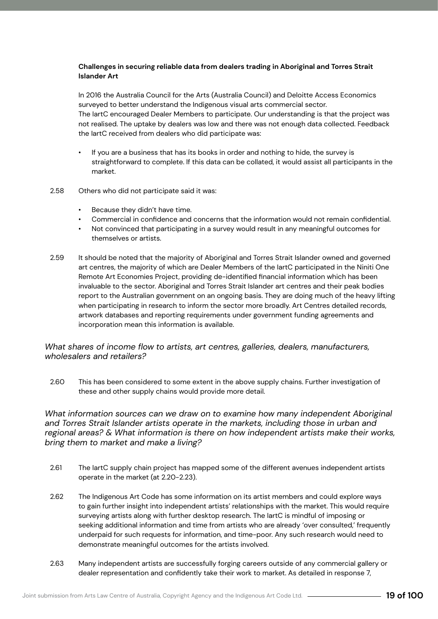#### **Challenges in securing reliable data from dealers trading in Aboriginal and Torres Strait Islander Art**

In 2016 the Australia Council for the Arts (Australia Council) and Deloitte Access Economics surveyed to better understand the Indigenous visual arts commercial sector. The IartC encouraged Dealer Members to participate. Our understanding is that the project was not realised. The uptake by dealers was low and there was not enough data collected. Feedback the IartC received from dealers who did participate was:

- If you are a business that has its books in order and nothing to hide, the survey is straightforward to complete. If this data can be collated, it would assist all participants in the market.
- Others who did not participate said it was: 2.58
	- Because they didn't have time.
	- Commercial in confidence and concerns that the information would not remain confidential.
	- Not convinced that participating in a survey would result in any meaningful outcomes for themselves or artists.
- It should be noted that the majority of Aboriginal and Torres Strait Islander owned and governed art centres, the majority of which are Dealer Members of the IartC participated in the Niniti One Remote Art Economies Project, providing de-identified financial information which has been invaluable to the sector. Aboriginal and Torres Strait Islander art centres and their peak bodies report to the Australian government on an ongoing basis. They are doing much of the heavy lifting when participating in research to inform the sector more broadly. Art Centres detailed records, artwork databases and reporting requirements under government funding agreements and incorporation mean this information is available. 2.59

#### *What shares of income flow to artists, art centres, galleries, dealers, manufacturers, wholesalers and retailers?*

This has been considered to some extent in the above supply chains. Further investigation of these and other supply chains would provide more detail. 2.60

What information sources can we draw on to examine how many independent Aboriginal *and Torres Strait Islander artists operate in the markets, including those in urban and regional areas? & What information is there on how independent artists make their works, bring them to market and make a living?*

- The IartC supply chain project has mapped some of the different avenues independent artists operate in the market (at 2.20-2.23). 2.61
- The Indigenous Art Code has some information on its artist members and could explore ways to gain further insight into independent artists' relationships with the market. This would require surveying artists along with further desktop research. The IartC is mindful of imposing or seeking additional information and time from artists who are already 'over consulted,' frequently underpaid for such requests for information, and time-poor. Any such research would need to demonstrate meaningful outcomes for the artists involved. 2.62
- Many independent artists are successfully forging careers outside of any commercial gallery or dealer representation and confidently take their work to market. As detailed in response 7, 2.63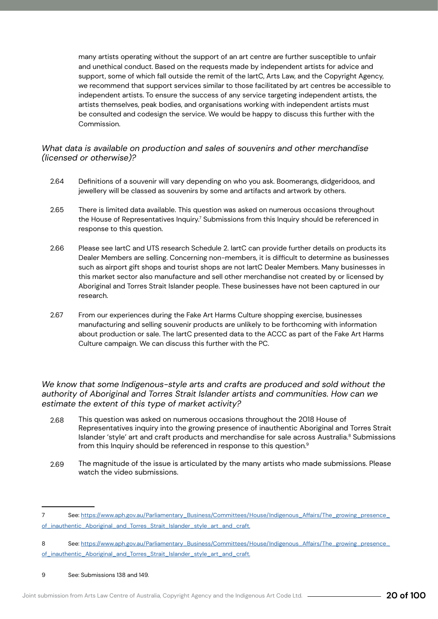many artists operating without the support of an art centre are further susceptible to unfair and unethical conduct. Based on the requests made by independent artists for advice and support, some of which fall outside the remit of the IartC, Arts Law, and the Copyright Agency, we recommend that support services similar to those facilitated by art centres be accessible to independent artists. To ensure the success of any service targeting independent artists, the artists themselves, peak bodies, and organisations working with independent artists must be consulted and codesign the service. We would be happy to discuss this further with the Commission.

#### *What data is available on production and sales of souvenirs and other merchandise (licensed or otherwise)?*

- Definitions of a souvenir will vary depending on who you ask. Boomerangs, didgeridoos, and jewellery will be classed as souvenirs by some and artifacts and artwork by others. 2.64
- There is limited data available. This question was asked on numerous occasions throughout the House of Representatives Inquiry. $^7$  Submissions from this Inquiry should be referenced in response to this question. 2.65
- Please see IartC and UTS research Schedule 2. IartC can provide further details on products its Dealer Members are selling. Concerning non-members, it is difficult to determine as businesses such as airport gift shops and tourist shops are not IartC Dealer Members. Many businesses in this market sector also manufacture and sell other merchandise not created by or licensed by Aboriginal and Torres Strait Islander people. These businesses have not been captured in our research. 2.66
- From our experiences during the Fake Art Harms Culture shopping exercise, businesses manufacturing and selling souvenir products are unlikely to be forthcoming with information about production or sale. The IartC presented data to the ACCC as part of the Fake Art Harms Culture campaign. We can discuss this further with the PC. 2.67

#### *We know that some Indigenous-style arts and crafts are produced and sold without the authority of Aboriginal and Torres Strait Islander artists and communities. How can we estimate the extent of this type of market activity?*

- This question was asked on numerous occasions throughout the 2018 House of Representatives inquiry into the growing presence of inauthentic Aboriginal and Torres Strait Islander 'style' art and craft products and merchandise for sale across Australia.<sup>8</sup> Submissions from this Inquiry should be referenced in response to this question.9 2.68
- The magnitude of the issue is articulated by the many artists who made submissions. Please watch the video submissions. 2.69

#### 9 See: Submissions 138 and 149.

<sup>7</sup> See: https://www.aph.gov.au/Parliamentary\_Business/Committees/House/Indigenous\_Affairs/The\_growing\_presence\_ of\_inauthentic\_Aboriginal\_and\_Torres\_Strait\_Islander\_style\_art\_and\_craft.

<sup>8</sup> See: https://www.aph.gov.au/Parliamentary\_Business/Committees/House/Indigenous\_Affairs/The\_growing\_presence\_ of\_inauthentic\_Aboriginal\_and\_Torres\_Strait\_Islander\_style\_art\_and\_craft.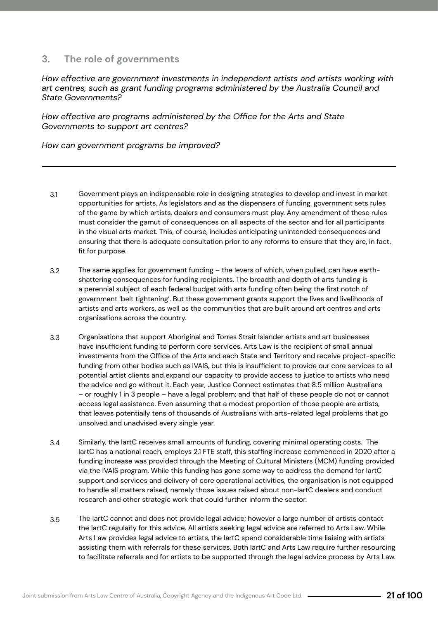#### <span id="page-20-0"></span>**3. The role of governments**

*How effective are government investments in independent artists and artists working with art centres, such as grant funding programs administered by the Australia Council and State Governments?* 

*How effective are programs administered by the Office for the Arts and State Governments to support art centres?* 

*How can government programs be improved?*

- Government plays an indispensable role in designing strategies to develop and invest in market opportunities for artists. As legislators and as the dispensers of funding, government sets rules of the game by which artists, dealers and consumers must play. Any amendment of these rules must consider the gamut of consequences on all aspects of the sector and for all participants in the visual arts market. This, of course, includes anticipating unintended consequences and ensuring that there is adequate consultation prior to any reforms to ensure that they are, in fact, fit for purpose. 3.1
- The same applies for government funding the levers of which, when pulled, can have earthshattering consequences for funding recipients. The breadth and depth of arts funding is a perennial subject of each federal budget with arts funding often being the first notch of government 'belt tightening'. But these government grants support the lives and livelihoods of artists and arts workers, as well as the communities that are built around art centres and arts organisations across the country. 3.2
- Organisations that support Aboriginal and Torres Strait Islander artists and art businesses have insufficient funding to perform core services. Arts Law is the recipient of small annual investments from the Office of the Arts and each State and Territory and receive project-specific funding from other bodies such as IVAIS, but this is insufficient to provide our core services to all potential artist clients and expand our capacity to provide access to justice to artists who need the advice and go without it. Each year, Justice Connect estimates that 8.5 million Australians – or roughly 1 in 3 people – have a legal problem; and that half of these people do not or cannot access legal assistance. Even assuming that a modest proportion of those people are artists, that leaves potentially tens of thousands of Australians with arts-related legal problems that go unsolved and unadvised every single year. 3.3
- Similarly, the IartC receives small amounts of funding, covering minimal operating costs. The IartC has a national reach, employs 2.1 FTE staff, this staffing increase commenced in 2020 after a funding increase was provided through the Meeting of Cultural Ministers (MCM) funding provided via the IVAIS program. While this funding has gone some way to address the demand for IartC support and services and delivery of core operational activities, the organisation is not equipped to handle all matters raised, namely those issues raised about non-IartC dealers and conduct research and other strategic work that could further inform the sector. 3.4
- The IartC cannot and does not provide legal advice; however a large number of artists contact the IartC regularly for this advice. All artists seeking legal advice are referred to Arts Law. While Arts Law provides legal advice to artists, the IartC spend considerable time liaising with artists assisting them with referrals for these services. Both IartC and Arts Law require further resourcing to facilitate referrals and for artists to be supported through the legal advice process by Arts Law. 3.5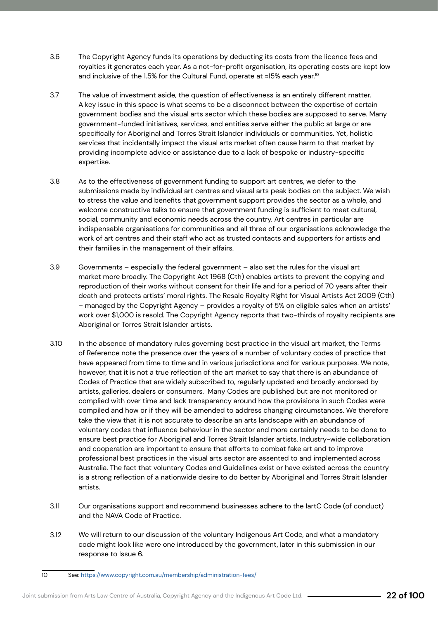- The Copyright Agency funds its operations by deducting its costs from the licence fees and royalties it generates each year. As a not-for-profit organisation, its operating costs are kept low and inclusive of the 1.5% for the Cultural Fund, operate at ≈15% each year.<sup>10</sup> 3.6
- The value of investment aside, the question of effectiveness is an entirely different matter. A key issue in this space is what seems to be a disconnect between the expertise of certain government bodies and the visual arts sector which these bodies are supposed to serve. Many government-funded initiatives, services, and entities serve either the public at large or are specifically for Aboriginal and Torres Strait Islander individuals or communities. Yet, holistic services that incidentally impact the visual arts market often cause harm to that market by providing incomplete advice or assistance due to a lack of bespoke or industry-specific expertise. 3.7
- As to the effectiveness of government funding to support art centres, we defer to the submissions made by individual art centres and visual arts peak bodies on the subject. We wish to stress the value and benefits that government support provides the sector as a whole, and welcome constructive talks to ensure that government funding is sufficient to meet cultural, social, community and economic needs across the country. Art centres in particular are indispensable organisations for communities and all three of our organisations acknowledge the work of art centres and their staff who act as trusted contacts and supporters for artists and their families in the management of their affairs. 3.8
- Governments especially the federal government also set the rules for the visual art market more broadly. The Copyright Act 1968 (Cth) enables artists to prevent the copying and reproduction of their works without consent for their life and for a period of 70 years after their death and protects artists' moral rights. The Resale Royalty Right for Visual Artists Act 2009 (Cth) – managed by the Copyright Agency – provides a royalty of 5% on eligible sales when an artists' work over \$1,000 is resold. The Copyright Agency reports that two-thirds of royalty recipients are Aboriginal or Torres Strait Islander artists. 3.9
- In the absence of mandatory rules governing best practice in the visual art market, the Terms of Reference note the presence over the years of a number of voluntary codes of practice that have appeared from time to time and in various jurisdictions and for various purposes. We note, however, that it is not a true reflection of the art market to say that there is an abundance of Codes of Practice that are widely subscribed to, regularly updated and broadly endorsed by artists, galleries, dealers or consumers. Many Codes are published but are not monitored or complied with over time and lack transparency around how the provisions in such Codes were compiled and how or if they will be amended to address changing circumstances. We therefore take the view that it is not accurate to describe an arts landscape with an abundance of voluntary codes that influence behaviour in the sector and more certainly needs to be done to ensure best practice for Aboriginal and Torres Strait Islander artists. Industry-wide collaboration and cooperation are important to ensure that efforts to combat fake art and to improve professional best practices in the visual arts sector are assented to and implemented across Australia. The fact that voluntary Codes and Guidelines exist or have existed across the country is a strong reflection of a nationwide desire to do better by Aboriginal and Torres Strait Islander artists. 3.10
- Our organisations support and recommend businesses adhere to the IartC Code (of conduct) and the NAVA Code of Practice. 3.11
- We will return to our discussion of the voluntary Indigenous Art Code, and what a mandatory code might look like were one introduced by the government, later in this submission in our response to Issue 6. 3.12

<sup>10</sup> See: https://www.copyright.com.au/membership/administration-fees/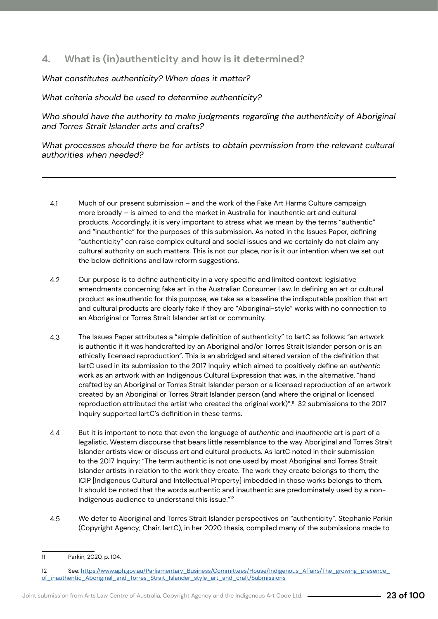## <span id="page-22-0"></span>**4. What is (in)authenticity and how is it determined?**

*What constitutes authenticity? When does it matter?*

*What criteria should be used to determine authenticity?*

*Who should have the authority to make judgments regarding the authenticity of Aboriginal and Torres Strait Islander arts and crafts?*

*What processes should there be for artists to obtain permission from the relevant cultural authorities when needed?*

- Much of our present submission and the work of the Fake Art Harms Culture campaign more broadly – is aimed to end the market in Australia for inauthentic art and cultural products. Accordingly, it is very important to stress what we mean by the terms "authentic" and "inauthentic" for the purposes of this submission. As noted in the Issues Paper, defining "authenticity" can raise complex cultural and social issues and we certainly do not claim any cultural authority on such matters. This is not our place, nor is it our intention when we set out the below definitions and law reform suggestions. 4.1
- Our purpose is to define authenticity in a very specific and limited context: legislative amendments concerning fake art in the Australian Consumer Law. In defining an art or cultural product as inauthentic for this purpose, we take as a baseline the indisputable position that art and cultural products are clearly fake if they are "Aboriginal-style" works with no connection to an Aboriginal or Torres Strait Islander artist or community. 4.2
- The Issues Paper attributes a "simple definition of authenticity" to IartC as follows: "an artwork is authentic if it was handcrafted by an Aboriginal and/or Torres Strait Islander person or is an ethically licensed reproduction". This is an abridged and altered version of the definition that IartC used in its submission to the 2017 Inquiry which aimed to positively define an *authentic*  work as an artwork with an Indigenous Cultural Expression that was, in the alternative, "hand crafted by an Aboriginal or Torres Strait Islander person or a licensed reproduction of an artwork created by an Aboriginal or Torres Strait Islander person (and where the original or licensed reproduction attributed the artist who created the original work)".<sup>11</sup> 32 submissions to the 2017 Inquiry supported IartC's definition in these terms. 4.3
- But it is important to note that even the language of *authentic* and *inauthentic* art is part of a legalistic, Western discourse that bears little resemblance to the way Aboriginal and Torres Strait Islander artists view or discuss art and cultural products. As IartC noted in their submission to the 2017 Inquiry: "The term authentic is not one used by most Aboriginal and Torres Strait Islander artists in relation to the work they create. The work they create belongs to them, the ICIP [Indigenous Cultural and Intellectual Property] imbedded in those works belongs to them. It should be noted that the words authentic and inauthentic are predominately used by a non-Indigenous audience to understand this issue."12 4.4
- We defer to Aboriginal and Torres Strait Islander perspectives on "authenticity". Stephanie Parkin (Copyright Agency; Chair, IartC), in her 2020 thesis, compiled many of the submissions made to 4.5

<sup>11</sup> Parkin, 2020, p. 104.

<sup>12</sup> See: https://www.aph.gov.au/Parliamentary\_Business/Committees/House/Indigenous\_Affairs/The\_growing\_presence\_ of\_inauthentic\_Aboriginal\_and\_Torres\_Strait\_Islander\_style\_art\_and\_craft/Submissions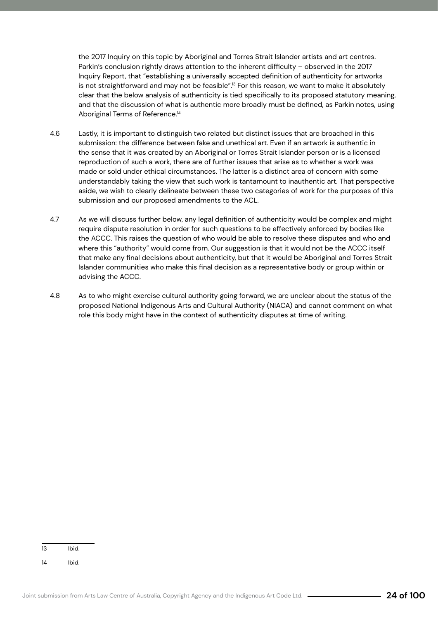the 2017 Inquiry on this topic by Aboriginal and Torres Strait Islander artists and art centres. Parkin's conclusion rightly draws attention to the inherent difficulty – observed in the 2017 Inquiry Report, that "establishing a universally accepted definition of authenticity for artworks is not straightforward and may not be feasible".<sup>13</sup> For this reason, we want to make it absolutely clear that the below analysis of authenticity is tied specifically to its proposed statutory meaning, and that the discussion of what is authentic more broadly must be defined, as Parkin notes, using Aboriginal Terms of Reference.<sup>14</sup>

- Lastly, it is important to distinguish two related but distinct issues that are broached in this submission: the difference between fake and unethical art. Even if an artwork is authentic in the sense that it was created by an Aboriginal or Torres Strait Islander person or is a licensed reproduction of such a work, there are of further issues that arise as to whether a work was made or sold under ethical circumstances. The latter is a distinct area of concern with some understandably taking the view that such work is tantamount to inauthentic art. That perspective aside, we wish to clearly delineate between these two categories of work for the purposes of this submission and our proposed amendments to the ACL. 4.6
- As we will discuss further below, any legal definition of authenticity would be complex and might require dispute resolution in order for such questions to be effectively enforced by bodies like the ACCC. This raises the question of who would be able to resolve these disputes and who and where this "authority" would come from. Our suggestion is that it would not be the ACCC itself that make any final decisions about authenticity, but that it would be Aboriginal and Torres Strait Islander communities who make this final decision as a representative body or group within or advising the ACCC. 4.7
- As to who might exercise cultural authority going forward, we are unclear about the status of the proposed National Indigenous Arts and Cultural Authority (NIACA) and cannot comment on what role this body might have in the context of authenticity disputes at time of writing. 4.8

13 Ibid.

14 Ibid.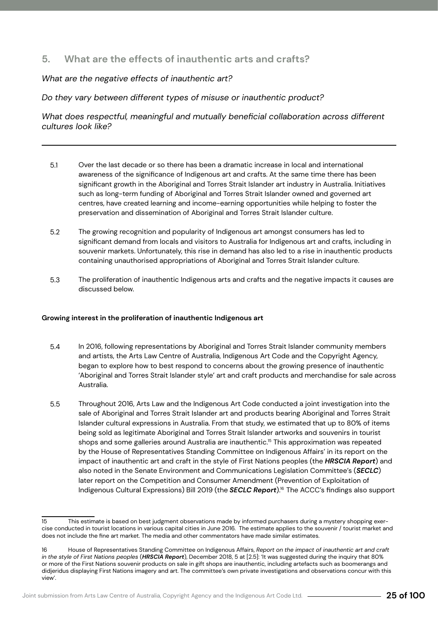#### <span id="page-24-0"></span>**5. What are the effects of inauthentic arts and crafts?**

*What are the negative effects of inauthentic art?* 

*Do they vary between different types of misuse or inauthentic product?* 

*What does respectful, meaningful and mutually beneficial collaboration across different cultures look like?* 

- Over the last decade or so there has been a dramatic increase in local and international awareness of the significance of Indigenous art and crafts. At the same time there has been significant growth in the Aboriginal and Torres Strait Islander art industry in Australia. Initiatives such as long-term funding of Aboriginal and Torres Strait Islander owned and governed art centres, have created learning and income-earning opportunities while helping to foster the preservation and dissemination of Aboriginal and Torres Strait Islander culture. 5.1
- The growing recognition and popularity of Indigenous art amongst consumers has led to significant demand from locals and visitors to Australia for Indigenous art and crafts, including in souvenir markets. Unfortunately, this rise in demand has also led to a rise in inauthentic products containing unauthorised appropriations of Aboriginal and Torres Strait Islander culture. 5.2
- The proliferation of inauthentic Indigenous arts and crafts and the negative impacts it causes are discussed below. 5.3

#### **Growing interest in the proliferation of inauthentic Indigenous art**

- In 2016, following representations by Aboriginal and Torres Strait Islander community members and artists, the Arts Law Centre of Australia, Indigenous Art Code and the Copyright Agency, began to explore how to best respond to concerns about the growing presence of inauthentic 'Aboriginal and Torres Strait Islander style' art and craft products and merchandise for sale across Australia. 5.4
- Throughout 2016, Arts Law and the Indigenous Art Code conducted a joint investigation into the sale of Aboriginal and Torres Strait Islander art and products bearing Aboriginal and Torres Strait Islander cultural expressions in Australia. From that study, we estimated that up to 80% of items being sold as legitimate Aboriginal and Torres Strait Islander artworks and souvenirs in tourist shops and some galleries around Australia are inauthentic.<sup>15</sup> This approximation was repeated by the House of Representatives Standing Committee on Indigenous Affairs' in its report on the impact of inauthentic art and craft in the style of First Nations peoples (the *HRSCIA Report*) and also noted in the Senate Environment and Communications Legislation Committee's (*SECLC*) later report on the Competition and Consumer Amendment (Prevention of Exploitation of Indigenous Cultural Expressions) Bill 2019 (the *SECLC Report*).16 The ACCC's findings also support 5.5

<sup>15</sup> This estimate is based on best judgment observations made by informed purchasers during a mystery shopping exercise conducted in tourist locations in various capital cities in June 2016. The estimate applies to the souvenir / tourist market and does not include the fine art market. The media and other commentators have made similar estimates.

<sup>16</sup> House of Representatives Standing Committee on Indigenous Affairs, *Report on the impact of inauthentic art and craft in the style of First Nations peoples* (*HRSCIA Report*), December 2018, 5 at [2.5]: 'It was suggested during the inquiry that 80% or more of the First Nations souvenir products on sale in gift shops are inauthentic, including artefacts such as boomerangs and didjeridus displaying First Nations imagery and art. The committee's own private investigations and observations concur with this view'.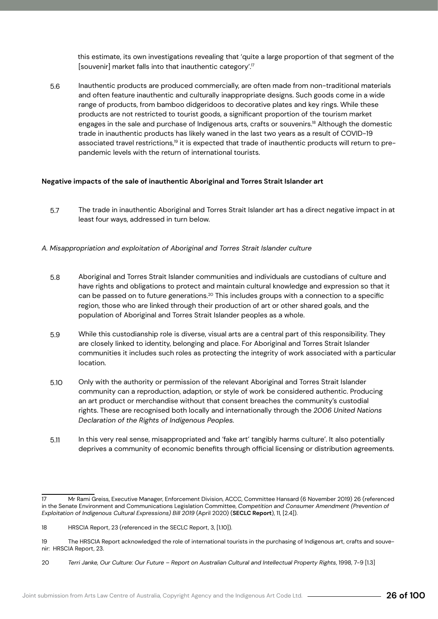this estimate, its own investigations revealing that 'quite a large proportion of that segment of the [souvenir] market falls into that inauthentic category'.<sup>17</sup>

Inauthentic products are produced commercially, are often made from non-traditional materials and often feature inauthentic and culturally inappropriate designs. Such goods come in a wide range of products, from bamboo didgeridoos to decorative plates and key rings. While these products are not restricted to tourist goods, a significant proportion of the tourism market engages in the sale and purchase of Indigenous arts, crafts or souvenirs.<sup>18</sup> Although the domestic trade in inauthentic products has likely waned in the last two years as a result of COVID-19 associated travel restrictions,<sup>19</sup> it is expected that trade of inauthentic products will return to prepandemic levels with the return of international tourists. 5.6

#### **Negative impacts of the sale of inauthentic Aboriginal and Torres Strait Islander art**

The trade in inauthentic Aboriginal and Torres Strait Islander art has a direct negative impact in at least four ways, addressed in turn below. 5.7

#### *A. Misappropriation and exploitation of Aboriginal and Torres Strait Islander culture*

- Aboriginal and Torres Strait Islander communities and individuals are custodians of culture and have rights and obligations to protect and maintain cultural knowledge and expression so that it can be passed on to future generations.20 This includes groups with a connection to a specific region, those who are linked through their production of art or other shared goals, and the population of Aboriginal and Torres Strait Islander peoples as a whole. 5.8
- While this custodianship role is diverse, visual arts are a central part of this responsibility. They are closely linked to identity, belonging and place. For Aboriginal and Torres Strait Islander communities it includes such roles as protecting the integrity of work associated with a particular location. 5.9
- Only with the authority or permission of the relevant Aboriginal and Torres Strait Islander community can a reproduction, adaption, or style of work be considered authentic. Producing an art product or merchandise without that consent breaches the community's custodial rights. These are recognised both locally and internationally through the *2006 United Nations Declaration of the Rights of Indigenous Peoples.* 5.10
- In this very real sense, misappropriated and 'fake art' tangibly harms culture'. It also potentially deprives a community of economic benefits through official licensing or distribution agreements. 5.11

<sup>17</sup> Mr Rami Greiss, Executive Manager, Enforcement Division, ACCC, Committee Hansard (6 November 2019) 26 (referenced in the Senate Environment and Communications Legislation Committee, *Competition and Consumer Amendment (Prevention of Exploitation of Indigenous Cultural Expressions) Bill 2019* (April 2020) (**SECLC Report**), 11, [2.4]).

<sup>18</sup> HRSCIA Report, 23 (referenced in the SECLC Report, 3, [1.10]).

<sup>19</sup> The HRSCIA Report acknowledged the role of international tourists in the purchasing of Indigenous art, crafts and souvenir: HRSCIA Report, 23.

<sup>20</sup> *Terri Janke, Our Culture: Our Future – Report on Australian Cultural and Intellectual Property Rights*, 1998, 7-9 [1.3]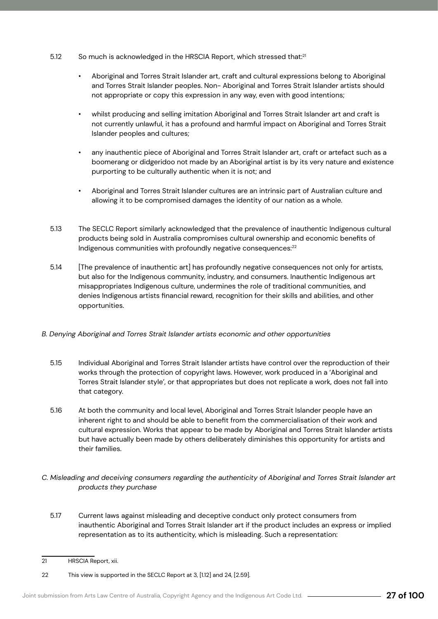- So much is acknowledged in the HRSCIA Report, which stressed that:<sup>21</sup> 5.12
	- Aboriginal and Torres Strait Islander art, craft and cultural expressions belong to Aboriginal and Torres Strait Islander peoples. Non- Aboriginal and Torres Strait Islander artists should not appropriate or copy this expression in any way, even with good intentions;
	- whilst producing and selling imitation Aboriginal and Torres Strait Islander art and craft is not currently unlawful, it has a profound and harmful impact on Aboriginal and Torres Strait Islander peoples and cultures;
	- any inauthentic piece of Aboriginal and Torres Strait Islander art, craft or artefact such as a boomerang or didgeridoo not made by an Aboriginal artist is by its very nature and existence purporting to be culturally authentic when it is not; and
	- Aboriginal and Torres Strait Islander cultures are an intrinsic part of Australian culture and allowing it to be compromised damages the identity of our nation as a whole.
- The SECLC Report similarly acknowledged that the prevalence of inauthentic Indigenous cultural products being sold in Australia compromises cultural ownership and economic benefits of Indigenous communities with profoundly negative consequences:<sup>22</sup> 5.13
- [The prevalence of inauthentic art] has profoundly negative consequences not only for artists, but also for the Indigenous community, industry, and consumers. Inauthentic Indigenous art misappropriates Indigenous culture, undermines the role of traditional communities, and denies Indigenous artists financial reward, recognition for their skills and abilities, and other opportunities. 5.14
- *B. Denying Aboriginal and Torres Strait Islander artists economic and other opportunities*
	- Individual Aboriginal and Torres Strait Islander artists have control over the reproduction of their works through the protection of copyright laws. However, work produced in a 'Aboriginal and Torres Strait Islander style', or that appropriates but does not replicate a work, does not fall into that category. 5.15
	- At both the community and local level, Aboriginal and Torres Strait Islander people have an inherent right to and should be able to benefit from the commercialisation of their work and cultural expression. Works that appear to be made by Aboriginal and Torres Strait Islander artists but have actually been made by others deliberately diminishes this opportunity for artists and their families. 5.16
- *C. Misleading and deceiving consumers regarding the authenticity of Aboriginal and Torres Strait Islander art products they purchase*
	- Current laws against misleading and deceptive conduct only protect consumers from inauthentic Aboriginal and Torres Strait Islander art if the product includes an express or implied representation as to its authenticity, which is misleading. Such a representation: 5.17

<sup>21</sup> HRSCIA Report, xii.

<sup>22</sup> This view is supported in the SECLC Report at 3, [1.12] and 24, [2.59].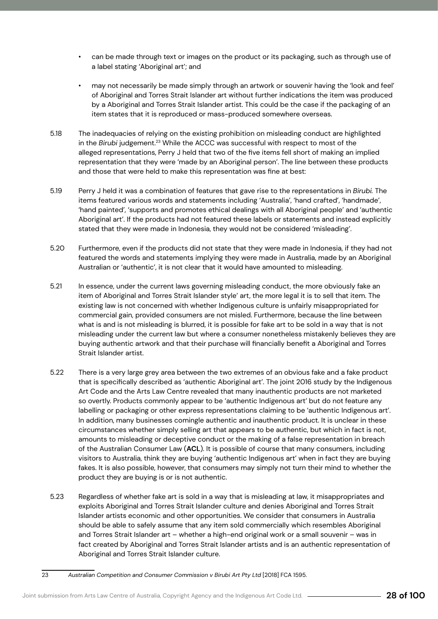- can be made through text or images on the product or its packaging, such as through use of a label stating 'Aboriginal art'; and
- may not necessarily be made simply through an artwork or souvenir having the 'look and feel' of Aboriginal and Torres Strait Islander art without further indications the item was produced by a Aboriginal and Torres Strait Islander artist. This could be the case if the packaging of an item states that it is reproduced or mass-produced somewhere overseas.
- The inadequacies of relying on the existing prohibition on misleading conduct are highlighted in the *Birubi* judgement.23 While the ACCC was successful with respect to most of the alleged representations, Perry J held that two of the five items fell short of making an implied representation that they were 'made by an Aboriginal person'. The line between these products and those that were held to make this representation was fine at best: 5.18
- Perry J held it was a combination of features that gave rise to the representations in *Birubi.* The items featured various words and statements including 'Australia', 'hand crafted', 'handmade', 'hand painted', 'supports and promotes ethical dealings with all Aboriginal people' and 'authentic Aboriginal art'. If the products had not featured these labels or statements and instead explicitly stated that they were made in Indonesia, they would not be considered 'misleading'. 5.19
- Furthermore, even if the products did not state that they were made in Indonesia, if they had not featured the words and statements implying they were made in Australia, made by an Aboriginal Australian or 'authentic', it is not clear that it would have amounted to misleading. 5.20
- In essence, under the current laws governing misleading conduct, the more obviously fake an item of Aboriginal and Torres Strait Islander style' art, the more legal it is to sell that item. The existing law is not concerned with whether Indigenous culture is unfairly misappropriated for commercial gain, provided consumers are not misled. Furthermore, because the line between what is and is not misleading is blurred, it is possible for fake art to be sold in a way that is not misleading under the current law but where a consumer nonetheless mistakenly believes they are buying authentic artwork and that their purchase will financially benefit a Aboriginal and Torres Strait Islander artist. 5.21
- There is a very large grey area between the two extremes of an obvious fake and a fake product that is specifically described as 'authentic Aboriginal art'. The joint 2016 study by the Indigenous Art Code and the Arts Law Centre revealed that many inauthentic products are not marketed so overtly. Products commonly appear to be 'authentic Indigenous art' but do not feature any labelling or packaging or other express representations claiming to be 'authentic Indigenous art'. In addition, many businesses comingle authentic and inauthentic product. It is unclear in these circumstances whether simply selling art that appears to be authentic, but which in fact is not, amounts to misleading or deceptive conduct or the making of a false representation in breach of the Australian Consumer Law (**ACL**). It is possible of course that many consumers, including visitors to Australia, think they are buying 'authentic Indigenous art' when in fact they are buying fakes. It is also possible, however, that consumers may simply not turn their mind to whether the product they are buying is or is not authentic. 5.22
- Regardless of whether fake art is sold in a way that is misleading at law, it misappropriates and exploits Aboriginal and Torres Strait Islander culture and denies Aboriginal and Torres Strait Islander artists economic and other opportunities. We consider that consumers in Australia should be able to safely assume that any item sold commercially which resembles Aboriginal and Torres Strait Islander art – whether a high-end original work or a small souvenir – was in fact created by Aboriginal and Torres Strait Islander artists and is an authentic representation of Aboriginal and Torres Strait Islander culture. 5.23

<sup>23</sup> *Australian Competition and Consumer Commission v Birubi Art Pty Ltd* [2018] FCA 1595.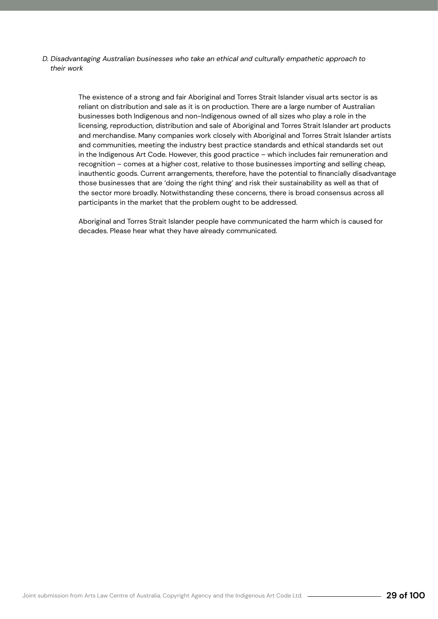*D. Disadvantaging Australian businesses who take an ethical and culturally empathetic approach to their work*

> The existence of a strong and fair Aboriginal and Torres Strait Islander visual arts sector is as reliant on distribution and sale as it is on production. There are a large number of Australian businesses both Indigenous and non-Indigenous owned of all sizes who play a role in the licensing, reproduction, distribution and sale of Aboriginal and Torres Strait Islander art products and merchandise. Many companies work closely with Aboriginal and Torres Strait Islander artists and communities, meeting the industry best practice standards and ethical standards set out in the Indigenous Art Code. However, this good practice – which includes fair remuneration and recognition – comes at a higher cost, relative to those businesses importing and selling cheap, inauthentic goods. Current arrangements, therefore, have the potential to financially disadvantage those businesses that are 'doing the right thing' and risk their sustainability as well as that of the sector more broadly. Notwithstanding these concerns, there is broad consensus across all participants in the market that the problem ought to be addressed.

Aboriginal and Torres Strait Islander people have communicated the harm which is caused for decades. Please hear what they have already communicated.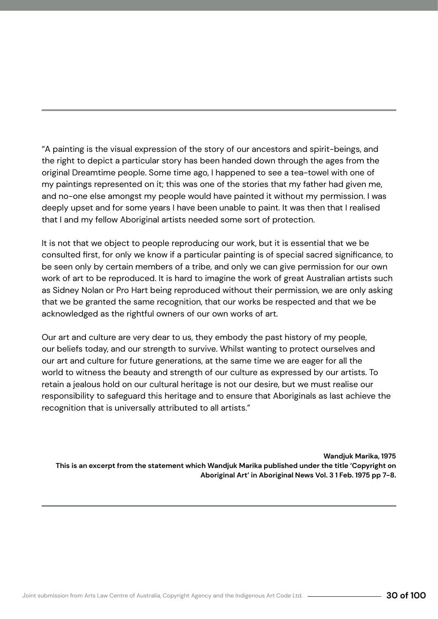"A painting is the visual expression of the story of our ancestors and spirit-beings, and the right to depict a particular story has been handed down through the ages from the original Dreamtime people. Some time ago, I happened to see a tea-towel with one of my paintings represented on it; this was one of the stories that my father had given me, and no-one else amongst my people would have painted it without my permission. I was deeply upset and for some years I have been unable to paint. It was then that I realised that I and my fellow Aboriginal artists needed some sort of protection.

It is not that we object to people reproducing our work, but it is essential that we be consulted first, for only we know if a particular painting is of special sacred significance, to be seen only by certain members of a tribe, and only we can give permission for our own work of art to be reproduced. It is hard to imagine the work of great Australian artists such as Sidney Nolan or Pro Hart being reproduced without their permission, we are only asking that we be granted the same recognition, that our works be respected and that we be acknowledged as the rightful owners of our own works of art.

Our art and culture are very dear to us, they embody the past history of my people, our beliefs today, and our strength to survive. Whilst wanting to protect ourselves and our art and culture for future generations, at the same time we are eager for all the world to witness the beauty and strength of our culture as expressed by our artists. To retain a jealous hold on our cultural heritage is not our desire, but we must realise our responsibility to safeguard this heritage and to ensure that Aboriginals as last achieve the recognition that is universally attributed to all artists."

**Wandjuk Marika, 1975 This is an excerpt from the statement which Wandjuk Marika published under the title 'Copyright on Aboriginal Art' in Aboriginal News Vol. 3 1 Feb. 1975 pp 7-8.**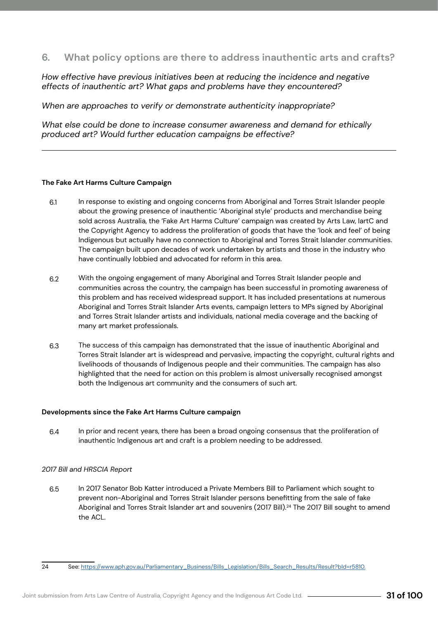#### <span id="page-30-0"></span>**6. What policy options are there to address inauthentic arts and crafts?**

*How effective have previous initiatives been at reducing the incidence and negative effects of inauthentic art? What gaps and problems have they encountered?* 

*When are approaches to verify or demonstrate authenticity inappropriate?* 

*What else could be done to increase consumer awareness and demand for ethically produced art? Would further education campaigns be effective?* 

#### **The Fake Art Harms Culture Campaign**

- In response to existing and ongoing concerns from Aboriginal and Torres Strait Islander people about the growing presence of inauthentic 'Aboriginal style' products and merchandise being sold across Australia, the 'Fake Art Harms Culture' campaign was created by Arts Law, IartC and the Copyright Agency to address the proliferation of goods that have the 'look and feel' of being Indigenous but actually have no connection to Aboriginal and Torres Strait Islander communities. The campaign built upon decades of work undertaken by artists and those in the industry who have continually lobbied and advocated for reform in this area. 6.1
- With the ongoing engagement of many Aboriginal and Torres Strait Islander people and communities across the country, the campaign has been successful in promoting awareness of this problem and has received widespread support. It has included presentations at numerous Aboriginal and Torres Strait Islander Arts events, campaign letters to MPs signed by Aboriginal and Torres Strait Islander artists and individuals, national media coverage and the backing of many art market professionals. 6.2
- The success of this campaign has demonstrated that the issue of inauthentic Aboriginal and Torres Strait Islander art is widespread and pervasive, impacting the copyright, cultural rights and livelihoods of thousands of Indigenous people and their communities. The campaign has also highlighted that the need for action on this problem is almost universally recognised amongst both the Indigenous art community and the consumers of such art. 6.3

#### **Developments since the Fake Art Harms Culture campaign**

In prior and recent years, there has been a broad ongoing consensus that the proliferation of inauthentic Indigenous art and craft is a problem needing to be addressed. 6.4

#### *2017 Bill and HRSCIA Report*

- In 2017 Senator Bob Katter introduced a Private Members Bill to Parliament which sought to prevent non-Aboriginal and Torres Strait Islander persons benefitting from the sale of fake Aboriginal and Torres Strait Islander art and souvenirs (2017 Bill).<sup>24</sup> The 2017 Bill sought to amend the ACL. 6.5
- 

<sup>24</sup> See: https://www.aph.gov.au/Parliamentary\_Business/Bills\_Legislation/Bills\_Search\_Results/Result?bId=r5810.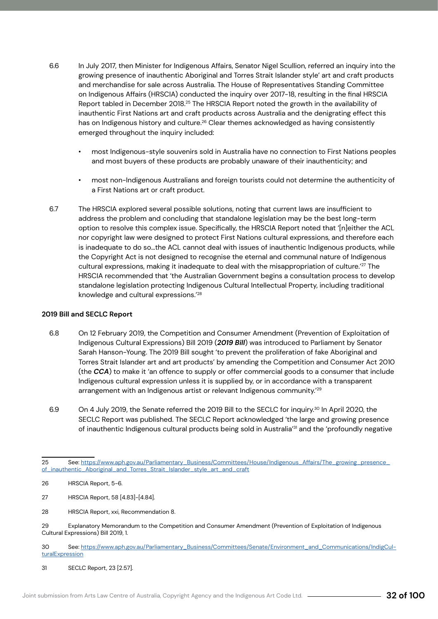- In July 2017, then Minister for Indigenous Affairs, Senator Nigel Scullion, referred an inquiry into the growing presence of inauthentic Aboriginal and Torres Strait Islander style' art and craft products and merchandise for sale across Australia. The House of Representatives Standing Committee on Indigenous Affairs (HRSCIA) conducted the inquiry over 2017-18, resulting in the final HRSCIA Report tabled in December 2018.<sup>25</sup> The HRSCIA Report noted the growth in the availability of inauthentic First Nations art and craft products across Australia and the denigrating effect this has on Indigenous history and culture.<sup>26</sup> Clear themes acknowledged as having consistently emerged throughout the inquiry included: 6.6
	- most Indigenous-style souvenirs sold in Australia have no connection to First Nations peoples and most buyers of these products are probably unaware of their inauthenticity; and
	- most non-Indigenous Australians and foreign tourists could not determine the authenticity of a First Nations art or craft product.
- The HRSCIA explored several possible solutions, noting that current laws are insufficient to address the problem and concluding that standalone legislation may be the best long-term option to resolve this complex issue. Specifically, the HRSCIA Report noted that '[n]either the ACL nor copyright law were designed to protect First Nations cultural expressions, and therefore each is inadequate to do so…the ACL cannot deal with issues of inauthentic Indigenous products, while the Copyright Act is not designed to recognise the eternal and communal nature of Indigenous cultural expressions, making it inadequate to deal with the misappropriation of culture.<sup>'27</sup> The HRSCIA recommended that 'the Australian Government begins a consultation process to develop standalone legislation protecting Indigenous Cultural Intellectual Property, including traditional knowledge and cultural expressions.'28 6.7

#### **2019 Bill and SECLC Report**

- On 12 February 2019, the Competition and Consumer Amendment (Prevention of Exploitation of Indigenous Cultural Expressions) Bill 2019 (*2019 Bill*) was introduced to Parliament by Senator Sarah Hanson-Young. The 2019 Bill sought 'to prevent the proliferation of fake Aboriginal and Torres Strait Islander art and art products' by amending the Competition and Consumer Act 2010 (the *CCA*) to make it 'an offence to supply or offer commercial goods to a consumer that include Indigenous cultural expression unless it is supplied by, or in accordance with a transparent arrangement with an Indigenous artist or relevant Indigenous community.<sup>'29</sup> 6.8
- On 4 July 2019, the Senate referred the 2019 Bill to the SECLC for inquiry.30 In April 2020, the SECLC Report was published. The SECLC Report acknowledged 'the large and growing presence of inauthentic Indigenous cultural products being sold in Australia<sup>'31</sup> and the 'profoundly negative 6.9

<sup>25</sup> See: https://www.aph.gov.au/Parliamentary\_Business/Committees/House/Indigenous\_Affairs/The\_growing\_presence\_ of\_inauthentic\_Aboriginal\_and\_Torres\_Strait\_Islander\_style\_art\_and\_craft

<sup>26</sup> HRSCIA Report, 5-6.

<sup>27</sup> HRSCIA Report, 58 [4.83]-[4.84].

<sup>28</sup> HRSCIA Report, xxi, Recommendation 8.

<sup>29</sup> Explanatory Memorandum to the Competition and Consumer Amendment (Prevention of Exploitation of Indigenous Cultural Expressions) Bill 2019, 1.

<sup>30</sup> See: https://www.aph.gov.au/Parliamentary\_Business/Committees/Senate/Environment\_and\_Communications/IndigCul**turalExpression** 

<sup>31</sup> SECLC Report, 23 [2.57].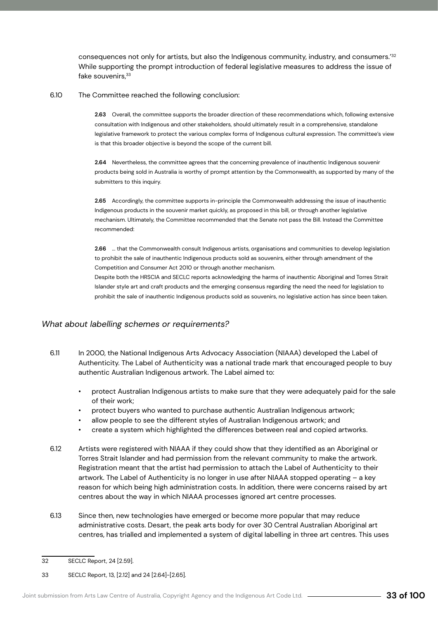consequences not only for artists, but also the Indigenous community, industry, and consumers.<sup>'32</sup> While supporting the prompt introduction of federal legislative measures to address the issue of fake souvenirs, 33

#### The Committee reached the following conclusion: 6.10

**2.63** Overall, the committee supports the broader direction of these recommendations which, following extensive consultation with Indigenous and other stakeholders, should ultimately result in a comprehensive, standalone legislative framework to protect the various complex forms of Indigenous cultural expression. The committee's view is that this broader objective is beyond the scope of the current bill.

**2.64** Nevertheless, the committee agrees that the concerning prevalence of inauthentic Indigenous souvenir products being sold in Australia is worthy of prompt attention by the Commonwealth, as supported by many of the submitters to this inquiry.

**2.65** Accordingly, the committee supports in-principle the Commonwealth addressing the issue of inauthentic Indigenous products in the souvenir market quickly, as proposed in this bill, or through another legislative mechanism. Ultimately, the Committee recommended that the Senate not pass the Bill. Instead the Committee recommended:

**2.66** ... that the Commonwealth consult Indigenous artists, organisations and communities to develop legislation to prohibit the sale of inauthentic Indigenous products sold as souvenirs, either through amendment of the Competition and Consumer Act 2010 or through another mechanism.

Despite both the HRSCIA and SECLC reports acknowledging the harms of inauthentic Aboriginal and Torres Strait Islander style art and craft products and the emerging consensus regarding the need the need for legislation to prohibit the sale of inauthentic Indigenous products sold as souvenirs, no legislative action has since been taken.

#### *What about labelling schemes or requirements?*

- In 2000, the National Indigenous Arts Advocacy Association (NIAAA) developed the Label of Authenticity. The Label of Authenticity was a national trade mark that encouraged people to buy authentic Australian Indigenous artwork. The Label aimed to: 6.11
	- protect Australian Indigenous artists to make sure that they were adequately paid for the sale of their work;
	- protect buyers who wanted to purchase authentic Australian Indigenous artwork;
	- allow people to see the different styles of Australian Indigenous artwork; and
	- create a system which highlighted the differences between real and copied artworks.
- Artists were registered with NIAAA if they could show that they identified as an Aboriginal or Torres Strait Islander and had permission from the relevant community to make the artwork. Registration meant that the artist had permission to attach the Label of Authenticity to their artwork. The Label of Authenticity is no longer in use after NIAAA stopped operating – a key reason for which being high administration costs. In addition, there were concerns raised by art centres about the way in which NIAAA processes ignored art centre processes. 6.12
- Since then, new technologies have emerged or become more popular that may reduce administrative costs. Desart, the peak arts body for over 30 Central Australian Aboriginal art centres, has trialled and implemented a system of digital labelling in three art centres. This uses 6.13

<sup>32</sup> SECLC Report, 24 [2.59].

<sup>33</sup> SECLC Report, 13, [2.12] and 24 [2.64]-[2.65].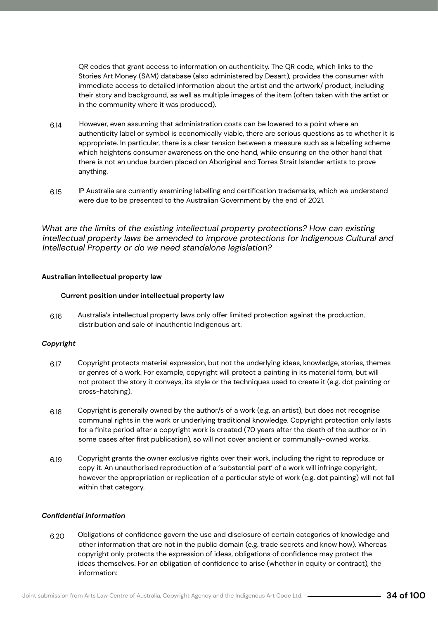QR codes that grant access to information on authenticity. The QR code, which links to the Stories Art Money (SAM) database (also administered by Desart), provides the consumer with immediate access to detailed information about the artist and the artwork/ product, including their story and background, as well as multiple images of the item (often taken with the artist or in the community where it was produced).

- However, even assuming that administration costs can be lowered to a point where an authenticity label or symbol is economically viable, there are serious questions as to whether it is appropriate. In particular, there is a clear tension between a measure such as a labelling scheme which heightens consumer awareness on the one hand, while ensuring on the other hand that there is not an undue burden placed on Aboriginal and Torres Strait Islander artists to prove anything. 6.14
- IP Australia are currently examining labelling and certification trademarks, which we understand were due to be presented to the Australian Government by the end of 2021. 6.15

*What are the limits of the existing intellectual property protections? How can existing intellectual property laws be amended to improve protections for Indigenous Cultural and Intellectual Property or do we need standalone legislation?*

#### **Australian intellectual property law**

#### **Current position under intellectual property law**

Australia's intellectual property laws only offer limited protection against the production, distribution and sale of inauthentic Indigenous art. 6.16

#### *Copyright*

- Copyright protects material expression, but not the underlying ideas, knowledge, stories, themes or genres of a work. For example, copyright will protect a painting in its material form, but will not protect the story it conveys, its style or the techniques used to create it (e.g. dot painting or cross-hatching). 6.17
- Copyright is generally owned by the author/s of a work (e.g. an artist), but does not recognise communal rights in the work or underlying traditional knowledge. Copyright protection only lasts for a finite period after a copyright work is created (70 years after the death of the author or in some cases after first publication), so will not cover ancient or communally-owned works. 6.18
- Copyright grants the owner exclusive rights over their work, including the right to reproduce or copy it. An unauthorised reproduction of a 'substantial part' of a work will infringe copyright, however the appropriation or replication of a particular style of work (e.g. dot painting) will not fall within that category. 6.19

#### *Confidential information*

Obligations of confidence govern the use and disclosure of certain categories of knowledge and other information that are not in the public domain (e.g. trade secrets and know how). Whereas copyright only protects the expression of ideas, obligations of confidence may protect the ideas themselves. For an obligation of confidence to arise (whether in equity or contract), the information: 6.20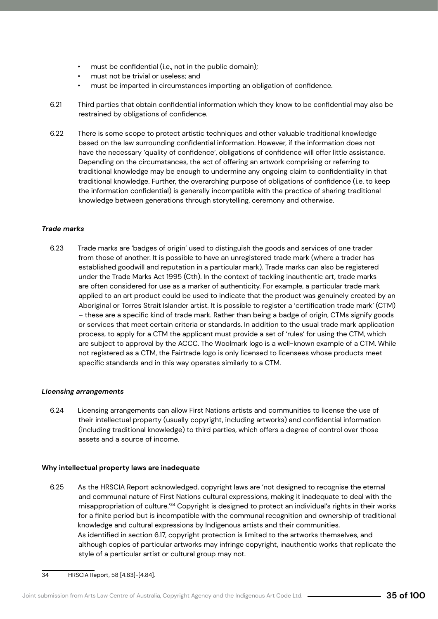- must be confidential (i.e., not in the public domain);
- must not be trivial or useless; and
- must be imparted in circumstances importing an obligation of confidence.
- Third parties that obtain confidential information which they know to be confidential may also be restrained by obligations of confidence. 6.21
- There is some scope to protect artistic techniques and other valuable traditional knowledge based on the law surrounding confidential information. However, if the information does not have the necessary 'quality of confidence', obligations of confidence will offer little assistance. Depending on the circumstances, the act of offering an artwork comprising or referring to traditional knowledge may be enough to undermine any ongoing claim to confidentiality in that traditional knowledge. Further, the overarching purpose of obligations of confidence (i.e. to keep the information confidential) is generally incompatible with the practice of sharing traditional knowledge between generations through storytelling, ceremony and otherwise. 6.22

#### *Trade marks*

Trade marks are 'badges of origin' used to distinguish the goods and services of one trader from those of another. It is possible to have an unregistered trade mark (where a trader has established goodwill and reputation in a particular mark). Trade marks can also be registered under the Trade Marks Act 1995 (Cth). In the context of tackling inauthentic art, trade marks are often considered for use as a marker of authenticity. For example, a particular trade mark applied to an art product could be used to indicate that the product was genuinely created by an Aboriginal or Torres Strait Islander artist. It is possible to register a 'certification trade mark' (CTM) – these are a specific kind of trade mark. Rather than being a badge of origin, CTMs signify goods or services that meet certain criteria or standards. In addition to the usual trade mark application process, to apply for a CTM the applicant must provide a set of 'rules' for using the CTM, which are subject to approval by the ACCC. The Woolmark logo is a well-known example of a CTM. While not registered as a CTM, the Fairtrade logo is only licensed to licensees whose products meet specific standards and in this way operates similarly to a CTM. 6.23

#### *Licensing arrangements*

Licensing arrangements can allow First Nations artists and communities to license the use of their intellectual property (usually copyright, including artworks) and confidential information (including traditional knowledge) to third parties, which offers a degree of control over those assets and a source of income. 6.24

#### **Why intellectual property laws are inadequate**

As the HRSCIA Report acknowledged, copyright laws are 'not designed to recognise the eternal and communal nature of First Nations cultural expressions, making it inadequate to deal with the misappropriation of culture.'34 Copyright is designed to protect an individual's rights in their works for a finite period but is incompatible with the communal recognition and ownership of traditional knowledge and cultural expressions by Indigenous artists and their communities. As identified in section 6.17, copyright protection is limited to the artworks themselves, and although copies of particular artworks may infringe copyright, inauthentic works that replicate the style of a particular artist or cultural group may not. 6.25

<sup>34</sup> HRSCIA Report, 58 [4.83]-[4.84].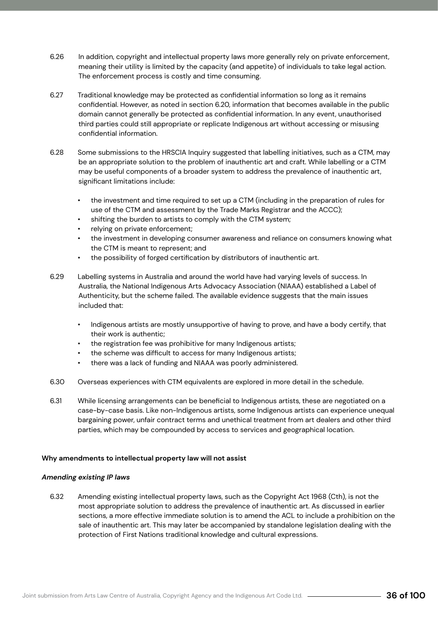- In addition, copyright and intellectual property laws more generally rely on private enforcement, meaning their utility is limited by the capacity (and appetite) of individuals to take legal action. The enforcement process is costly and time consuming. 6.26
- Traditional knowledge may be protected as confidential information so long as it remains confidential. However, as noted in section 6.20, information that becomes available in the public domain cannot generally be protected as confidential information. In any event, unauthorised third parties could still appropriate or replicate Indigenous art without accessing or misusing confidential information. 6.27
- Some submissions to the HRSCIA Inquiry suggested that labelling initiatives, such as a CTM, may be an appropriate solution to the problem of inauthentic art and craft. While labelling or a CTM may be useful components of a broader system to address the prevalence of inauthentic art, significant limitations include: 6.28
	- the investment and time required to set up a CTM (including in the preparation of rules for use of the CTM and assessment by the Trade Marks Registrar and the ACCC);
	- shifting the burden to artists to comply with the CTM system;
	- relying on private enforcement;
	- the investment in developing consumer awareness and reliance on consumers knowing what the CTM is meant to represent; and
	- the possibility of forged certification by distributors of inauthentic art.
- Labelling systems in Australia and around the world have had varying levels of success. In Australia, the National Indigenous Arts Advocacy Association (NIAAA) established a Label of Authenticity, but the scheme failed. The available evidence suggests that the main issues included that: 6.29
	- Indigenous artists are mostly unsupportive of having to prove, and have a body certify, that their work is authentic;
	- the registration fee was prohibitive for many Indigenous artists;
	- the scheme was difficult to access for many Indigenous artists;
	- there was a lack of funding and NIAAA was poorly administered.
- Overseas experiences with CTM equivalents are explored in more detail in the schedule. 6.30
- While licensing arrangements can be beneficial to Indigenous artists, these are negotiated on a case-by-case basis. Like non-Indigenous artists, some Indigenous artists can experience unequal bargaining power, unfair contract terms and unethical treatment from art dealers and other third parties, which may be compounded by access to services and geographical location. 6.31

#### **Why amendments to intellectual property law will not assist**

#### *Amending existing IP laws*

Amending existing intellectual property laws, such as the Copyright Act 1968 (Cth), is not the most appropriate solution to address the prevalence of inauthentic art. As discussed in earlier sections, a more effective immediate solution is to amend the ACL to include a prohibition on the sale of inauthentic art. This may later be accompanied by standalone legislation dealing with the protection of First Nations traditional knowledge and cultural expressions. 6.32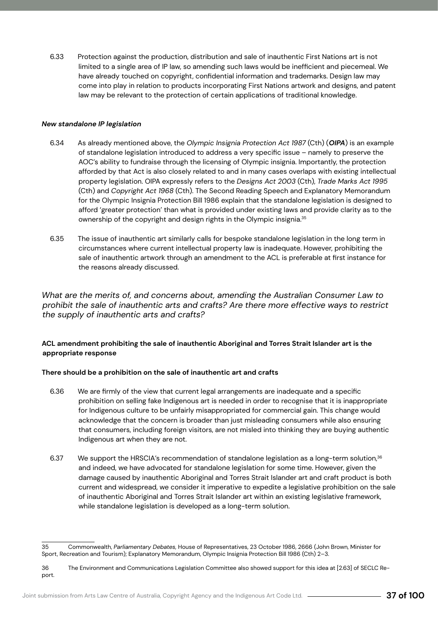Protection against the production, distribution and sale of inauthentic First Nations art is not limited to a single area of IP law, so amending such laws would be inefficient and piecemeal. We have already touched on copyright, confidential information and trademarks. Design law may come into play in relation to products incorporating First Nations artwork and designs, and patent law may be relevant to the protection of certain applications of traditional knowledge. 6.33

### *New standalone IP legislation*

- As already mentioned above, the *Olympic Insignia Protection Act 1987* (Cth) (*OIPA*) is an example of standalone legislation introduced to address a very specific issue – namely to preserve the AOC's ability to fundraise through the licensing of Olympic insignia. Importantly, the protection afforded by that Act is also closely related to and in many cases overlaps with existing intellectual property legislation. OIPA expressly refers to the *Designs Act 2003* (Cth), *Trade Marks Act 1995*  (Cth) and *Copyright Act 1968* (Cth). The Second Reading Speech and Explanatory Memorandum for the Olympic Insignia Protection Bill 1986 explain that the standalone legislation is designed to afford 'greater protection' than what is provided under existing laws and provide clarity as to the ownership of the copyright and design rights in the Olympic insignia.35 6.34
- The issue of inauthentic art similarly calls for bespoke standalone legislation in the long term in circumstances where current intellectual property law is inadequate. However, prohibiting the sale of inauthentic artwork through an amendment to the ACL is preferable at first instance for the reasons already discussed. 6.35

*What are the merits of, and concerns about, amending the Australian Consumer Law to prohibit the sale of inauthentic arts and crafts? Are there more effective ways to restrict the supply of inauthentic arts and crafts?* 

### **ACL amendment prohibiting the sale of inauthentic Aboriginal and Torres Strait Islander art is the appropriate response**

### **There should be a prohibition on the sale of inauthentic art and crafts**

- We are firmly of the view that current legal arrangements are inadequate and a specific prohibition on selling fake Indigenous art is needed in order to recognise that it is inappropriate for Indigenous culture to be unfairly misappropriated for commercial gain. This change would acknowledge that the concern is broader than just misleading consumers while also ensuring that consumers, including foreign visitors, are not misled into thinking they are buying authentic Indigenous art when they are not. 6.36
- We support the HRSCIA's recommendation of standalone legislation as a long-term solution,<sup>36</sup> and indeed, we have advocated for standalone legislation for some time. However, given the damage caused by inauthentic Aboriginal and Torres Strait Islander art and craft product is both current and widespread, we consider it imperative to expedite a legislative prohibition on the sale of inauthentic Aboriginal and Torres Strait Islander art within an existing legislative framework, while standalone legislation is developed as a long-term solution. 6.37

<sup>35</sup> Commonwealth, *Parliamentary Debates,* House of Representatives, 23 October 1986, 2666 (John Brown, Minister for Sport, Recreation and Tourism); Explanatory Memorandum, Olympic Insignia Protection Bill 1986 (Cth) 2–3.

<sup>36</sup> The Environment and Communications Legislation Committee also showed support for this idea at [2.63] of SECLC Report.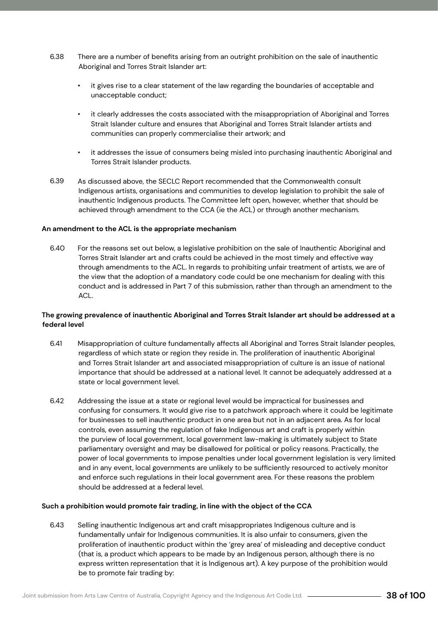- There are a number of benefits arising from an outright prohibition on the sale of inauthentic Aboriginal and Torres Strait Islander art: 6.38
	- it gives rise to a clear statement of the law regarding the boundaries of acceptable and unacceptable conduct;
	- it clearly addresses the costs associated with the misappropriation of Aboriginal and Torres Strait Islander culture and ensures that Aboriginal and Torres Strait Islander artists and communities can properly commercialise their artwork; and
	- it addresses the issue of consumers being misled into purchasing inauthentic Aboriginal and Torres Strait Islander products.
- As discussed above, the SECLC Report recommended that the Commonwealth consult Indigenous artists, organisations and communities to develop legislation to prohibit the sale of inauthentic Indigenous products. The Committee left open, however, whether that should be achieved through amendment to the CCA (ie the ACL) or through another mechanism. 6.39

### **An amendment to the ACL is the appropriate mechanism**

For the reasons set out below, a legislative prohibition on the sale of Inauthentic Aboriginal and Torres Strait Islander art and crafts could be achieved in the most timely and effective way through amendments to the ACL. In regards to prohibiting unfair treatment of artists, we are of the view that the adoption of a mandatory code could be one mechanism for dealing with this conduct and is addressed in Part 7 of this submission, rather than through an amendment to the ACL.  $640$ 

### **The growing prevalence of inauthentic Aboriginal and Torres Strait Islander art should be addressed at a federal level**

- Misappropriation of culture fundamentally affects all Aboriginal and Torres Strait Islander peoples, regardless of which state or region they reside in. The proliferation of inauthentic Aboriginal and Torres Strait Islander art and associated misappropriation of culture is an issue of national importance that should be addressed at a national level. It cannot be adequately addressed at a state or local government level. 6.41
- Addressing the issue at a state or regional level would be impractical for businesses and confusing for consumers. It would give rise to a patchwork approach where it could be legitimate for businesses to sell inauthentic product in one area but not in an adjacent area. As for local controls, even assuming the regulation of fake Indigenous art and craft is properly within the purview of local government, local government law-making is ultimately subject to State parliamentary oversight and may be disallowed for political or policy reasons. Practically, the power of local governments to impose penalties under local government legislation is very limited and in any event, local governments are unlikely to be sufficiently resourced to actively monitor and enforce such regulations in their local government area. For these reasons the problem should be addressed at a federal level. 6.42

#### **Such a prohibition would promote fair trading, in line with the object of the CCA**

Selling inauthentic Indigenous art and craft misappropriates Indigenous culture and is fundamentally unfair for Indigenous communities. It is also unfair to consumers, given the proliferation of inauthentic product within the 'grey area' of misleading and deceptive conduct (that is, a product which appears to be made by an Indigenous person, although there is no express written representation that it is Indigenous art). A key purpose of the prohibition would be to promote fair trading by: 6.43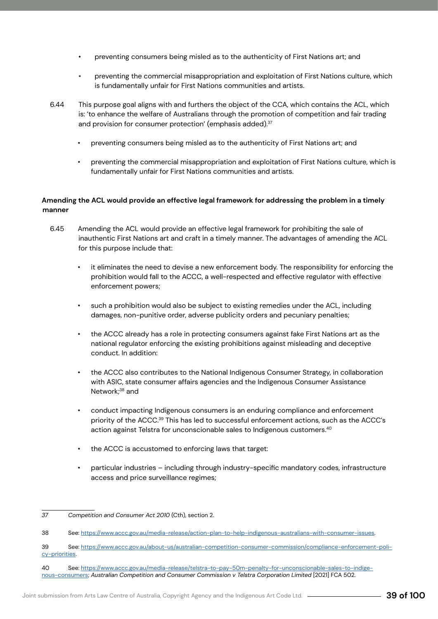- preventing consumers being misled as to the authenticity of First Nations art; and
- preventing the commercial misappropriation and exploitation of First Nations culture, which is fundamentally unfair for First Nations communities and artists.
- This purpose goal aligns with and furthers the object of the CCA, which contains the ACL, which is: 'to enhance the welfare of Australians through the promotion of competition and fair trading and provision for consumer protection' (emphasis added).<sup>37</sup> 6.44
	- preventing consumers being misled as to the authenticity of First Nations art; and
	- preventing the commercial misappropriation and exploitation of First Nations culture, which is fundamentally unfair for First Nations communities and artists.

### **Amending the ACL would provide an effective legal framework for addressing the problem in a timely manner**

- Amending the ACL would provide an effective legal framework for prohibiting the sale of inauthentic First Nations art and craft in a timely manner. The advantages of amending the ACL for this purpose include that: 6.45
	- it eliminates the need to devise a new enforcement body. The responsibility for enforcing the prohibition would fall to the ACCC, a well-respected and effective regulator with effective enforcement powers;
	- such a prohibition would also be subject to existing remedies under the ACL, including damages, non-punitive order, adverse publicity orders and pecuniary penalties;
	- the ACCC already has a role in protecting consumers against fake First Nations art as the national regulator enforcing the existing prohibitions against misleading and deceptive conduct. In addition:
	- the ACCC also contributes to the National Indigenous Consumer Strategy, in collaboration with ASIC, state consumer affairs agencies and the Indigenous Consumer Assistance Network;<sup>38</sup> and
	- conduct impacting Indigenous consumers is an enduring compliance and enforcement priority of the ACCC.39 This has led to successful enforcement actions, such as the ACCC's action against Telstra for unconscionable sales to Indigenous customers.40
	- the ACCC is accustomed to enforcing laws that target:
	- particular industries including through industry-specific mandatory codes, infrastructure access and price surveillance regimes;

*<sup>37</sup> Competition and Consumer Act 2010* (Cth), section 2.

<sup>38</sup> See: https://www.accc.gov.au/media-release/action-plan-to-help-indigenous-australians-with-consumer-issues.

<sup>39</sup> See: https://www.accc.gov.au/about-us/australian-competition-consumer-commission/compliance-enforcement-policy-priorities.

<sup>40</sup> See: https://www.accc.gov.au/media-release/telstra-to-pay-50m-penalty-for-unconscionable-sales-to-indigenous-consumers; *Australian Competition and Consumer Commission v Telstra Corporation Limited* [2021] FCA 502.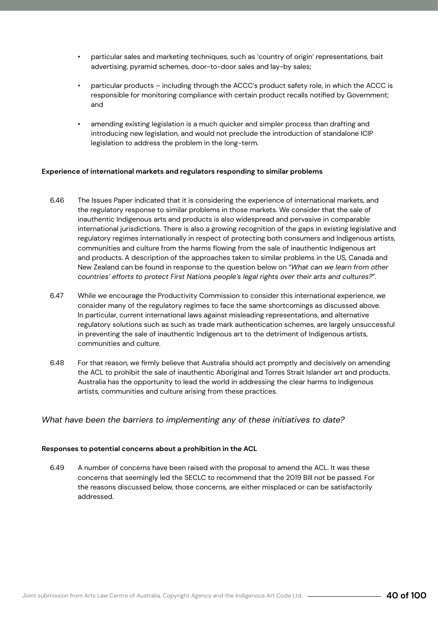- particular sales and marketing techniques, such as 'country of origin' representations, bait advertising, pyramid schemes, door-to-door sales and lay-by sales;
- particular products including through the ACCC's product safety role, in which the ACCC is responsible for monitoring compliance with certain product recalls notified by Government; and
- amending existing legislation is a much quicker and simpler process than drafting and introducing new legislation, and would not preclude the introduction of standalone ICIP legislation to address the problem in the long-term.

### **Experience of international markets and regulators responding to similar problems**

- The Issues Paper indicated that it is considering the experience of international markets, and the regulatory response to similar problems in those markets. We consider that the sale of inauthentic Indigenous arts and products is also widespread and pervasive in comparable international jurisdictions. There is also a growing recognition of the gaps in existing legislative and regulatory regimes internationally in respect of protecting both consumers and Indigenous artists, communities and culture from the harms flowing from the sale of inauthentic Indigenous art and products. A description of the approaches taken to similar problems in the US, Canada and New Zealand can be found in response to the question below on "*What can we learn from other countries' efforts to protect First Nations people's legal rights over their arts and cultures?*". 6.46
- While we encourage the Productivity Commission to consider this international experience, we consider many of the regulatory regimes to face the same shortcomings as discussed above. In particular, current international laws against misleading representations, and alternative regulatory solutions such as such as trade mark authentication schemes, are largely unsuccessful in preventing the sale of inauthentic Indigenous art to the detriment of Indigenous artists, communities and culture. 6.47
- For that reason, we firmly believe that Australia should act promptly and decisively on amending the ACL to prohibit the sale of inauthentic Aboriginal and Torres Strait Islander art and products. Australia has the opportunity to lead the world in addressing the clear harms to Indigenous artists, communities and culture arising from these practices. 6.48

### *What have been the barriers to implementing any of these initiatives to date?*

#### **Responses to potential concerns about a prohibition in the ACL**

A number of concerns have been raised with the proposal to amend the ACL. It was these concerns that seemingly led the SECLC to recommend that the 2019 Bill not be passed. For the reasons discussed below, those concerns, are either misplaced or can be satisfactorily addressed. 6.49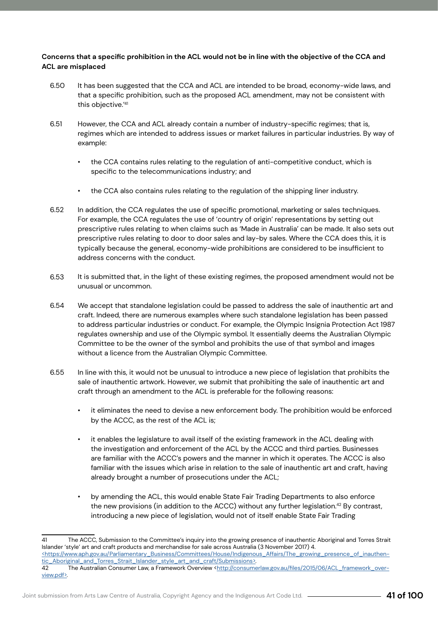### **Concerns that a specific prohibition in the ACL would not be in line with the objective of the CCA and ACL are misplaced**

- It has been suggested that the CCA and ACL are intended to be broad, economy-wide laws, and that a specific prohibition, such as the proposed ACL amendment, may not be consistent with this objective."41 6.50
- However, the CCA and ACL already contain a number of industry-specific regimes; that is, regimes which are intended to address issues or market failures in particular industries. By way of example: 6.51
	- the CCA contains rules relating to the regulation of anti-competitive conduct, which is specific to the telecommunications industry; and
	- the CCA also contains rules relating to the regulation of the shipping liner industry.
- In addition, the CCA regulates the use of specific promotional, marketing or sales techniques. For example, the CCA regulates the use of 'country of origin' representations by setting out prescriptive rules relating to when claims such as 'Made in Australia' can be made. It also sets out prescriptive rules relating to door to door sales and lay-by sales. Where the CCA does this, it is typically because the general, economy-wide prohibitions are considered to be insufficient to address concerns with the conduct. 6.52
- It is submitted that, in the light of these existing regimes, the proposed amendment would not be unusual or uncommon. 6.53
- We accept that standalone legislation could be passed to address the sale of inauthentic art and craft. Indeed, there are numerous examples where such standalone legislation has been passed to address particular industries or conduct. For example, the Olympic Insignia Protection Act 1987 regulates ownership and use of the Olympic symbol. It essentially deems the Australian Olympic Committee to be the owner of the symbol and prohibits the use of that symbol and images without a licence from the Australian Olympic Committee. 6.54
- In line with this, it would not be unusual to introduce a new piece of legislation that prohibits the sale of inauthentic artwork. However, we submit that prohibiting the sale of inauthentic art and craft through an amendment to the ACL is preferable for the following reasons: 6.55
	- it eliminates the need to devise a new enforcement body. The prohibition would be enforced by the ACCC, as the rest of the ACL is;
	- it enables the legislature to avail itself of the existing framework in the ACL dealing with the investigation and enforcement of the ACL by the ACCC and third parties. Businesses are familiar with the ACCC's powers and the manner in which it operates. The ACCC is also familiar with the issues which arise in relation to the sale of inauthentic art and craft, having already brought a number of prosecutions under the ACL;
	- by amending the ACL, this would enable State Fair Trading Departments to also enforce the new provisions (in addition to the ACCC) without any further legislation.<sup>42</sup> By contrast, introducing a new piece of legislation, would not of itself enable State Fair Trading

The ACCC, Submission to the Committee's inquiry into the growing presence of inauthentic Aboriginal and Torres Strait Islander 'style' art and craft products and merchandise for sale across Australia (3 November 2017) 4. <https://www.aph.gov.au/Parliamentary\_Business/Committees/House/Indigenous\_Affairs/The\_growing\_presence\_of\_inauthentic\_Aboriginal\_and\_Torres\_Strait\_Islander\_style\_art\_and\_craft/Submissions>. 42 The Australian Consumer Law, a Framework Overview <http://consumerlaw.gov.au/files/2015/06/ACL\_framework\_overview.pdf>.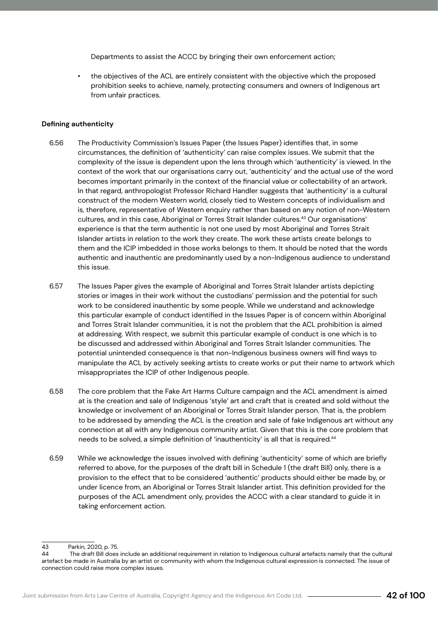Departments to assist the ACCC by bringing their own enforcement action;

• the objectives of the ACL are entirely consistent with the objective which the proposed prohibition seeks to achieve, namely, protecting consumers and owners of Indigenous art from unfair practices.

#### **Defining authenticity**

- The Productivity Commission's Issues Paper (the Issues Paper) identifies that, in some circumstances, the definition of 'authenticity' can raise complex issues. We submit that the complexity of the issue is dependent upon the lens through which 'authenticity' is viewed. In the context of the work that our organisations carry out, 'authenticity' and the actual use of the word becomes important primarily in the context of the financial value or collectability of an artwork. In that regard, anthropologist Professor Richard Handler suggests that 'authenticity' is a cultural construct of the modern Western world, closely tied to Western concepts of individualism and is, therefore, representative of Western enquiry rather than based on any notion of non-Western cultures, and in this case, Aboriginal or Torres Strait Islander cultures.<sup>43</sup> Our organisations' experience is that the term authentic is not one used by most Aboriginal and Torres Strait Islander artists in relation to the work they create. The work these artists create belongs to them and the ICIP imbedded in those works belongs to them. It should be noted that the words authentic and inauthentic are predominantly used by a non-Indigenous audience to understand this issue. 6.56
- The Issues Paper gives the example of Aboriginal and Torres Strait Islander artists depicting stories or images in their work without the custodians' permission and the potential for such work to be considered inauthentic by some people. While we understand and acknowledge this particular example of conduct identified in the Issues Paper is of concern within Aboriginal and Torres Strait Islander communities, it is not the problem that the ACL prohibition is aimed at addressing. With respect, we submit this particular example of conduct is one which is to be discussed and addressed within Aboriginal and Torres Strait Islander communities. The potential unintended consequence is that non-Indigenous business owners will find ways to manipulate the ACL by actively seeking artists to create works or put their name to artwork which misappropriates the ICIP of other Indigenous people. 6.57
- The core problem that the Fake Art Harms Culture campaign and the ACL amendment is aimed at is the creation and sale of Indigenous 'style' art and craft that is created and sold without the knowledge or involvement of an Aboriginal or Torres Strait Islander person. That is, the problem to be addressed by amending the ACL is the creation and sale of fake Indigenous art without any connection at all with any Indigenous community artist. Given that this is the core problem that needs to be solved, a simple definition of 'inauthenticity' is all that is required.<sup>44</sup> 6.58
- While we acknowledge the issues involved with defining 'authenticity' some of which are briefly referred to above, for the purposes of the draft bill in Schedule 1 (the draft Bill) only, there is a provision to the effect that to be considered 'authentic' products should either be made by, or under licence from, an Aboriginal or Torres Strait Islander artist. This definition provided for the purposes of the ACL amendment only, provides the ACCC with a clear standard to guide it in taking enforcement action. 6.59

<sup>43</sup> Parkin, 2020, p. 75.

<sup>44</sup> The draft Bill does include an additional requirement in relation to Indigenous cultural artefacts namely that the cultural artefact be made in Australia by an artist or community with whom the Indigenous cultural expression is connected. The issue of connection could raise more complex issues.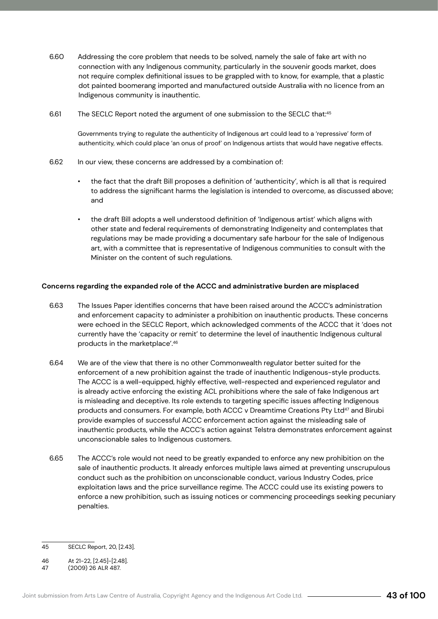- Addressing the core problem that needs to be solved, namely the sale of fake art with no connection with any Indigenous community, particularly in the souvenir goods market, does not require complex definitional issues to be grappled with to know, for example, that a plastic dot painted boomerang imported and manufactured outside Australia with no licence from an Indigenous community is inauthentic. 6.60
- The SECLC Report noted the argument of one submission to the SECLC that:<sup>45</sup> 6.61

Governments trying to regulate the authenticity of Indigenous art could lead to a 'repressive' form of authenticity, which could place 'an onus of proof' on Indigenous artists that would have negative effects.

- In our view, these concerns are addressed by a combination of: 6.62
	- the fact that the draft Bill proposes a definition of 'authenticity', which is all that is required to address the significant harms the legislation is intended to overcome, as discussed above; and
	- the draft Bill adopts a well understood definition of 'Indigenous artist' which aligns with other state and federal requirements of demonstrating Indigeneity and contemplates that regulations may be made providing a documentary safe harbour for the sale of Indigenous art, with a committee that is representative of Indigenous communities to consult with the Minister on the content of such regulations.

### **Concerns regarding the expanded role of the ACCC and administrative burden are misplaced**

- The Issues Paper identifies concerns that have been raised around the ACCC's administration and enforcement capacity to administer a prohibition on inauthentic products. These concerns were echoed in the SECLC Report, which acknowledged comments of the ACCC that it 'does not currently have the 'capacity or remit' to determine the level of inauthentic Indigenous cultural products in the marketplace'.46 6.63
- We are of the view that there is no other Commonwealth regulator better suited for the enforcement of a new prohibition against the trade of inauthentic Indigenous-style products. The ACCC is a well-equipped, highly effective, well-respected and experienced regulator and is already active enforcing the existing ACL prohibitions where the sale of fake Indigenous art is misleading and deceptive. Its role extends to targeting specific issues affecting Indigenous products and consumers. For example, both ACCC v Dreamtime Creations Pty Ltd47 and Birubi provide examples of successful ACCC enforcement action against the misleading sale of inauthentic products, while the ACCC's action against Telstra demonstrates enforcement against unconscionable sales to Indigenous customers. 6.64
- The ACCC's role would not need to be greatly expanded to enforce any new prohibition on the sale of inauthentic products. It already enforces multiple laws aimed at preventing unscrupulous conduct such as the prohibition on unconscionable conduct, various Industry Codes, price exploitation laws and the price surveillance regime. The ACCC could use its existing powers to enforce a new prohibition, such as issuing notices or commencing proceedings seeking pecuniary penalties. 6.65

<sup>45</sup> SECLC Report, 20, [2.43].

<sup>46</sup> At 21-22, [2.45]-[2.48].<br>47 (2009) 26 ALR 487.

<sup>(2009) 26</sup> ALR 487.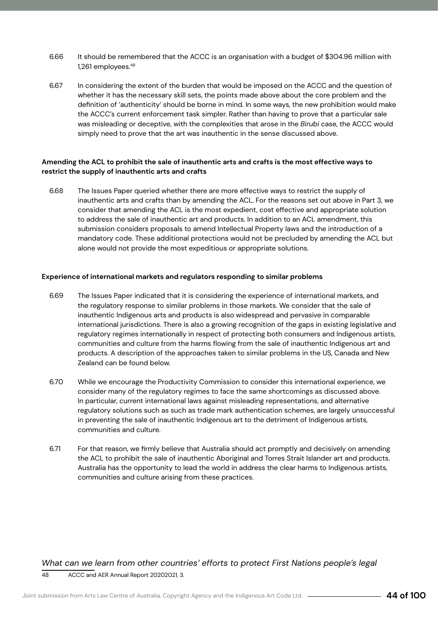- It should be remembered that the ACCC is an organisation with a budget of \$304.96 million with 1,261 employees.48 6.66
- In considering the extent of the burden that would be imposed on the ACCC and the question of whether it has the necessary skill sets, the points made above about the core problem and the definition of 'authenticity' should be borne in mind. In some ways, the new prohibition would make the ACCC's current enforcement task simpler. Rather than having to prove that a particular sale was misleading or deceptive, with the complexities that arose in the *Birubi* case, the ACCC would simply need to prove that the art was inauthentic in the sense discussed above. 6.67

### **Amending the ACL to prohibit the sale of inauthentic arts and crafts is the most effective ways to restrict the supply of inauthentic arts and crafts**

The Issues Paper queried whether there are more effective ways to restrict the supply of inauthentic arts and crafts than by amending the ACL. For the reasons set out above in Part 3, we consider that amending the ACL is the most expedient, cost effective and appropriate solution to address the sale of inauthentic art and products. In addition to an ACL amendment, this submission considers proposals to amend Intellectual Property laws and the introduction of a mandatory code. These additional protections would not be precluded by amending the ACL but alone would not provide the most expeditious or appropriate solutions. 6.68

### **Experience of international markets and regulators responding to similar problems**

- The Issues Paper indicated that it is considering the experience of international markets, and the regulatory response to similar problems in those markets. We consider that the sale of inauthentic Indigenous arts and products is also widespread and pervasive in comparable international jurisdictions. There is also a growing recognition of the gaps in existing legislative and regulatory regimes internationally in respect of protecting both consumers and Indigenous artists, communities and culture from the harms flowing from the sale of inauthentic Indigenous art and products. A description of the approaches taken to similar problems in the US, Canada and New Zealand can be found below. 6.69
- While we encourage the Productivity Commission to consider this international experience, we consider many of the regulatory regimes to face the same shortcomings as discussed above. In particular, current international laws against misleading representations, and alternative regulatory solutions such as such as trade mark authentication schemes, are largely unsuccessful in preventing the sale of inauthentic Indigenous art to the detriment of Indigenous artists, communities and culture. 6.70
- For that reason, we firmly believe that Australia should act promptly and decisively on amending the ACL to prohibit the sale of inauthentic Aboriginal and Torres Strait Islander art and products. Australia has the opportunity to lead the world in address the clear harms to Indigenous artists, communities and culture arising from these practices. 6.71

*What can we learn from other countries' efforts to protect First Nations people's legal*  48 ACCC and AER Annual Report 20202021, 3.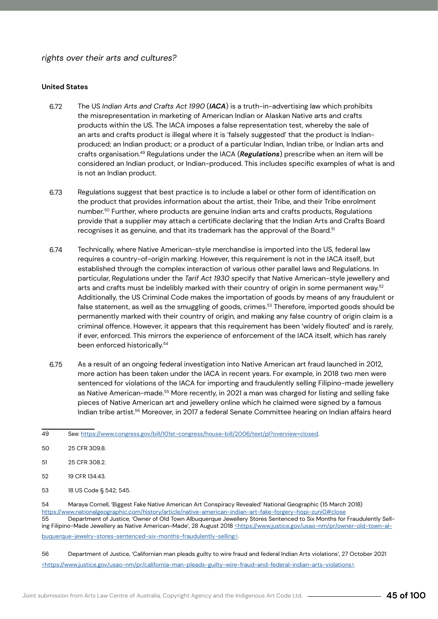### *rights over their arts and cultures?*

### **United States**

- The US *Indian Arts and Crafts Act 1990* (*IACA*) is a truth-in-advertising law which prohibits the misrepresentation in marketing of American Indian or Alaskan Native arts and crafts products within the US. The IACA imposes a false representation test, whereby the sale of an arts and crafts product is illegal where it is 'falsely suggested' that the product is Indianproduced; an Indian product; or a product of a particular Indian, Indian tribe, or Indian arts and crafts organisation.49 Regulations under the IACA (*Regulations*) prescribe when an item will be considered an Indian product, or Indian-produced. This includes specific examples of what is and is not an Indian product. 6.72
- Regulations suggest that best practice is to include a label or other form of identification on the product that provides information about the artist, their Tribe, and their Tribe enrolment number.50 Further, where products are genuine Indian arts and crafts products, Regulations provide that a supplier may attach a certificate declaring that the Indian Arts and Crafts Board recognises it as genuine, and that its trademark has the approval of the Board.<sup>51</sup> 6.73
- Technically, where Native American-style merchandise is imported into the US, federal law requires a country-of-origin marking. However, this requirement is not in the IACA itself, but established through the complex interaction of various other parallel laws and Regulations. In particular, Regulations under the *Tarif Act 1930* specify that Native American-style jewellery and arts and crafts must be indelibly marked with their country of origin in some permanent way.<sup>52</sup> Additionally, the US Criminal Code makes the importation of goods by means of any fraudulent or false statement, as well as the smuggling of goods, crimes.<sup>53</sup> Therefore, imported goods should be permanently marked with their country of origin, and making any false country of origin claim is a criminal offence. However, it appears that this requirement has been 'widely flouted' and is rarely, if ever, enforced. This mirrors the experience of enforcement of the IACA itself, which has rarely been enforced historically.<sup>54</sup> 6.74
- As a result of an ongoing federal investigation into Native American art fraud launched in 2012, more action has been taken under the IACA in recent years. For example, in 2018 two men were sentenced for violations of the IACA for importing and fraudulently selling Filipino-made jewellery as Native American-made.55 More recently, in 2021 a man was charged for listing and selling fake pieces of Native American art and jewellery online which he claimed were signed by a famous Indian tribe artist.56 Moreover, in 2017 a federal Senate Committee hearing on Indian affairs heard 6.75

- 52 19 CFR 134.43.
- 53 18 US Code § 542; 545.

54 Maraya Cornell, 'Biggest Fake Native American Art Conspiracy Revealed' National Geographic (15 March 2018) https://www.nationalgeographic.com/history/article/native-american-indian-art-fake-forgery-hopi-zuni0#close 55 Department of Justice, 'Owner of Old Town Albuquerque Jewellery Stores Sentenced to Six Months for Fraudulently Selling Filipino-Made Jewellery as Native American-Made', 28 August 2018 <https://www.justice.gov/usao-nm/pr/owner-old-town-albuquerque-jewelry-stores-sentenced-six-months-fraudulently-selling>.

56 Department of Justice, 'Californian man pleads guilty to wire fraud and federal Indian Arts violations', 27 October 2021 <https://www.justice.gov/usao-nm/pr/california-man-pleads-guilty-wire-fraud-and-federal-indian-arts-violations>.

<sup>49</sup> See: https://www.congress.gov/bill/101st-congress/house-bill/2006/text/pl?overview=closed.

<sup>50</sup> 25 CFR 309.8.

<sup>51</sup> 25 CFR 308.2.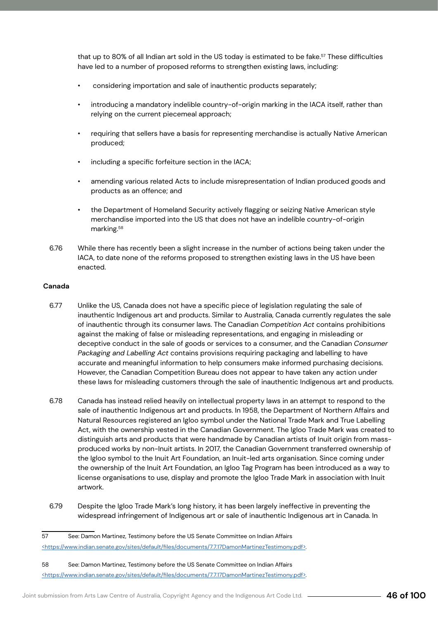that up to 80% of all Indian art sold in the US today is estimated to be fake.<sup>57</sup> These difficulties have led to a number of proposed reforms to strengthen existing laws, including:

- considering importation and sale of inauthentic products separately;
- introducing a mandatory indelible country-of-origin marking in the IACA itself, rather than relying on the current piecemeal approach;
- requiring that sellers have a basis for representing merchandise is actually Native American produced;
- including a specific forfeiture section in the IACA;
- amending various related Acts to include misrepresentation of Indian produced goods and products as an offence; and
- the Department of Homeland Security actively flagging or seizing Native American style merchandise imported into the US that does not have an indelible country-of-origin marking.<sup>58</sup>
- While there has recently been a slight increase in the number of actions being taken under the IACA, to date none of the reforms proposed to strengthen existing laws in the US have been enacted. 6.76

### **Canada**

- Unlike the US, Canada does not have a specific piece of legislation regulating the sale of inauthentic Indigenous art and products. Similar to Australia, Canada currently regulates the sale of inauthentic through its consumer laws. The Canadian *Competition Act* contains prohibitions against the making of false or misleading representations, and engaging in misleading or deceptive conduct in the sale of goods or services to a consumer, and the Canadian *Consumer Packaging and Labelling Act* contains provisions requiring packaging and labelling to have accurate and meaningful information to help consumers make informed purchasing decisions. However, the Canadian Competition Bureau does not appear to have taken any action under these laws for misleading customers through the sale of inauthentic Indigenous art and products. 6.77
- Canada has instead relied heavily on intellectual property laws in an attempt to respond to the sale of inauthentic Indigenous art and products. In 1958, the Department of Northern Affairs and Natural Resources registered an Igloo symbol under the National Trade Mark and True Labelling Act, with the ownership vested in the Canadian Government. The Igloo Trade Mark was created to distinguish arts and products that were handmade by Canadian artists of Inuit origin from massproduced works by non-Inuit artists. In 2017, the Canadian Government transferred ownership of the Igloo symbol to the Inuit Art Foundation, an Inuit-led arts organisation. Since coming under the ownership of the Inuit Art Foundation, an Igloo Tag Program has been introduced as a way to license organisations to use, display and promote the Igloo Trade Mark in association with Inuit artwork. 6.78
- Despite the Igloo Trade Mark's long history, it has been largely ineffective in preventing the widespread infringement of Indigenous art or sale of inauthentic Indigenous art in Canada. In 6.79

<sup>57</sup> See: Damon Martinez, Testimony before the US Senate Committee on Indian Affairs <https://www.indian.senate.gov/sites/default/files/documents/7.7.17DamonMartinezTestimony.pdf>.

<sup>58</sup> See: Damon Martinez, Testimony before the US Senate Committee on Indian Affairs <https://www.indian.senate.gov/sites/default/files/documents/7.7.17DamonMartinezTestimony.pdf>.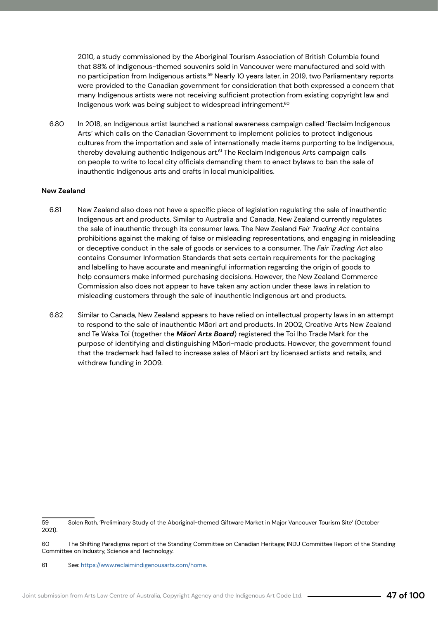2010, a study commissioned by the Aboriginal Tourism Association of British Columbia found that 88% of Indigenous-themed souvenirs sold in Vancouver were manufactured and sold with no participation from Indigenous artists.<sup>59</sup> Nearly 10 years later, in 2019, two Parliamentary reports were provided to the Canadian government for consideration that both expressed a concern that many Indigenous artists were not receiving sufficient protection from existing copyright law and Indigenous work was being subject to widespread infringement.<sup>60</sup>

In 2018, an Indigenous artist launched a national awareness campaign called 'Reclaim Indigenous Arts' which calls on the Canadian Government to implement policies to protect Indigenous cultures from the importation and sale of internationally made items purporting to be Indigenous, thereby devaluing authentic Indigenous art.<sup>61</sup> The Reclaim Indigenous Arts campaign calls on people to write to local city officials demanding them to enact bylaws to ban the sale of inauthentic Indigenous arts and crafts in local municipalities. 6.80

#### **New Zealand**

- New Zealand also does not have a specific piece of legislation regulating the sale of inauthentic Indigenous art and products. Similar to Australia and Canada, New Zealand currently regulates the sale of inauthentic through its consumer laws. The New Zealand *Fair Trading Act* contains prohibitions against the making of false or misleading representations, and engaging in misleading or deceptive conduct in the sale of goods or services to a consumer. The *Fair Trading Act* also contains Consumer Information Standards that sets certain requirements for the packaging and labelling to have accurate and meaningful information regarding the origin of goods to help consumers make informed purchasing decisions. However, the New Zealand Commerce Commission also does not appear to have taken any action under these laws in relation to misleading customers through the sale of inauthentic Indigenous art and products. 6.81
- Similar to Canada, New Zealand appears to have relied on intellectual property laws in an attempt to respond to the sale of inauthentic Māori art and products. In 2002, Creative Arts New Zealand and Te Waka Toi (together the *Māori Arts Board*) registered the Toi Iho Trade Mark for the purpose of identifying and distinguishing Māori-made products. However, the government found that the trademark had failed to increase sales of Māori art by licensed artists and retails, and withdrew funding in 2009. 6.82

<sup>59</sup> Solen Roth, 'Preliminary Study of the Aboriginal-themed Giftware Market in Major Vancouver Tourism Site' (October 2021).

<sup>60</sup> The Shifting Paradigms report of the Standing Committee on Canadian Heritage; INDU Committee Report of the Standing Committee on Industry, Science and Technology.

<sup>61</sup> See: https://www.reclaimindigenousarts.com/home.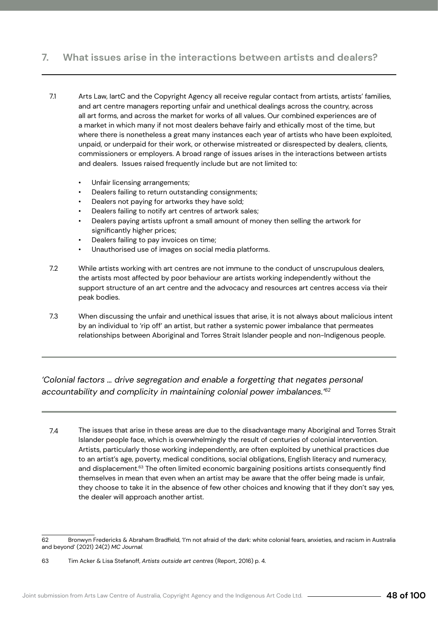# **7. What issues arise in the interactions between artists and dealers?**

- Arts Law, IartC and the Copyright Agency all receive regular contact from artists, artists' families, and art centre managers reporting unfair and unethical dealings across the country, across all art forms, and across the market for works of all values. Our combined experiences are of a market in which many if not most dealers behave fairly and ethically most of the time, but where there is nonetheless a great many instances each year of artists who have been exploited, unpaid, or underpaid for their work, or otherwise mistreated or disrespected by dealers, clients, commissioners or employers. A broad range of issues arises in the interactions between artists and dealers. Issues raised frequently include but are not limited to: 7.1
	- Unfair licensing arrangements;
	- Dealers failing to return outstanding consignments;
	- Dealers not paying for artworks they have sold;
	- Dealers failing to notify art centres of artwork sales;
	- Dealers paying artists upfront a small amount of money then selling the artwork for significantly higher prices;
	- Dealers failing to pay invoices on time;
	- Unauthorised use of images on social media platforms.
- While artists working with art centres are not immune to the conduct of unscrupulous dealers, the artists most affected by poor behaviour are artists working independently without the support structure of an art centre and the advocacy and resources art centres access via their peak bodies. 7.2
- When discussing the unfair and unethical issues that arise, it is not always about malicious intent by an individual to 'rip off' an artist, but rather a systemic power imbalance that permeates relationships between Aboriginal and Torres Strait Islander people and non-Indigenous people. 7.3

*'Colonial factors … drive segregation and enable a forgetting that negates personal accountability and complicity in maintaining colonial power imbalances.'62*

The issues that arise in these areas are due to the disadvantage many Aboriginal and Torres Strait Islander people face, which is overwhelmingly the result of centuries of colonial intervention. Artists, particularly those working independently, are often exploited by unethical practices due to an artist's age, poverty, medical conditions, social obligations, English literacy and numeracy, and displacement.<sup>63</sup> The often limited economic bargaining positions artists consequently find themselves in mean that even when an artist may be aware that the offer being made is unfair, they choose to take it in the absence of few other choices and knowing that if they don't say yes, the dealer will approach another artist. 7.4

<sup>62</sup> Bronwyn Fredericks & Abraham Bradfield, 'I'm not afraid of the dark: white colonial fears, anxieties, and racism in Australia and beyond' (2021) 24(2) *MC Journal.*

<sup>63</sup> Tim Acker & Lisa Stefanoff, *Artists outside art centres* (Report, 2016) p. 4.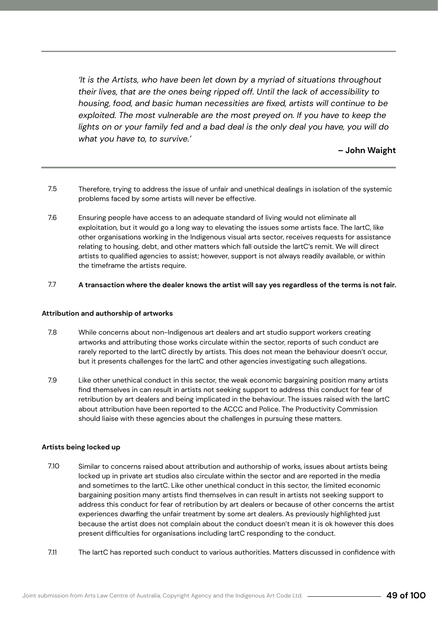*'It is the Artists, who have been let down by a myriad of situations throughout their lives, that are the ones being ripped off. Until the lack of accessibility to housing, food, and basic human necessities are fixed, artists will continue to be exploited. The most vulnerable are the most preyed on. If you have to keep the lights on or your family fed and a bad deal is the only deal you have, you will do what you have to, to survive.'*

**– John Waight** 

- Therefore, trying to address the issue of unfair and unethical dealings in isolation of the systemic problems faced by some artists will never be effective. 7.5
- Ensuring people have access to an adequate standard of living would not eliminate all exploitation, but it would go a long way to elevating the issues some artists face. The IartC, like other organisations working in the Indigenous visual arts sector, receives requests for assistance relating to housing, debt, and other matters which fall outside the IartC's remit. We will direct artists to qualified agencies to assist; however, support is not always readily available, or within the timeframe the artists require. 7.6

#### **A transaction where the dealer knows the artist will say yes regardless of the terms is not fair.**  7.7

#### **Attribution and authorship of artworks**

- While concerns about non-Indigenous art dealers and art studio support workers creating artworks and attributing those works circulate within the sector, reports of such conduct are rarely reported to the IartC directly by artists. This does not mean the behaviour doesn't occur, but it presents challenges for the IartC and other agencies investigating such allegations. 7.8
- Like other unethical conduct in this sector, the weak economic bargaining position many artists find themselves in can result in artists not seeking support to address this conduct for fear of retribution by art dealers and being implicated in the behaviour. The issues raised with the IartC about attribution have been reported to the ACCC and Police. The Productivity Commission should liaise with these agencies about the challenges in pursuing these matters. 7.9

### **Artists being locked up**

- Similar to concerns raised about attribution and authorship of works, issues about artists being locked up in private art studios also circulate within the sector and are reported in the media and sometimes to the IartC. Like other unethical conduct in this sector, the limited economic bargaining position many artists find themselves in can result in artists not seeking support to address this conduct for fear of retribution by art dealers or because of other concerns the artist experiences dwarfing the unfair treatment by some art dealers. As previously highlighted just because the artist does not complain about the conduct doesn't mean it is ok however this does present difficulties for organisations including IartC responding to the conduct. 7.10
- The IartC has reported such conduct to various authorities. Matters discussed in confidence with 7.11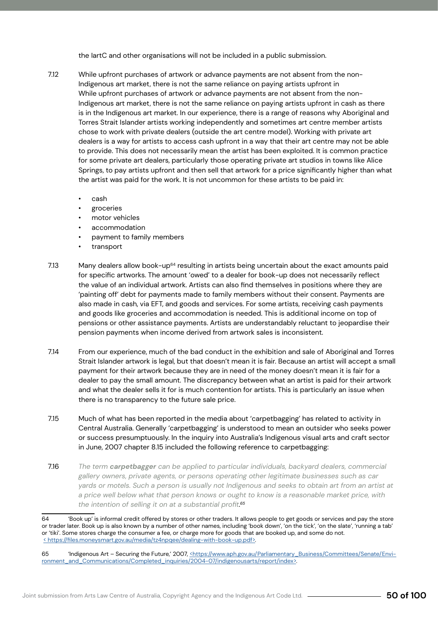the IartC and other organisations will not be included in a public submission.

- While upfront purchases of artwork or advance payments are not absent from the non-Indigenous art market, there is not the same reliance on paying artists upfront in While upfront purchases of artwork or advance payments are not absent from the non-Indigenous art market, there is not the same reliance on paying artists upfront in cash as there is in the Indigenous art market. In our experience, there is a range of reasons why Aboriginal and Torres Strait Islander artists working independently and sometimes art centre member artists chose to work with private dealers (outside the art centre model). Working with private art dealers is a way for artists to access cash upfront in a way that their art centre may not be able to provide. This does not necessarily mean the artist has been exploited. It is common practice for some private art dealers, particularly those operating private art studios in towns like Alice Springs, to pay artists upfront and then sell that artwork for a price significantly higher than what the artist was paid for the work. It is not uncommon for these artists to be paid in: 7.12
	- cash
	- groceries
	- motor vehicles
	- accommodation
	- payment to family members
	- transport
- Many dealers allow book-up<sup>64</sup> resulting in artists being uncertain about the exact amounts paid for specific artworks. The amount 'owed' to a dealer for book-up does not necessarily reflect the value of an individual artwork. Artists can also find themselves in positions where they are 'painting off' debt for payments made to family members without their consent. Payments are also made in cash, via EFT, and goods and services. For some artists, receiving cash payments and goods like groceries and accommodation is needed. This is additional income on top of pensions or other assistance payments. Artists are understandably reluctant to jeopardise their pension payments when income derived from artwork sales is inconsistent. 7.13
- From our experience, much of the bad conduct in the exhibition and sale of Aboriginal and Torres Strait Islander artwork is legal, but that doesn't mean it is fair. Because an artist will accept a small payment for their artwork because they are in need of the money doesn't mean it is fair for a dealer to pay the small amount. The discrepancy between what an artist is paid for their artwork and what the dealer sells it for is much contention for artists. This is particularly an issue when there is no transparency to the future sale price. 7.14
- Much of what has been reported in the media about 'carpetbagging' has related to activity in Central Australia. Generally 'carpetbagging' is understood to mean an outsider who seeks power or success presumptuously. In the inquiry into Australia's Indigenous visual arts and craft sector in June, 2007 chapter 8.15 included the following reference to carpetbagging: 7.15
- *The term carpetbagger can be applied to particular individuals, backyard dealers, commercial gallery owners, private agents, or persons operating other legitimate businesses such as car yards or motels. Such a person is usually not Indigenous and seeks to obtain art from an artist at a price well below what that person knows or ought to know is a reasonable market price, with the intention of selling it on at a substantial profit. 65* 7.16

<sup>64</sup> 'Book up' is informal credit offered by stores or other traders. It allows people to get goods or services and pay the store or trader later. Book up is also known by a number of other names, including 'book down', 'on the tick', 'on the slate', 'running a tab' or 'tiki'. Some stores charge the consumer a fee, or charge more for goods that are booked up, and some do not. < https://files.moneysmart.gov.au/media/tz4npqee/dealing-with-book-up.pdf>.

<sup>65 &#</sup>x27;Indigenous Art - Securing the Future,' 2007, <a>
shtps://www.aph.gov.au/Parliamentary\_Business/Committees/Senate/Environment\_and\_Communications/Completed\_inquiries/2004-07/indigenousarts/report/index>.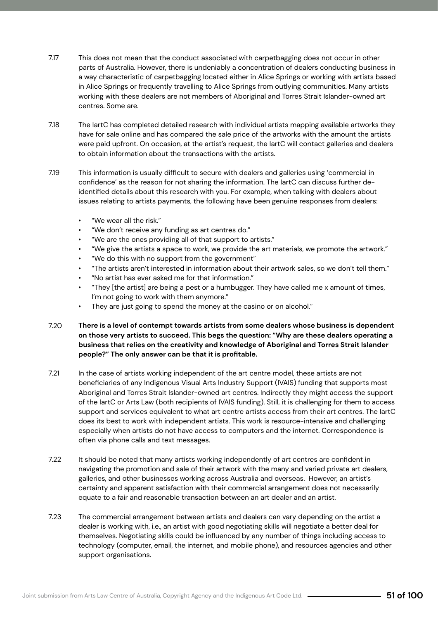- 7.17 This does not mean that the conduct associated with carpetbagging does not occur in other parts of Australia. However, there is undeniably a concentration of dealers conducting business in a way characteristic of carpetbagging located either in Alice Springs or working with artists based in Alice Springs or frequently travelling to Alice Springs from outlying communities. Many artists working with these dealers are not members of Aboriginal and Torres Strait Islander-owned art centres. Some are.
- 7.18 The IartC has completed detailed research with individual artists mapping available artworks they have for sale online and has compared the sale price of the artworks with the amount the artists were paid upfront. On occasion, at the artist's request, the IartC will contact galleries and dealers to obtain information about the transactions with the artists.
- 7.19 This information is usually difficult to secure with dealers and galleries using 'commercial in confidence' as the reason for not sharing the information. The IartC can discuss further deidentified details about this research with you. For example, when talking with dealers about issues relating to artists payments, the following have been genuine responses from dealers:
	- "We wear all the risk."
	- "We don't receive any funding as art centres do."
	- "We are the ones providing all of that support to artists."
	- "We give the artists a space to work, we provide the art materials, we promote the artwork."
	- "We do this with no support from the government"
	- "The artists aren't interested in information about their artwork sales, so we don't tell them."
	- "No artist has ever asked me for that information."
	- "They [the artist] are being a pest or a humbugger. They have called me x amount of times, I'm not going to work with them anymore."
	- They are just going to spend the money at the casino or on alcohol."
- 7.20 **There is a level of contempt towards artists from some dealers whose business is dependent on those very artists to succeed. This begs the question: "Why are these dealers operating a business that relies on the creativity and knowledge of Aboriginal and Torres Strait Islander people?" The only answer can be that it is profitable.**
- 7.21 In the case of artists working independent of the art centre model, these artists are not beneficiaries of any Indigenous Visual Arts Industry Support (IVAIS) funding that supports most Aboriginal and Torres Strait Islander-owned art centres. Indirectly they might access the support of the IartC or Arts Law (both recipients of IVAIS funding). Still, it is challenging for them to access support and services equivalent to what art centre artists access from their art centres. The IartC does its best to work with independent artists. This work is resource-intensive and challenging especially when artists do not have access to computers and the internet. Correspondence is often via phone calls and text messages.
- 7.22 It should be noted that many artists working independently of art centres are confident in navigating the promotion and sale of their artwork with the many and varied private art dealers, galleries, and other businesses working across Australia and overseas. However, an artist's certainty and apparent satisfaction with their commercial arrangement does not necessarily equate to a fair and reasonable transaction between an art dealer and an artist.
- 7.23 The commercial arrangement between artists and dealers can vary depending on the artist a dealer is working with, i.e., an artist with good negotiating skills will negotiate a better deal for themselves. Negotiating skills could be influenced by any number of things including access to technology (computer, email, the internet, and mobile phone), and resources agencies and other support organisations.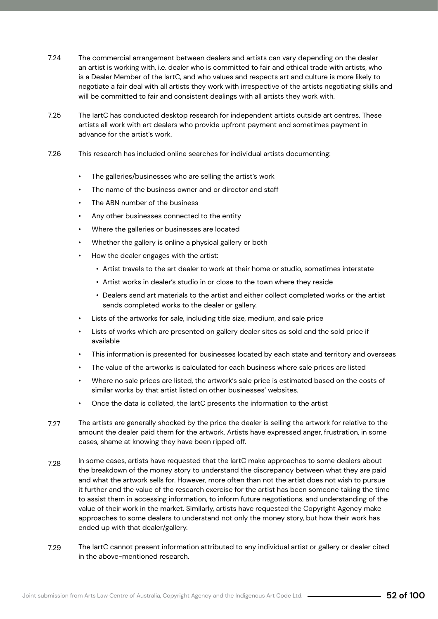- 7.24 The commercial arrangement between dealers and artists can vary depending on the dealer an artist is working with, i.e. dealer who is committed to fair and ethical trade with artists, who is a Dealer Member of the IartC, and who values and respects art and culture is more likely to negotiate a fair deal with all artists they work with irrespective of the artists negotiating skills and will be committed to fair and consistent dealings with all artists they work with.
- 7.25 The IartC has conducted desktop research for independent artists outside art centres. These artists all work with art dealers who provide upfront payment and sometimes payment in advance for the artist's work.
- 7.26 This research has included online searches for individual artists documenting:
	- The galleries/businesses who are selling the artist's work
	- The name of the business owner and or director and staff
	- The ABN number of the business
	- Any other businesses connected to the entity
	- Where the galleries or businesses are located
	- Whether the gallery is online a physical gallery or both
	- How the dealer engages with the artist:
		- Artist travels to the art dealer to work at their home or studio, sometimes interstate
		- Artist works in dealer's studio in or close to the town where they reside
		- Dealers send art materials to the artist and either collect completed works or the artist sends completed works to the dealer or gallery.
	- Lists of the artworks for sale, including title size, medium, and sale price
	- Lists of works which are presented on gallery dealer sites as sold and the sold price if available
	- This information is presented for businesses located by each state and territory and overseas
	- The value of the artworks is calculated for each business where sale prices are listed
	- Where no sale prices are listed, the artwork's sale price is estimated based on the costs of similar works by that artist listed on other businesses' websites.
	- Once the data is collated, the IartC presents the information to the artist
- 7.27 The artists are generally shocked by the price the dealer is selling the artwork for relative to the amount the dealer paid them for the artwork. Artists have expressed anger, frustration, in some cases, shame at knowing they have been ripped off.
- 7.28 In some cases, artists have requested that the IartC make approaches to some dealers about the breakdown of the money story to understand the discrepancy between what they are paid and what the artwork sells for. However, more often than not the artist does not wish to pursue it further and the value of the research exercise for the artist has been someone taking the time to assist them in accessing information, to inform future negotiations, and understanding of the value of their work in the market. Similarly, artists have requested the Copyright Agency make approaches to some dealers to understand not only the money story, but how their work has ended up with that dealer/gallery.
- 7.29 The IartC cannot present information attributed to any individual artist or gallery or dealer cited in the above-mentioned research.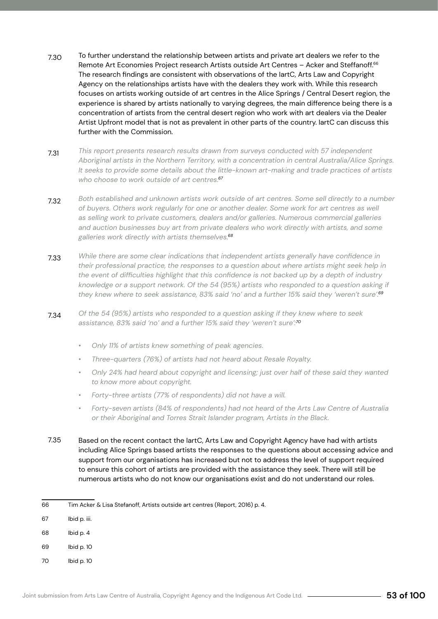- To further understand the relationship between artists and private art dealers we refer to the Remote Art Economies Project research Artists outside Art Centres – Acker and Steffanoff.66 The research findings are consistent with observations of the IartC, Arts Law and Copyright Agency on the relationships artists have with the dealers they work with. While this research focuses on artists working outside of art centres in the Alice Springs / Central Desert region, the experience is shared by artists nationally to varying degrees, the main difference being there is a concentration of artists from the central desert region who work with art dealers via the Dealer Artist Upfront model that is not as prevalent in other parts of the country. IartC can discuss this further with the Commission. 7.30
- *This report presents research results drawn from surveys conducted with 57 independent Aboriginal artists in the Northern Territory, with a concentration in central Australia/Alice Springs. It seeks to provide some details about the little-known art-making and trade practices of artists who choose to work outside of art centres.67* 7.31
- *Both established and unknown artists work outside of art centres. Some sell directly to a number of buyers. Others work regularly for one or another dealer. Some work for art centres as well as selling work to private customers, dealers and/or galleries. Numerous commercial galleries and auction businesses buy art from private dealers who work directly with artists, and some galleries work directly with artists themselves.68* 7.32
- *While there are some clear indications that independent artists generally have confidence in their professional practice, the responses to a question about where artists might seek help in the event of difficulties highlight that this confidence is not backed up by a depth of industry knowledge or a support network. Of the 54 (95%) artists who responded to a question asking if they knew where to seek assistance, 83% said 'no' and a further 15% said they 'weren't sure'.69* 7.33
- *Of the 54 (95%) artists who responded to a question asking if they knew where to seek assistance, 83% said 'no' and a further 15% said they 'weren't sure':70* 7.34
	- *• Only 11% of artists knew something of peak agencies.*
	- *• Three-quarters (76%) of artists had not heard about Resale Royalty.*
	- *• Only 24% had heard about copyright and licensing; just over half of these said they wanted to know more about copyright.*
	- *• Forty-three artists (77% of respondents) did not have a will.*
	- *• Forty-seven artists (84% of respondents) had not heard of the Arts Law Centre of Australia or their Aboriginal and Torres Strait Islander program, Artists in the Black.*
- Based on the recent contact the IartC, Arts Law and Copyright Agency have had with artists including Alice Springs based artists the responses to the questions about accessing advice and support from our organisations has increased but not to address the level of support required to ensure this cohort of artists are provided with the assistance they seek. There will still be numerous artists who do not know our organisations exist and do not understand our roles. 7.35

- 67 Ibid p. iii.
- 68 Ibid p. 4
- 69 Ibid p. 10
- 70 Ibid p. 10

<sup>66</sup> Tim Acker & Lisa Stefanoff, Artists outside art centres (Report, 2016) p. 4.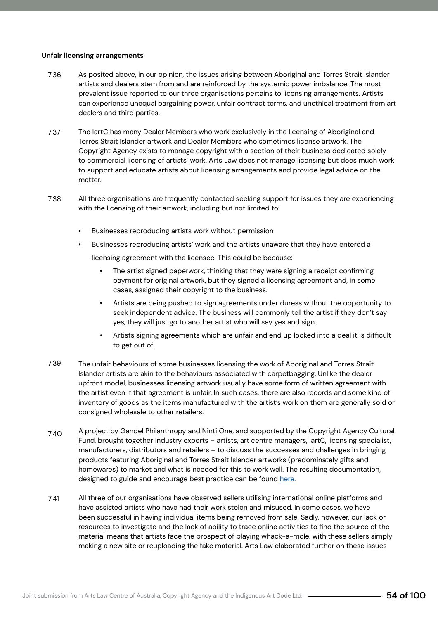#### **Unfair licensing arrangements**

- As posited above, in our opinion, the issues arising between Aboriginal and Torres Strait Islander artists and dealers stem from and are reinforced by the systemic power imbalance. The most prevalent issue reported to our three organisations pertains to licensing arrangements. Artists can experience unequal bargaining power, unfair contract terms, and unethical treatment from art dealers and third parties. 7.36
- The IartC has many Dealer Members who work exclusively in the licensing of Aboriginal and Torres Strait Islander artwork and Dealer Members who sometimes license artwork. The Copyright Agency exists to manage copyright with a section of their business dedicated solely to commercial licensing of artists' work. Arts Law does not manage licensing but does much work to support and educate artists about licensing arrangements and provide legal advice on the matter. 7.37
- All three organisations are frequently contacted seeking support for issues they are experiencing with the licensing of their artwork, including but not limited to: 7.38
	- Businesses reproducing artists work without permission
	- Businesses reproducing artists' work and the artists unaware that they have entered a
		- licensing agreement with the licensee. This could be because:
			- The artist signed paperwork, thinking that they were signing a receipt confirming payment for original artwork, but they signed a licensing agreement and, in some cases, assigned their copyright to the business.
			- Artists are being pushed to sign agreements under duress without the opportunity to seek independent advice. The business will commonly tell the artist if they don't say yes, they will just go to another artist who will say yes and sign.
			- Artists signing agreements which are unfair and end up locked into a deal it is difficult to get out of
- The unfair behaviours of some businesses licensing the work of Aboriginal and Torres Strait Islander artists are akin to the behaviours associated with carpetbagging. Unlike the dealer upfront model, businesses licensing artwork usually have some form of written agreement with the artist even if that agreement is unfair. In such cases, there are also records and some kind of inventory of goods as the items manufactured with the artist's work on them are generally sold or consigned wholesale to other retailers. 7.39
- A project by Gandel Philanthropy and Ninti One, and supported by the Copyright Agency Cultural Fund, brought together industry experts – artists, art centre managers, IartC, licensing specialist, manufacturers, distributors and retailers – to discuss the successes and challenges in bringing products featuring Aboriginal and Torres Strait Islander artworks (predominately gifts and homewares) to market and what is needed for this to work well. The resulting documentation, designed to guide and encourage best practice can be found here. 7.40
- All three of our organisations have observed sellers utilising international online platforms and have assisted artists who have had their work stolen and misused. In some cases, we have been successful in having individual items being removed from sale. Sadly, however, our lack or resources to investigate and the lack of ability to trace online activities to find the source of the material means that artists face the prospect of playing whack-a-mole, with these sellers simply making a new site or reuploading the fake material. Arts Law elaborated further on these issues 7.41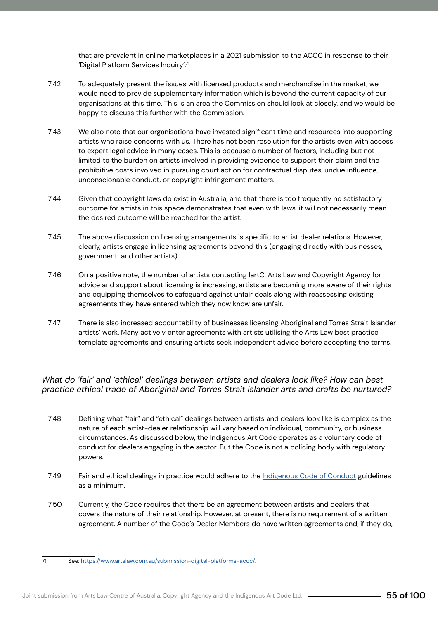that are prevalent in online marketplaces in a 2021 submission to the ACCC in response to their 'Digital Platform Services Inquiry'.<sup>71</sup>

- To adequately present the issues with licensed products and merchandise in the market, we would need to provide supplementary information which is beyond the current capacity of our organisations at this time. This is an area the Commission should look at closely, and we would be happy to discuss this further with the Commission. 7.42
- We also note that our organisations have invested significant time and resources into supporting artists who raise concerns with us. There has not been resolution for the artists even with access to expert legal advice in many cases. This is because a number of factors, including but not limited to the burden on artists involved in providing evidence to support their claim and the prohibitive costs involved in pursuing court action for contractual disputes, undue influence, unconscionable conduct, or copyright infringement matters. 7.43
- Given that copyright laws do exist in Australia, and that there is too frequently no satisfactory outcome for artists in this space demonstrates that even with laws, it will not necessarily mean the desired outcome will be reached for the artist. 7.44
- The above discussion on licensing arrangements is specific to artist dealer relations. However, clearly, artists engage in licensing agreements beyond this (engaging directly with businesses, government, and other artists). 7.45
- On a positive note, the number of artists contacting IartC, Arts Law and Copyright Agency for advice and support about licensing is increasing, artists are becoming more aware of their rights and equipping themselves to safeguard against unfair deals along with reassessing existing agreements they have entered which they now know are unfair. 7.46
- There is also increased accountability of businesses licensing Aboriginal and Torres Strait Islander artists' work. Many actively enter agreements with artists utilising the Arts Law best practice template agreements and ensuring artists seek independent advice before accepting the terms. 7.47

### *What do 'fair' and 'ethical' dealings between artists and dealers look like? How can bestpractice ethical trade of Aboriginal and Torres Strait Islander arts and crafts be nurtured?*

- Defining what "fair" and "ethical" dealings between artists and dealers look like is complex as the nature of each artist-dealer relationship will vary based on individual, community, or business circumstances. As discussed below, the Indigenous Art Code operates as a voluntary code of conduct for dealers engaging in the sector. But the Code is not a policing body with regulatory powers. 7.48
- Fair and ethical dealings in practice would adhere to the Indigenous Code of Conduct guidelines as a minimum. 7.49
- Currently, the Code requires that there be an agreement between artists and dealers that covers the nature of their relationship. However, at present, there is no requirement of a written agreement. A number of the Code's Dealer Members do have written agreements and, if they do, 7.50

<sup>71</sup> See: https://www.artslaw.com.au/submission-digital-platforms-accc/.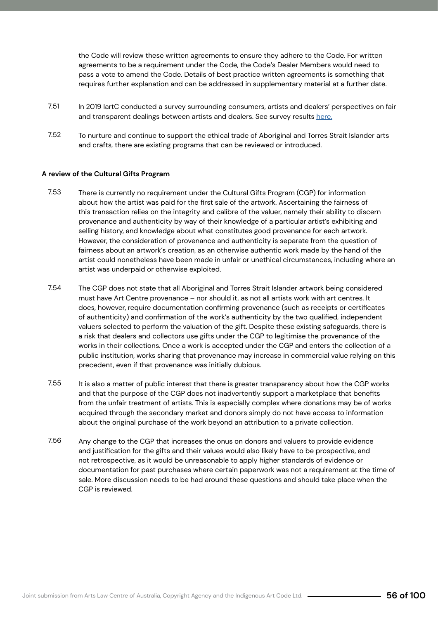the Code will review these written agreements to ensure they adhere to the Code. For written agreements to be a requirement under the Code, the Code's Dealer Members would need to pass a vote to amend the Code. Details of best practice written agreements is something that requires further explanation and can be addressed in supplementary material at a further date.

- In 2019 IartC conducted a survey surrounding consumers, artists and dealers' perspectives on fair and transparent dealings between artists and dealers. See survey results here. 7.51
- To nurture and continue to support the ethical trade of Aboriginal and Torres Strait Islander arts and crafts, there are existing programs that can be reviewed or introduced. 7.52

### **A review of the Cultural Gifts Program**

- There is currently no requirement under the Cultural Gifts Program (CGP) for information about how the artist was paid for the first sale of the artwork. Ascertaining the fairness of this transaction relies on the integrity and calibre of the valuer, namely their ability to discern provenance and authenticity by way of their knowledge of a particular artist's exhibiting and selling history, and knowledge about what constitutes good provenance for each artwork. However, the consideration of provenance and authenticity is separate from the question of fairness about an artwork's creation, as an otherwise authentic work made by the hand of the artist could nonetheless have been made in unfair or unethical circumstances, including where an artist was underpaid or otherwise exploited. 7.53
- The CGP does not state that all Aboriginal and Torres Strait Islander artwork being considered must have Art Centre provenance – nor should it, as not all artists work with art centres. It does, however, require documentation confirming provenance (such as receipts or certificates of authenticity) and confirmation of the work's authenticity by the two qualified, independent valuers selected to perform the valuation of the gift. Despite these existing safeguards, there is a risk that dealers and collectors use gifts under the CGP to legitimise the provenance of the works in their collections. Once a work is accepted under the CGP and enters the collection of a public institution, works sharing that provenance may increase in commercial value relying on this precedent, even if that provenance was initially dubious. 7.54
- It is also a matter of public interest that there is greater transparency about how the CGP works and that the purpose of the CGP does not inadvertently support a marketplace that benefits from the unfair treatment of artists. This is especially complex where donations may be of works acquired through the secondary market and donors simply do not have access to information about the original purchase of the work beyond an attribution to a private collection. 7.55
- Any change to the CGP that increases the onus on donors and valuers to provide evidence and justification for the gifts and their values would also likely have to be prospective, and not retrospective, as it would be unreasonable to apply higher standards of evidence or documentation for past purchases where certain paperwork was not a requirement at the time of sale. More discussion needs to be had around these questions and should take place when the CGP is reviewed. 7.56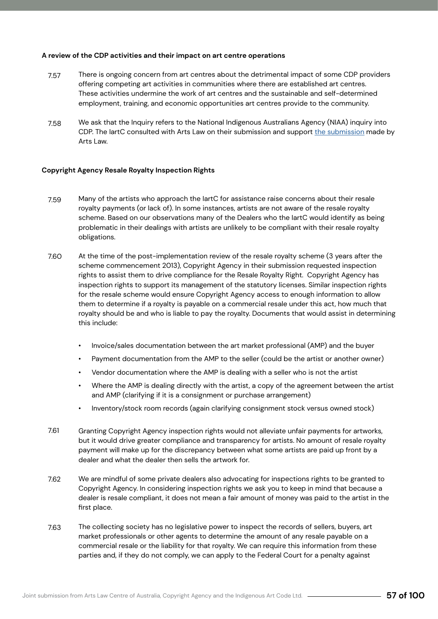#### **A review of the CDP activities and their impact on art centre operations**

- There is ongoing concern from art centres about the detrimental impact of some CDP providers offering competing art activities in communities where there are established art centres. These activities undermine the work of art centres and the sustainable and self-determined employment, training, and economic opportunities art centres provide to the community. 7.57
- We ask that the Inquiry refers to the National Indigenous Australians Agency (NIAA) inquiry into CDP. The IartC consulted with Arts Law on their submission and support the submission made by Arts Law. 7.58

### **Copyright Agency Resale Royalty Inspection Rights**

- Many of the artists who approach the IartC for assistance raise concerns about their resale royalty payments (or lack of). In some instances, artists are not aware of the resale royalty scheme. Based on our observations many of the Dealers who the IartC would identify as being problematic in their dealings with artists are unlikely to be compliant with their resale royalty obligations. 7.59
- At the time of the post-implementation review of the resale royalty scheme (3 years after the scheme commencement 2013), Copyright Agency in their submission requested inspection rights to assist them to drive compliance for the Resale Royalty Right. Copyright Agency has inspection rights to support its management of the statutory licenses. Similar inspection rights for the resale scheme would ensure Copyright Agency access to enough information to allow them to determine if a royalty is payable on a commercial resale under this act, how much that royalty should be and who is liable to pay the royalty. Documents that would assist in determining this include: 7.60
	- Invoice/sales documentation between the art market professional (AMP) and the buyer
	- Payment documentation from the AMP to the seller (could be the artist or another owner)
	- Vendor documentation where the AMP is dealing with a seller who is not the artist
	- Where the AMP is dealing directly with the artist, a copy of the agreement between the artist and AMP (clarifying if it is a consignment or purchase arrangement)
	- Inventory/stock room records (again clarifying consignment stock versus owned stock)
- Granting Copyright Agency inspection rights would not alleviate unfair payments for artworks, but it would drive greater compliance and transparency for artists. No amount of resale royalty payment will make up for the discrepancy between what some artists are paid up front by a dealer and what the dealer then sells the artwork for. 7.61
- We are mindful of some private dealers also advocating for inspections rights to be granted to Copyright Agency. In considering inspection rights we ask you to keep in mind that because a dealer is resale compliant, it does not mean a fair amount of money was paid to the artist in the first place. 7.62
- The collecting society has no legislative power to inspect the records of sellers, buyers, art market professionals or other agents to determine the amount of any resale payable on a commercial resale or the liability for that royalty. We can require this information from these parties and, if they do not comply, we can apply to the Federal Court for a penalty against 7.63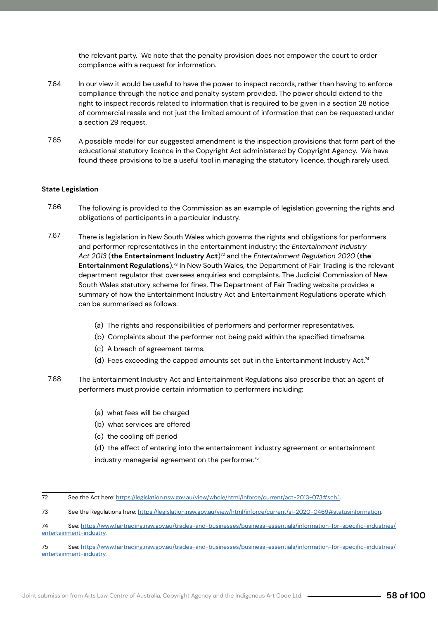the relevant party. We note that the penalty provision does not empower the court to order compliance with a request for information.

- In our view it would be useful to have the power to inspect records, rather than having to enforce compliance through the notice and penalty system provided. The power should extend to the right to inspect records related to information that is required to be given in a section 28 notice of commercial resale and not just the limited amount of information that can be requested under a section 29 request. 7.64
- A possible model for our suggested amendment is the inspection provisions that form part of the educational statutory licence in the Copyright Act administered by Copyright Agency. We have found these provisions to be a useful tool in managing the statutory licence, though rarely used. 7.65

### **State Legislation**

- The following is provided to the Commission as an example of legislation governing the rights and obligations of participants in a particular industry. 7.66
- There is legislation in New South Wales which governs the rights and obligations for performers and performer representatives in the entertainment industry; the *Entertainment Industry Act 2013* (**the Entertainment Industry Act**)72 and the *Entertainment Regulation 2020* (**the Entertainment Regulations**).73 In New South Wales, the Department of Fair Trading is the relevant department regulator that oversees enquiries and complaints. The Judicial Commission of New South Wales statutory scheme for fines. The Department of Fair Trading website provides a summary of how the Entertainment Industry Act and Entertainment Regulations operate which can be summarised as follows: 7.67
	- (a) The rights and responsibilities of performers and performer representatives.
	- (b) Complaints about the performer not being paid within the specified timeframe.
	- (c) A breach of agreement terms.
	- (d) Fees exceeding the capped amounts set out in the Entertainment Industry Act.74
- The Entertainment Industry Act and Entertainment Regulations also prescribe that an agent of performers must provide certain information to performers including: 7.68
	- (a) what fees will be charged
	- (b) what services are offered
	- (c) the cooling off period
	- (d) the effect of entering into the entertainment industry agreement or entertainment industry managerial agreement on the performer.<sup>75</sup>

<sup>72</sup> See the Act here: https://legislation.nsw.gov.au/view/whole/html/inforce/current/act-2013-073#sch.1.

<sup>73</sup> See the Regulations here: https://legislation.nsw.gov.au/view/html/inforce/current/sl-2020-0469#statusinformation.

<sup>74</sup> See: https://www.fairtrading.nsw.gov.au/trades-and-businesses/business-essentials/information-for-specific-industries/ entertainment-industry.

<sup>75</sup> See: https://www.fairtrading.nsw.gov.au/trades-and-businesses/business-essentials/information-for-specific-industries/ entertainment-industry.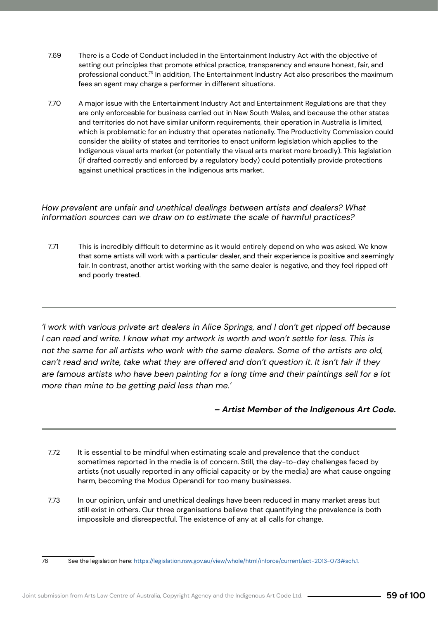- There is a Code of Conduct included in the Entertainment Industry Act with the objective of setting out principles that promote ethical practice, transparency and ensure honest, fair, and professional conduct.<sup>76</sup> In addition, The Entertainment Industry Act also prescribes the maximum fees an agent may charge a performer in different situations. 7.69
- A major issue with the Entertainment Industry Act and Entertainment Regulations are that they are only enforceable for business carried out in New South Wales, and because the other states and territories do not have similar uniform requirements, their operation in Australia is limited, which is problematic for an industry that operates nationally. The Productivity Commission could consider the ability of states and territories to enact uniform legislation which applies to the Indigenous visual arts market (or potentially the visual arts market more broadly). This legislation (if drafted correctly and enforced by a regulatory body) could potentially provide protections against unethical practices in the Indigenous arts market. 7.70

*How prevalent are unfair and unethical dealings between artists and dealers? What information sources can we draw on to estimate the scale of harmful practices?* 

This is incredibly difficult to determine as it would entirely depend on who was asked. We know that some artists will work with a particular dealer, and their experience is positive and seemingly fair. In contrast, another artist working with the same dealer is negative, and they feel ripped off and poorly treated. 7.71

*'I work with various private art dealers in Alice Springs, and I don't get ripped off because I* can read and write. I know what my artwork is worth and won't settle for less. This is *not the same for all artists who work with the same dealers. Some of the artists are old, can't read and write, take what they are offered and don't question it. It isn't fair if they are famous artists who have been painting for a long time and their paintings sell for a lot more than mine to be getting paid less than me.'*

### *– Artist Member of the Indigenous Art Code.*

- It is essential to be mindful when estimating scale and prevalence that the conduct sometimes reported in the media is of concern. Still, the day-to-day challenges faced by artists (not usually reported in any official capacity or by the media) are what cause ongoing harm, becoming the Modus Operandi for too many businesses. 7.72
- In our opinion, unfair and unethical dealings have been reduced in many market areas but still exist in others. Our three organisations believe that quantifying the prevalence is both impossible and disrespectful. The existence of any at all calls for change. 7.73

<sup>76</sup> See the legislation here: https://legislation.nsw.gov.au/view/whole/html/inforce/current/act-2013-073#sch.1.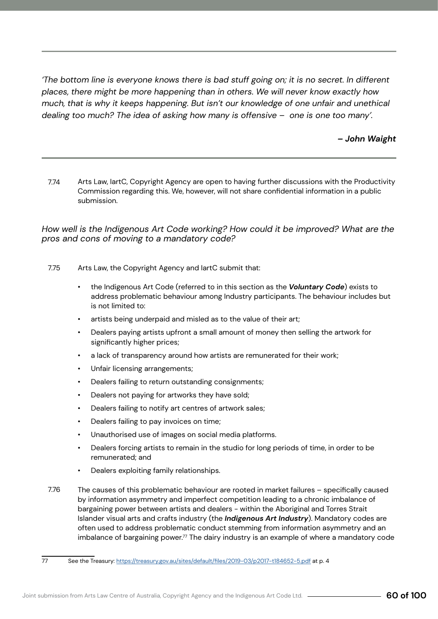*'The bottom line is everyone knows there is bad stuff going on; it is no secret. In different places, there might be more happening than in others. We will never know exactly how much, that is why it keeps happening. But isn't our knowledge of one unfair and unethical dealing too much? The idea of asking how many is offensive – one is one too many'.*

### *– John Waight*

Arts Law, IartC, Copyright Agency are open to having further discussions with the Productivity Commission regarding this. We, however, will not share confidential information in a public submission. 7.74

### *How well is the Indigenous Art Code working? How could it be improved? What are the pros and cons of moving to a mandatory code?*

- Arts Law, the Copyright Agency and IartC submit that: 7.75
	- the Indigenous Art Code (referred to in this section as the *Voluntary Code*) exists to address problematic behaviour among Industry participants. The behaviour includes but is not limited to:
	- artists being underpaid and misled as to the value of their art;
	- Dealers paying artists upfront a small amount of money then selling the artwork for significantly higher prices;
	- a lack of transparency around how artists are remunerated for their work;
	- Unfair licensing arrangements;
	- Dealers failing to return outstanding consignments;
	- Dealers not paying for artworks they have sold;
	- Dealers failing to notify art centres of artwork sales;
	- Dealers failing to pay invoices on time;
	- Unauthorised use of images on social media platforms.
	- Dealers forcing artists to remain in the studio for long periods of time, in order to be remunerated; and
	- Dealers exploiting family relationships.
- The causes of this problematic behaviour are rooted in market failures specifically caused by information asymmetry and imperfect competition leading to a chronic imbalance of bargaining power between artists and dealers - within the Aboriginal and Torres Strait Islander visual arts and crafts industry (the *Indigenous Art Industry*). Mandatory codes are often used to address problematic conduct stemming from information asymmetry and an imbalance of bargaining power.<sup>77</sup> The dairy industry is an example of where a mandatory code 7.76

<sup>77</sup> See the Treasury: https://treasury.gov.au/sites/default/files/2019-03/p2017-t184652-5.pdf at p. 4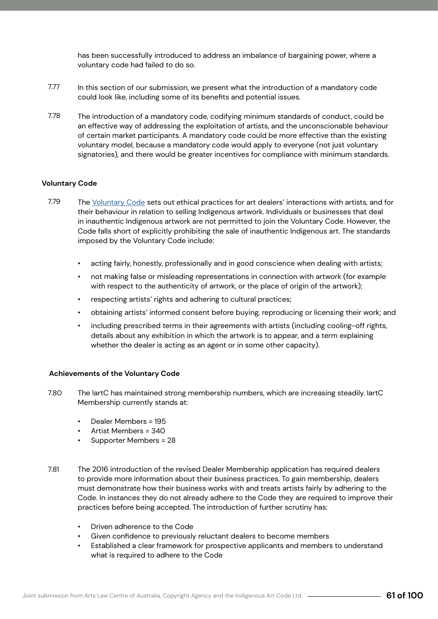has been successfully introduced to address an imbalance of bargaining power, where a voluntary code had failed to do so.

- In this section of our submission, we present what the introduction of a mandatory code could look like, including some of its benefits and potential issues. 7.77
- The introduction of a mandatory code, codifying minimum standards of conduct, could be an effective way of addressing the exploitation of artists, and the unconscionable behaviour of certain market participants. A mandatory code could be more effective than the existing voluntary model, because a mandatory code would apply to everyone (not just voluntary signatories), and there would be greater incentives for compliance with minimum standards. 7.78

### **Voluntary Code**

- The Voluntary Code sets out ethical practices for art dealers' interactions with artists, and for their behaviour in relation to selling Indigenous artwork. Individuals or businesses that deal in inauthentic Indigenous artwork are not permitted to join the Voluntary Code. However, the Code falls short of explicitly prohibiting the sale of inauthentic Indigenous art. The standards imposed by the Voluntary Code include: 7.79
	- acting fairly, honestly, professionally and in good conscience when dealing with artists;
	- not making false or misleading representations in connection with artwork (for example with respect to the authenticity of artwork, or the place of origin of the artwork);
	- respecting artists' rights and adhering to cultural practices;
	- obtaining artists' informed consent before buying, reproducing or licensing their work; and
	- including prescribed terms in their agreements with artists (including cooling-off rights, details about any exhibition in which the artwork is to appear, and a term explaining whether the dealer is acting as an agent or in some other capacity).

### **Achievements of the Voluntary Code**

- The IartC has maintained strong membership numbers, which are increasing steadily. IartC Membership currently stands at: 7.80
	- Dealer Members = 195
	- Artist Members = 340
	- Supporter Members = 28
- The 2016 introduction of the revised Dealer Membership application has required dealers to provide more information about their business practices. To gain membership, dealers must demonstrate how their business works with and treats artists fairly by adhering to the Code. In instances they do not already adhere to the Code they are required to improve their practices before being accepted. The introduction of further scrutiny has: 7.81
	- Driven adherence to the Code
	- Given confidence to previously reluctant dealers to become members
	- Established a clear framework for prospective applicants and members to understand what is required to adhere to the Code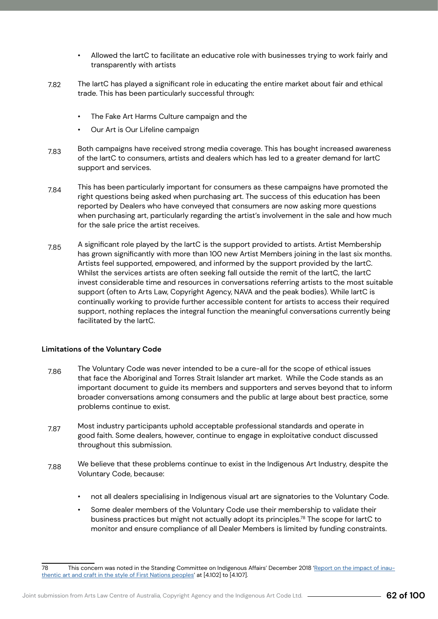- Allowed the IartC to facilitate an educative role with businesses trying to work fairly and transparently with artists
- The IartC has played a significant role in educating the entire market about fair and ethical trade. This has been particularly successful through: 7.82
	- The Fake Art Harms Culture campaign and the
	- Our Art is Our Lifeline campaign
- Both campaigns have received strong media coverage. This has bought increased awareness of the IartC to consumers, artists and dealers which has led to a greater demand for IartC support and services. 7.83
- This has been particularly important for consumers as these campaigns have promoted the right questions being asked when purchasing art. The success of this education has been reported by Dealers who have conveyed that consumers are now asking more questions when purchasing art, particularly regarding the artist's involvement in the sale and how much for the sale price the artist receives. 7.84
- A significant role played by the IartC is the support provided to artists. Artist Membership has grown significantly with more than 100 new Artist Members joining in the last six months. Artists feel supported, empowered, and informed by the support provided by the IartC. Whilst the services artists are often seeking fall outside the remit of the IartC, the IartC invest considerable time and resources in conversations referring artists to the most suitable support (often to Arts Law, Copyright Agency, NAVA and the peak bodies). While IartC is continually working to provide further accessible content for artists to access their required support, nothing replaces the integral function the meaningful conversations currently being facilitated by the IartC. 7.85

### **Limitations of the Voluntary Code**

- The Voluntary Code was never intended to be a cure-all for the scope of ethical issues that face the Aboriginal and Torres Strait Islander art market. While the Code stands as an important document to guide its members and supporters and serves beyond that to inform broader conversations among consumers and the public at large about best practice, some problems continue to exist. 7.86
- Most industry participants uphold acceptable professional standards and operate in good faith. Some dealers, however, continue to engage in exploitative conduct discussed throughout this submission. 7.87
- We believe that these problems continue to exist in the Indigenous Art Industry, despite the Voluntary Code, because: 7.88
	- not all dealers specialising in Indigenous visual art are signatories to the Voluntary Code.
	- Some dealer members of the Voluntary Code use their membership to validate their business practices but might not actually adopt its principles.<sup>78</sup> The scope for lartC to monitor and ensure compliance of all Dealer Members is limited by funding constraints.

<sup>78</sup> This concern was noted in the Standing Committee on Indigenous Affairs' December 2018 'Report on the impact of inauthentic art and craft in the style of First Nations peoples' at [4.102] to [4.107].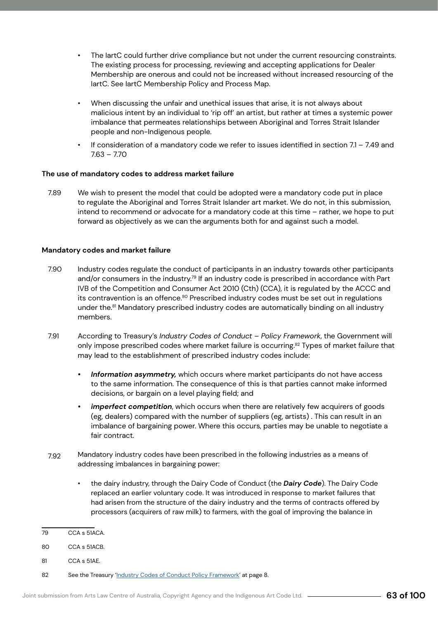- The IartC could further drive compliance but not under the current resourcing constraints. The existing process for processing, reviewing and accepting applications for Dealer Membership are onerous and could not be increased without increased resourcing of the IartC. See IartC Membership Policy and Process Map.
- When discussing the unfair and unethical issues that arise, it is not always about malicious intent by an individual to 'rip off' an artist, but rather at times a systemic power imbalance that permeates relationships between Aboriginal and Torres Strait Islander people and non-Indigenous people.
- If consideration of a mandatory code we refer to issues identified in section  $7.1 7.49$  and 7.63 – 7.70

### **The use of mandatory codes to address market failure**

We wish to present the model that could be adopted were a mandatory code put in place to regulate the Aboriginal and Torres Strait Islander art market. We do not, in this submission, intend to recommend or advocate for a mandatory code at this time – rather, we hope to put forward as objectively as we can the arguments both for and against such a model. 7.89

### **Mandatory codes and market failure**

- Industry codes regulate the conduct of participants in an industry towards other participants and/or consumers in the industry.<sup>79</sup> If an industry code is prescribed in accordance with Part IVB of the Competition and Consumer Act 2010 (Cth) (CCA), it is regulated by the ACCC and its contravention is an offence.<sup>80</sup> Prescribed industry codes must be set out in regulations under the.<sup>81</sup> Mandatory prescribed industry codes are automatically binding on all industry members. 7.90
- According to Treasury's *Industry Codes of Conduct Policy Framework*, the Government will only impose prescribed codes where market failure is occurring.<sup>82</sup> Types of market failure that may lead to the establishment of prescribed industry codes include: 7.91
	- *• Information asymmetry,* which occurs where market participants do not have access to the same information. The consequence of this is that parties cannot make informed decisions, or bargain on a level playing field; and
	- *• imperfect competition*, which occurs when there are relatively few acquirers of goods (eg, dealers) compared with the number of suppliers (eg, artists) . This can result in an imbalance of bargaining power. Where this occurs, parties may be unable to negotiate a fair contract.
- Mandatory industry codes have been prescribed in the following industries as a means of addressing imbalances in bargaining power: 7.92
	- the dairy industry, through the Dairy Code of Conduct (the *Dairy Code*). The Dairy Code replaced an earlier voluntary code. It was introduced in response to market failures that had arisen from the structure of the dairy industry and the terms of contracts offered by processors (acquirers of raw milk) to farmers, with the goal of improving the balance in

81 CCA s 51AE.

<sup>79</sup> CCA s 51ACA.

<sup>80</sup> CCA s 51ACB.

<sup>82</sup> See the Treasury 'Industry Codes of Conduct Policy Framework' at page 8.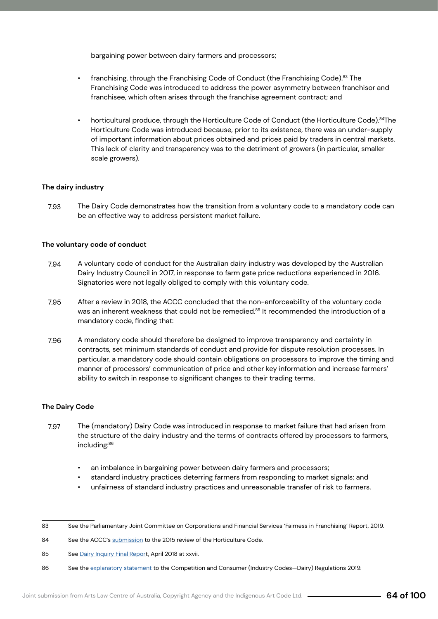bargaining power between dairy farmers and processors;

- franchising, through the Franchising Code of Conduct (the Franchising Code).<sup>83</sup> The Franchising Code was introduced to address the power asymmetry between franchisor and franchisee, which often arises through the franchise agreement contract; and
- horticultural produce, through the Horticulture Code of Conduct (the Horticulture Code).<sup>84</sup>The Horticulture Code was introduced because, prior to its existence, there was an under-supply of important information about prices obtained and prices paid by traders in central markets. This lack of clarity and transparency was to the detriment of growers (in particular, smaller scale growers).

#### **The dairy industry**

The Dairy Code demonstrates how the transition from a voluntary code to a mandatory code can be an effective way to address persistent market failure. 7.93

#### **The voluntary code of conduct**

- A voluntary code of conduct for the Australian dairy industry was developed by the Australian Dairy Industry Council in 2017, in response to farm gate price reductions experienced in 2016. Signatories were not legally obliged to comply with this voluntary code. 7.94
- After a review in 2018, the ACCC concluded that the non-enforceability of the voluntary code was an inherent weakness that could not be remedied.<sup>85</sup> It recommended the introduction of a mandatory code, finding that: 7.95
- A mandatory code should therefore be designed to improve transparency and certainty in contracts, set minimum standards of conduct and provide for dispute resolution processes. In particular, a mandatory code should contain obligations on processors to improve the timing and manner of processors' communication of price and other key information and increase farmers' ability to switch in response to significant changes to their trading terms. 7.96

#### **The Dairy Code**

- The (mandatory) Dairy Code was introduced in response to market failure that had arisen from the structure of the dairy industry and the terms of contracts offered by processors to farmers, including:86 7.97
	- an imbalance in bargaining power between dairy farmers and processors;
	- standard industry practices deterring farmers from responding to market signals; and
	- unfairness of standard industry practices and unreasonable transfer of risk to farmers.

<sup>83</sup> See the Parliamentary Joint Committee on Corporations and Financial Services 'Fairness in Franchising' Report, 2019.

<sup>84</sup> See the ACCC's submission to the 2015 review of the Horticulture Code.

<sup>85</sup> See Dairy Inquiry Final Report, April 2018 at xxvii.

<sup>86</sup> See the explanatory statement to the Competition and Consumer (Industry Codes-Dairy) Regulations 2019.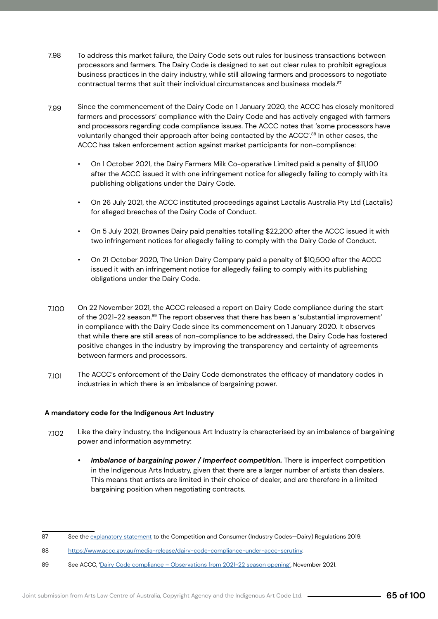- To address this market failure, the Dairy Code sets out rules for business transactions between processors and farmers. The Dairy Code is designed to set out clear rules to prohibit egregious business practices in the dairy industry, while still allowing farmers and processors to negotiate contractual terms that suit their individual circumstances and business models.<sup>87</sup> 7.98
- Since the commencement of the Dairy Code on 1 January 2020, the ACCC has closely monitored farmers and processors' compliance with the Dairy Code and has actively engaged with farmers and processors regarding code compliance issues. The ACCC notes that 'some processors have voluntarily changed their approach after being contacted by the ACCC'.<sup>88</sup> In other cases, the ACCC has taken enforcement action against market participants for non-compliance: 7.99
	- On 1 October 2021, the Dairy Farmers Milk Co-operative Limited paid a penalty of \$11,100 after the ACCC issued it with one infringement notice for allegedly failing to comply with its publishing obligations under the Dairy Code.
	- On 26 July 2021, the ACCC instituted proceedings against Lactalis Australia Pty Ltd (Lactalis) for alleged breaches of the Dairy Code of Conduct.
	- On 5 July 2021, Brownes Dairy paid penalties totalling \$22,200 after the ACCC issued it with two infringement notices for allegedly failing to comply with the Dairy Code of Conduct.
	- On 21 October 2020, The Union Dairy Company paid a penalty of \$10,500 after the ACCC issued it with an infringement notice for allegedly failing to comply with its publishing obligations under the Dairy Code.
- On 22 November 2021, the ACCC released a report on Dairy Code compliance during the start of the 2021-22 season.<sup>89</sup> The report observes that there has been a 'substantial improvement' in compliance with the Dairy Code since its commencement on 1 January 2020. It observes that while there are still areas of non-compliance to be addressed, the Dairy Code has fostered positive changes in the industry by improving the transparency and certainty of agreements between farmers and processors. 7.100
- The ACCC's enforcement of the Dairy Code demonstrates the efficacy of mandatory codes in industries in which there is an imbalance of bargaining power. 7.101

### **A mandatory code for the Indigenous Art Industry**

- Like the dairy industry, the Indigenous Art Industry is characterised by an imbalance of bargaining power and information asymmetry: 7.102
	- *• Imbalance of bargaining power / Imperfect competition.* There is imperfect competition in the Indigenous Arts Industry, given that there are a larger number of artists than dealers. This means that artists are limited in their choice of dealer, and are therefore in a limited bargaining position when negotiating contracts.

<sup>87</sup> See the explanatory statement to the Competition and Consumer (Industry Codes-Dairy) Regulations 2019.

<sup>88</sup> https://www.accc.gov.au/media-release/dairy-code-compliance-under-accc-scrutiny.

<sup>89</sup> See ACCC, 'Dairy Code compliance – Observations from 2021-22 season opening', November 2021.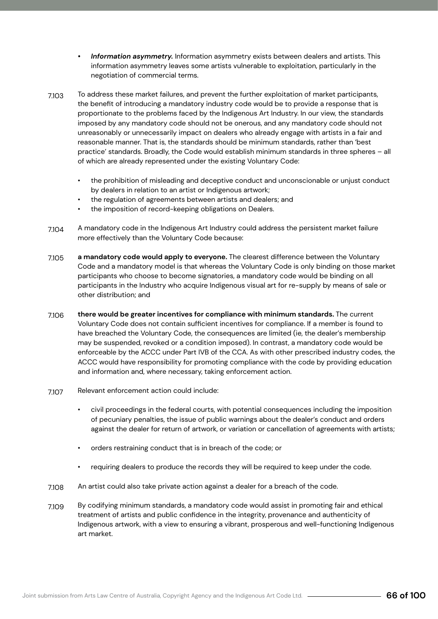- *• Information asymmetry.* Information asymmetry exists between dealers and artists. This information asymmetry leaves some artists vulnerable to exploitation, particularly in the negotiation of commercial terms.
- To address these market failures, and prevent the further exploitation of market participants, the benefit of introducing a mandatory industry code would be to provide a response that is proportionate to the problems faced by the Indigenous Art Industry. In our view, the standards imposed by any mandatory code should not be onerous, and any mandatory code should not unreasonably or unnecessarily impact on dealers who already engage with artists in a fair and reasonable manner. That is, the standards should be minimum standards, rather than 'best practice' standards. Broadly, the Code would establish minimum standards in three spheres – all of which are already represented under the existing Voluntary Code: 7.103
	- the prohibition of misleading and deceptive conduct and unconscionable or unjust conduct by dealers in relation to an artist or Indigenous artwork;
	- the regulation of agreements between artists and dealers; and
	- the imposition of record-keeping obligations on Dealers.
- A mandatory code in the Indigenous Art Industry could address the persistent market failure more effectively than the Voluntary Code because: 7.104
- **a mandatory code would apply to everyone.** The clearest difference between the Voluntary Code and a mandatory model is that whereas the Voluntary Code is only binding on those market participants who choose to become signatories, a mandatory code would be binding on all participants in the Industry who acquire Indigenous visual art for re-supply by means of sale or other distribution; and 7.105
- **there would be greater incentives for compliance with minimum standards.** The current Voluntary Code does not contain sufficient incentives for compliance. If a member is found to have breached the Voluntary Code, the consequences are limited (ie, the dealer's membership may be suspended, revoked or a condition imposed). In contrast, a mandatory code would be enforceable by the ACCC under Part IVB of the CCA. As with other prescribed industry codes, the ACCC would have responsibility for promoting compliance with the code by providing education and information and, where necessary, taking enforcement action. 7.106
- Relevant enforcement action could include: 7.107
	- civil proceedings in the federal courts, with potential consequences including the imposition of pecuniary penalties, the issue of public warnings about the dealer's conduct and orders against the dealer for return of artwork, or variation or cancellation of agreements with artists;
	- orders restraining conduct that is in breach of the code; or
	- requiring dealers to produce the records they will be required to keep under the code.
- An artist could also take private action against a dealer for a breach of the code. 7.108
- By codifying minimum standards, a mandatory code would assist in promoting fair and ethical treatment of artists and public confidence in the integrity, provenance and authenticity of Indigenous artwork, with a view to ensuring a vibrant, prosperous and well-functioning Indigenous art market. 7.109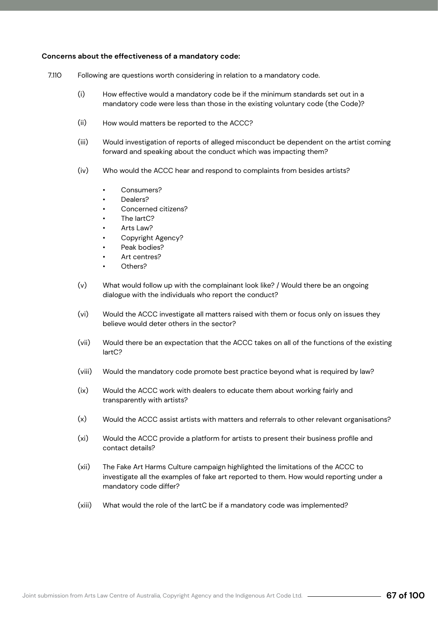### **Concerns about the effectiveness of a mandatory code:**

- Following are questions worth considering in relation to a mandatory code. 7.110
	- How effective would a mandatory code be if the minimum standards set out in a mandatory code were less than those in the existing voluntary code (the Code)? (i)
	- How would matters be reported to the ACCC? (ii)
	- Would investigation of reports of alleged misconduct be dependent on the artist coming forward and speaking about the conduct which was impacting them? (iii)
	- Who would the ACCC hear and respond to complaints from besides artists? (iv)
		- Consumers?
		- Dealers?
		- Concerned citizens?
		- The lartC?
		- Arts Law?
		- Copyright Agency?
		- Peak bodies?
		- Art centres?
		- Others?
	- What would follow up with the complainant look like? / Would there be an ongoing dialogue with the individuals who report the conduct? (v)
	- Would the ACCC investigate all matters raised with them or focus only on issues they believe would deter others in the sector? (vi)
	- Would there be an expectation that the ACCC takes on all of the functions of the existing IartC? (vii)
	- Would the mandatory code promote best practice beyond what is required by law? (viii)
	- Would the ACCC work with dealers to educate them about working fairly and transparently with artists?  $(ix)$
	- Would the ACCC assist artists with matters and referrals to other relevant organisations?  $(x)$
	- Would the ACCC provide a platform for artists to present their business profile and contact details? (xi)
	- The Fake Art Harms Culture campaign highlighted the limitations of the ACCC to investigate all the examples of fake art reported to them. How would reporting under a mandatory code differ? (xii)
	- What would the role of the IartC be if a mandatory code was implemented? (xiii)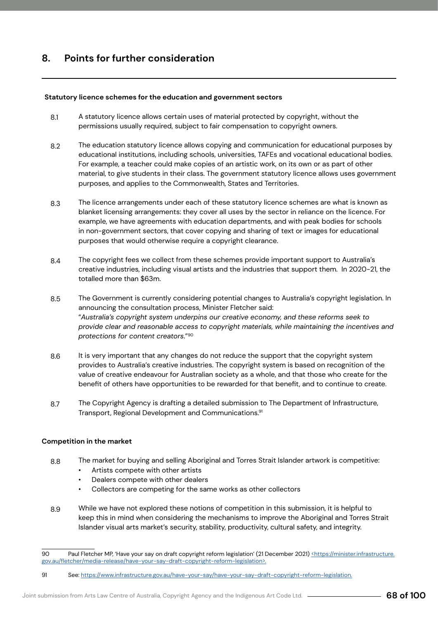### **Statutory licence schemes for the education and government sectors**

- A statutory licence allows certain uses of material protected by copyright, without the permissions usually required, subject to fair compensation to copyright owners. 8.1
- The education statutory licence allows copying and communication for educational purposes by educational institutions, including schools, universities, TAFEs and vocational educational bodies. For example, a teacher could make copies of an artistic work, on its own or as part of other material, to give students in their class. The government statutory licence allows uses government purposes, and applies to the Commonwealth, States and Territories. 8.2
- The licence arrangements under each of these statutory licence schemes are what is known as blanket licensing arrangements: they cover all uses by the sector in reliance on the licence. For example, we have agreements with education departments, and with peak bodies for schools in non-government sectors, that cover copying and sharing of text or images for educational purposes that would otherwise require a copyright clearance. 8.3
- The copyright fees we collect from these schemes provide important support to Australia's creative industries, including visual artists and the industries that support them. In 2020-21, the totalled more than \$63m. 8.4
- The Government is currently considering potential changes to Australia's copyright legislation. In announcing the consultation process, Minister Fletcher said: "*Australia's copyright system underpins our creative economy, and these reforms seek to provide clear and reasonable access to copyright materials, while maintaining the incentives and protections for content creators*."90 8.5
- It is very important that any changes do not reduce the support that the copyright system provides to Australia's creative industries. The copyright system is based on recognition of the value of creative endeavour for Australian society as a whole, and that those who create for the benefit of others have opportunities to be rewarded for that benefit, and to continue to create. 8.6
- The Copyright Agency is drafting a detailed submission to The Department of Infrastructure, Transport, Regional Development and Communications.91 8.7

#### **Competition in the market**

- The market for buying and selling Aboriginal and Torres Strait Islander artwork is competitive: 8.8
	- Artists compete with other artists
	- Dealers compete with other dealers
	- Collectors are competing for the same works as other collectors
- While we have not explored these notions of competition in this submission, it is helpful to keep this in mind when considering the mechanisms to improve the Aboriginal and Torres Strait Islander visual arts market's security, stability, productivity, cultural safety, and integrity. 8.9

<sup>90</sup> Paul Fletcher MP, 'Have your say on draft copyright reform legislation' (21 December 2021) <https://minister.infrastructure. gov.au/fletcher/media-release/have-your-say-draft-copyright-reform-legislation>.

<sup>91</sup> See: https://www.infrastructure.gov.au/have-your-say/have-your-say-draft-copyright-reform-legislation.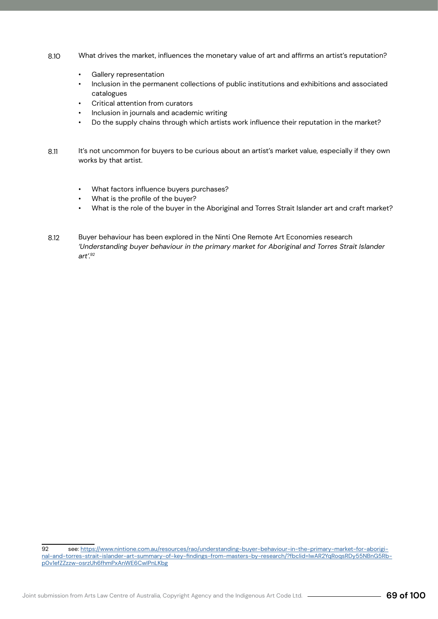- What drives the market, influences the monetary value of art and affirms an artist's reputation? 8.10
	- Gallery representation
	- Inclusion in the permanent collections of public institutions and exhibitions and associated catalogues
	- Critical attention from curators
	- Inclusion in journals and academic writing
	- Do the supply chains through which artists work influence their reputation in the market?
- It's not uncommon for buyers to be curious about an artist's market value, especially if they own works by that artist. 8.11
	- What factors influence buyers purchases?
	- What is the profile of the buyer?
	- What is the role of the buyer in the Aboriginal and Torres Strait Islander art and craft market?
- Buyer behaviour has been explored in the Ninti One Remote Art Economies research *'Understanding buyer behaviour in the primary market for Aboriginal and Torres Strait Islander art'.92* 8.12

<sup>92</sup> see: https://www.nintione.com.au/resources/rao/understanding-buyer-behaviour-in-the-primary-market-for-aboriginal-and-torres-strait-islander-art-summary-of-key-findings-from-masters-by-research/?fbclid=IwAR2YqRoqsRDy55NBnG5Rbp0v1efZZzzw-osrzUh6fhmPxAnWE6CwIPnLKbg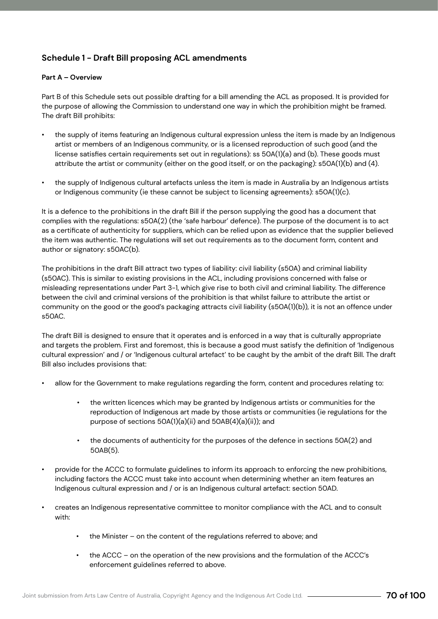## **Schedule 1 - Draft Bill proposing ACL amendments**

### **Part A – Overview**

Part B of this Schedule sets out possible drafting for a bill amending the ACL as proposed. It is provided for the purpose of allowing the Commission to understand one way in which the prohibition might be framed. The draft Bill prohibits:

- the supply of items featuring an Indigenous cultural expression unless the item is made by an Indigenous artist or members of an Indigenous community, or is a licensed reproduction of such good (and the license satisfies certain requirements set out in regulations): ss 50A(1)(a) and (b). These goods must attribute the artist or community (either on the good itself, or on the packaging): s50A(1)(b) and (4).
- the supply of Indigenous cultural artefacts unless the item is made in Australia by an Indigenous artists or Indigenous community (ie these cannot be subject to licensing agreements): s50A(1)(c).

It is a defence to the prohibitions in the draft Bill if the person supplying the good has a document that complies with the regulations: s50A(2) (the 'safe harbour' defence). The purpose of the document is to act as a certificate of authenticity for suppliers, which can be relied upon as evidence that the supplier believed the item was authentic. The regulations will set out requirements as to the document form, content and author or signatory: s50AC(b).

The prohibitions in the draft Bill attract two types of liability: civil liability (s50A) and criminal liability (s50AC). This is similar to existing provisions in the ACL, including provisions concerned with false or misleading representations under Part 3-1, which give rise to both civil and criminal liability. The difference between the civil and criminal versions of the prohibition is that whilst failure to attribute the artist or community on the good or the good's packaging attracts civil liability (s50A(1)(b)), it is not an offence under s50AC.

The draft Bill is designed to ensure that it operates and is enforced in a way that is culturally appropriate and targets the problem. First and foremost, this is because a good must satisfy the definition of 'Indigenous cultural expression' and / or 'Indigenous cultural artefact' to be caught by the ambit of the draft Bill. The draft Bill also includes provisions that:

- allow for the Government to make regulations regarding the form, content and procedures relating to:
	- the written licences which may be granted by Indigenous artists or communities for the reproduction of Indigenous art made by those artists or communities (ie regulations for the purpose of sections 50A(1)(a)(ii) and 50AB(4)(a)(ii)); and
	- the documents of authenticity for the purposes of the defence in sections 50A(2) and 50AB(5).
- provide for the ACCC to formulate guidelines to inform its approach to enforcing the new prohibitions, including factors the ACCC must take into account when determining whether an item features an Indigenous cultural expression and / or is an Indigenous cultural artefact: section 50AD.
- creates an Indigenous representative committee to monitor compliance with the ACL and to consult with:
	- the Minister on the content of the regulations referred to above; and
	- the ACCC on the operation of the new provisions and the formulation of the ACCC's enforcement guidelines referred to above.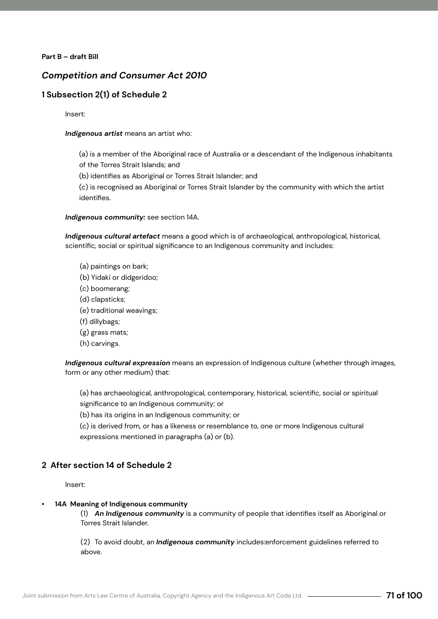### **Part B – draft Bill**

### *Competition and Consumer Act 2010*

### **1 Subsection 2(1) of Schedule 2**

Insert:

### *Indigenous artist* means an artist who:

(a) is a member of the Aboriginal race of Australia or a descendant of the Indigenous inhabitants of the Torres Strait Islands; and

(b) identifies as Aboriginal or Torres Strait Islander; and

(c) is recognised as Aboriginal or Torres Strait Islander by the community with which the artist identifies.

*Indigenous community:* see section 14A.

*Indigenous cultural artefact* means a good which is of archaeological, anthropological, historical, scientific, social or spiritual significance to an Indigenous community and includes:

- (a) paintings on bark;
- (b) Yidaki or didgeridoo;
- (c) boomerang;
- (d) clapsticks;
- (e) traditional weavings;
- (f) dillybags;
- (g) grass mats;
- (h) carvings.

*Indigenous cultural expression* means an expression of Indigenous culture (whether through images, form or any other medium) that:

(a) has archaeological, anthropological, contemporary, historical, scientific, social or spiritual significance to an Indigenous community; or

(b) has its origins in an Indigenous community; or

(c) is derived from, or has a likeness or resemblance to, one or more Indigenous cultural expressions mentioned in paragraphs (a) or (b).

### **2 After section 14 of Schedule 2**

Insert:

### **• 14A Meaning of Indigenous community**

(1) *An Indigenous community* is a community of people that identifies itself as Aboriginal or Torres Strait Islander.

(2) To avoid doubt, an *Indigenous community* includes:enforcement guidelines referred to above.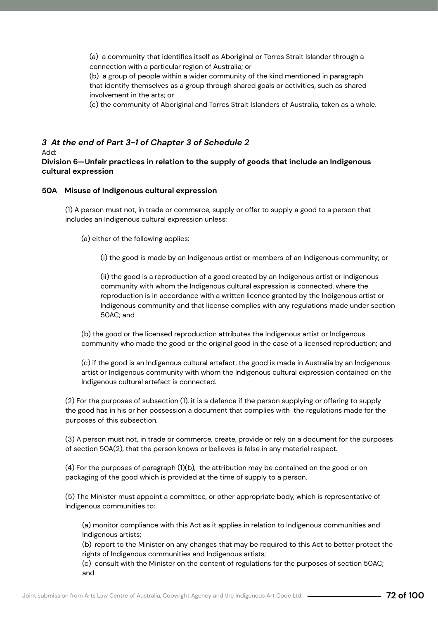(a) a community that identifies itself as Aboriginal or Torres Strait Islander through a connection with a particular region of Australia; or

(b) a group of people within a wider community of the kind mentioned in paragraph that identify themselves as a group through shared goals or activities, such as shared involvement in the arts; or

(c) the community of Aboriginal and Torres Strait Islanders of Australia, taken as a whole.

# *3 At the end of Part 3-1 of Chapter 3 of Schedule 2*

### Add:

**Division 6—Unfair practices in relation to the supply of goods that include an Indigenous cultural expression**

### **50A Misuse of Indigenous cultural expression**

(1) A person must not, in trade or commerce, supply or offer to supply a good to a person that includes an Indigenous cultural expression unless:

(a) either of the following applies:

(i) the good is made by an Indigenous artist or members of an Indigenous community; or

(ii) the good is a reproduction of a good created by an Indigenous artist or Indigenous community with whom the Indigenous cultural expression is connected, where the reproduction is in accordance with a written licence granted by the Indigenous artist or Indigenous community and that license complies with any regulations made under section 50AC; and

(b) the good or the licensed reproduction attributes the Indigenous artist or Indigenous community who made the good or the original good in the case of a licensed reproduction; and

(c) if the good is an Indigenous cultural artefact, the good is made in Australia by an Indigenous artist or Indigenous community with whom the Indigenous cultural expression contained on the Indigenous cultural artefact is connected.

(2) For the purposes of subsection (1), it is a defence if the person supplying or offering to supply the good has in his or her possession a document that complies with the regulations made for the purposes of this subsection.

(3) A person must not, in trade or commerce, create, provide or rely on a document for the purposes of section 50A(2), that the person knows or believes is false in any material respect.

(4) For the purposes of paragraph (1)(b), the attribution may be contained on the good or on packaging of the good which is provided at the time of supply to a person.

(5) The Minister must appoint a committee, or other appropriate body, which is representative of Indigenous communities to:

(a) monitor compliance with this Act as it applies in relation to Indigenous communities and Indigenous artists;

(b) report to the Minister on any changes that may be required to this Act to better protect the rights of Indigenous communities and Indigenous artists;

(c) consult with the Minister on the content of regulations for the purposes of section 50AC; and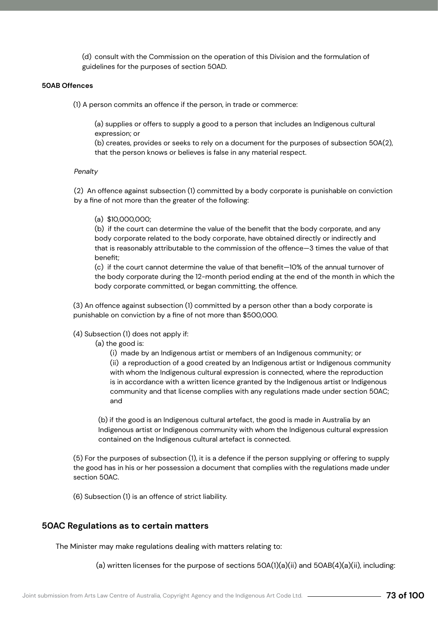(d) consult with the Commission on the operation of this Division and the formulation of guidelines for the purposes of section 50AD.

#### **50AB Offences**

(1) A person commits an offence if the person, in trade or commerce:

(a) supplies or offers to supply a good to a person that includes an Indigenous cultural expression; or

(b) creates, provides or seeks to rely on a document for the purposes of subsection 50A(2), that the person knows or believes is false in any material respect.

#### *Penalty*

(2) An offence against subsection (1) committed by a body corporate is punishable on conviction by a fine of not more than the greater of the following:

#### (a) \$10,000,000;

(b) if the court can determine the value of the benefit that the body corporate, and any body corporate related to the body corporate, have obtained directly or indirectly and that is reasonably attributable to the commission of the offence—3 times the value of that benefit;

(c) if the court cannot determine the value of that benefit—10% of the annual turnover of the body corporate during the 12-month period ending at the end of the month in which the body corporate committed, or began committing, the offence.

(3) An offence against subsection (1) committed by a person other than a body corporate is punishable on conviction by a fine of not more than \$500,000.

#### (4) Subsection (1) does not apply if:

(a) the good is:

(i) made by an Indigenous artist or members of an Indigenous community; or (ii) a reproduction of a good created by an Indigenous artist or Indigenous community with whom the Indigenous cultural expression is connected, where the reproduction is in accordance with a written licence granted by the Indigenous artist or Indigenous community and that license complies with any regulations made under section 50AC; and

(b) if the good is an Indigenous cultural artefact, the good is made in Australia by an Indigenous artist or Indigenous community with whom the Indigenous cultural expression contained on the Indigenous cultural artefact is connected.

(5) For the purposes of subsection (1), it is a defence if the person supplying or offering to supply the good has in his or her possession a document that complies with the regulations made under section 50AC.

(6) Subsection (1) is an offence of strict liability.

#### **50AC Regulations as to certain matters**

The Minister may make regulations dealing with matters relating to:

(a) written licenses for the purpose of sections  $50A(1)(a)(ii)$  and  $50AB(4)(a)(ii)$ , including: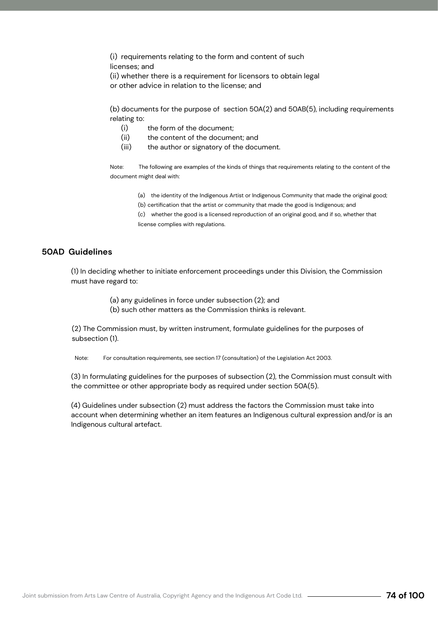(i) requirements relating to the form and content of such licenses; and

(ii) whether there is a requirement for licensors to obtain legal or other advice in relation to the license; and

(b) documents for the purpose of section 50A(2) and 50AB(5), including requirements relating to:

- (i) the form of the document;
- (ii) the content of the document; and
- (iii) the author or signatory of the document.

Note: The following are examples of the kinds of things that requirements relating to the content of the document might deal with:

(a) the identity of the Indigenous Artist or Indigenous Community that made the original good;

(b) certification that the artist or community that made the good is Indigenous; and

(c) whether the good is a licensed reproduction of an original good, and if so, whether that license complies with regulations.

#### **50AD Guidelines**

(1) In deciding whether to initiate enforcement proceedings under this Division, the Commission must have regard to:

(a) any guidelines in force under subsection (2); and

(b) such other matters as the Commission thinks is relevant.

(2) The Commission must, by written instrument, formulate guidelines for the purposes of subsection (1).

Note: For consultation requirements, see section 17 (consultation) of the Legislation Act 2003.

(3) In formulating guidelines for the purposes of subsection (2), the Commission must consult with the committee or other appropriate body as required under section 50A(5).

(4) Guidelines under subsection (2) must address the factors the Commission must take into account when determining whether an item features an Indigenous cultural expression and/or is an Indigenous cultural artefact.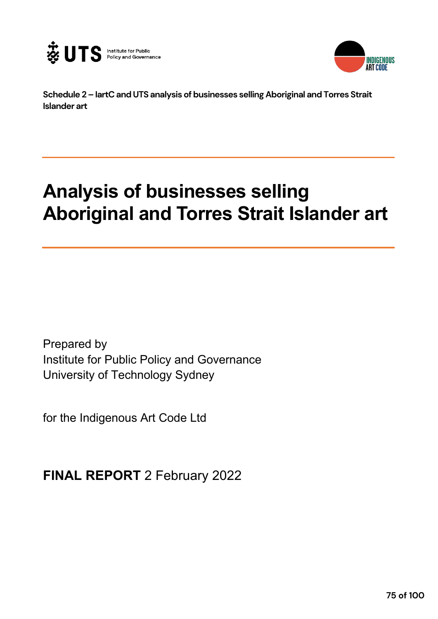



**Schedule 2 – IartC and UTS analysis of businesses selling Aboriginal and Torres Strait Islander art**

# **Analysis of businesses selling Aboriginal and Torres Strait Islander art**

Prepared by Institute for Public Policy and Governance University of Technology Sydney

for the Indigenous Art Code Ltd

**FINAL REPORT** 2 February 2022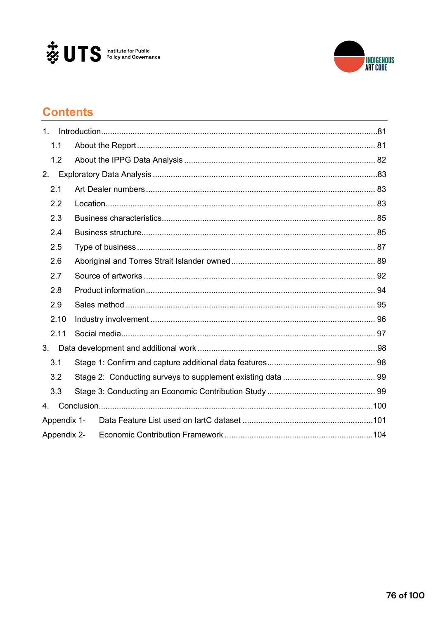



# **Contents**

| $\mathbf{1}$ . |  |
|----------------|--|
| 1.1            |  |
| 1.2            |  |
| 2.             |  |
| 2.1            |  |
| 2.2            |  |
| 2.3            |  |
| 2.4            |  |
| 2.5            |  |
| 2.6            |  |
| 2.7            |  |
| 2.8            |  |
| 2.9            |  |
| 2.10           |  |
| 2.11           |  |
| 3 <sub>1</sub> |  |
| 3.1            |  |
| 3.2            |  |
| 3.3            |  |
| 4.             |  |
| Appendix 1-    |  |
| Appendix 2-    |  |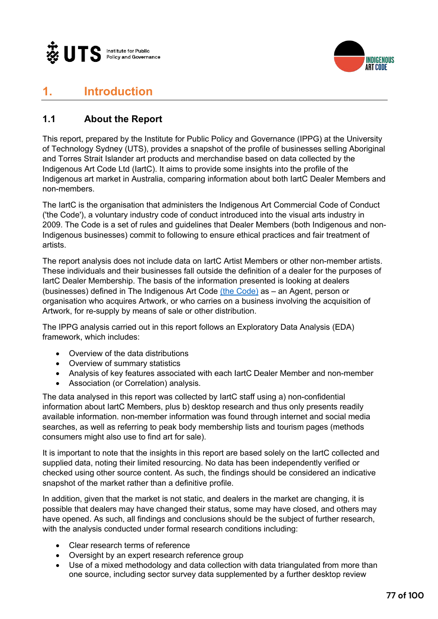



# **1. Introduction**

# **1.1 About the Report**

This report, prepared by the Institute for Public Policy and Governance (IPPG) at the University of Technology Sydney (UTS), provides a snapshot of the profile of businesses selling Aboriginal and Torres Strait Islander art products and merchandise based on data collected by the Indigenous Art Code Ltd (IartC). It aims to provide some insights into the profile of the Indigenous art market in Australia, comparing information about both IartC Dealer Members and non-members.

The IartC is the organisation that administers the Indigenous Art Commercial Code of Conduct ('the Code'), a voluntary industry code of conduct introduced into the visual arts industry in 2009. The Code is a set of rules and guidelines that Dealer Members (both Indigenous and non-Indigenous businesses) commit to following to ensure ethical practices and fair treatment of artists.

The report analysis does not include data on IartC Artist Members or other non-member artists. These individuals and their businesses fall outside the definition of a dealer for the purposes of IartC Dealer Membership. The basis of the information presented is looking at dealers (businesses) defined in The Indigenous Art Code (the Code) as – an Agent, person or organisation who acquires Artwork, or who carries on a business involving the acquisition of Artwork, for re-supply by means of sale or other distribution.

The IPPG analysis carried out in this report follows an Exploratory Data Analysis (EDA) framework, which includes:

- Overview of the data distributions
- Overview of summary statistics
- Analysis of key features associated with each IartC Dealer Member and non-member
- Association (or Correlation) analysis.

The data analysed in this report was collected by IartC staff using a) non-confidential information about IartC Members, plus b) desktop research and thus only presents readily available information. non-member information was found through internet and social media searches, as well as referring to peak body membership lists and tourism pages (methods consumers might also use to find art for sale).

It is important to note that the insights in this report are based solely on the IartC collected and supplied data, noting their limited resourcing. No data has been independently verified or checked using other source content. As such, the findings should be considered an indicative snapshot of the market rather than a definitive profile.

In addition, given that the market is not static, and dealers in the market are changing, it is possible that dealers may have changed their status, some may have closed, and others may have opened. As such, all findings and conclusions should be the subject of further research, with the analysis conducted under formal research conditions including:

- Clear research terms of reference
- Oversight by an expert research reference group
- Use of a mixed methodology and data collection with data triangulated from more than one source, including sector survey data supplemented by a further desktop review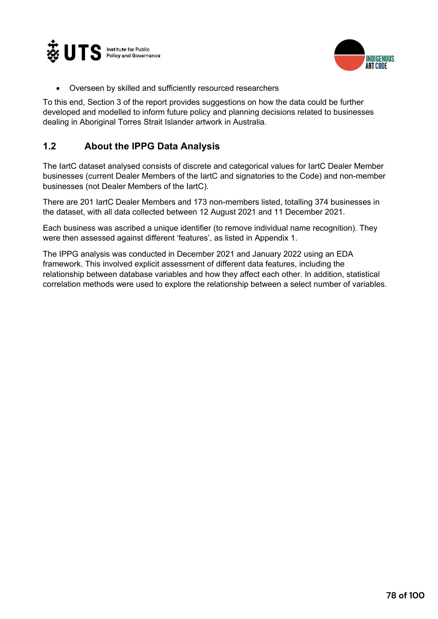



• Overseen by skilled and sufficiently resourced researchers

To this end, Section 3 of the report provides suggestions on how the data could be further developed and modelled to inform future policy and planning decisions related to businesses dealing in Aboriginal Torres Strait Islander artwork in Australia.

### **1.2 About the IPPG Data Analysis**

The IartC dataset analysed consists of discrete and categorical values for IartC Dealer Member businesses (current Dealer Members of the IartC and signatories to the Code) and non-member businesses (not Dealer Members of the IartC).

There are 201 IartC Dealer Members and 173 non-members listed, totalling 374 businesses in the dataset, with all data collected between 12 August 2021 and 11 December 2021.

Each business was ascribed a unique identifier (to remove individual name recognition). They were then assessed against different 'features', as listed in Appendix 1.

The IPPG analysis was conducted in December 2021 and January 2022 using an EDA framework. This involved explicit assessment of different data features, including the relationship between database variables and how they affect each other. In addition, statistical correlation methods were used to explore the relationship between a select number of variables.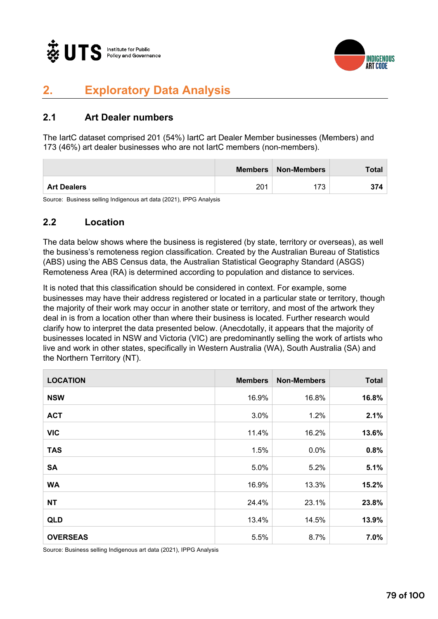



# **2. Exploratory Data Analysis**

## **2.1 Art Dealer numbers**

The IartC dataset comprised 201 (54%) IartC art Dealer Member businesses (Members) and 173 (46%) art dealer businesses who are not IartC members (non-members).

|                    | <b>Members</b> | Non-Members | Total |
|--------------------|----------------|-------------|-------|
| <b>Art Dealers</b> | 201            | 72          |       |

Source: Business selling Indigenous art data (2021), IPPG Analysis

#### **2.2 Location**

The data below shows where the business is registered (by state, territory or overseas), as well the business's remoteness region classification. Created by the Australian Bureau of Statistics (ABS) using the ABS Census data, the Australian Statistical Geography Standard (ASGS) Remoteness Area (RA) is determined according to population and distance to services.

It is noted that this classification should be considered in context. For example, some businesses may have their address registered or located in a particular state or territory, though the majority of their work may occur in another state or territory, and most of the artwork they deal in is from a location other than where their business is located. Further research would clarify how to interpret the data presented below. (Anecdotally, it appears that the majority of businesses located in NSW and Victoria (VIC) are predominantly selling the work of artists who live and work in other states, specifically in Western Australia (WA), South Australia (SA) and the Northern Territory (NT).

| <b>LOCATION</b> | <b>Members</b> | <b>Non-Members</b> | <b>Total</b> |
|-----------------|----------------|--------------------|--------------|
| <b>NSW</b>      | 16.9%          | 16.8%              | 16.8%        |
| <b>ACT</b>      | 3.0%           | 1.2%               | 2.1%         |
| <b>VIC</b>      | 11.4%          | 16.2%              | 13.6%        |
| <b>TAS</b>      | 1.5%           | 0.0%               | 0.8%         |
| <b>SA</b>       | 5.0%           | 5.2%               | 5.1%         |
| <b>WA</b>       | 16.9%          | 13.3%              | 15.2%        |
| <b>NT</b>       | 24.4%          | 23.1%              | 23.8%        |
| <b>QLD</b>      | 13.4%          | 14.5%              | 13.9%        |
| <b>OVERSEAS</b> | 5.5%           | 8.7%               | 7.0%         |

Source: Business selling Indigenous art data (2021), IPPG Analysis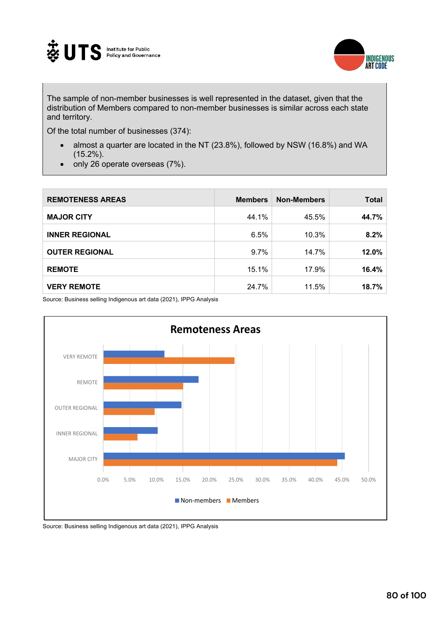



The sample of non-member businesses is well represented in the dataset, given that the distribution of Members compared to non-member businesses is similar across each state and territory.

Of the total number of businesses (374):

- almost a quarter are located in the NT (23.8%), followed by NSW (16.8%) and WA (15.2%).
- only 26 operate overseas (7%).

| <b>REMOTENESS AREAS</b> | <b>Members</b> | <b>Non-Members</b> | <b>Total</b> |
|-------------------------|----------------|--------------------|--------------|
| <b>MAJOR CITY</b>       | 44.1%          | 45.5%              | 44.7%        |
| <b>INNER REGIONAL</b>   | 6.5%           | 10.3%              | 8.2%         |
| <b>OUTER REGIONAL</b>   | 9.7%           | 14.7%              | 12.0%        |
| <b>REMOTE</b>           | 15.1%          | 17.9%              | 16.4%        |
| <b>VERY REMOTE</b>      | 24.7%          | 11.5%              | 18.7%        |

Source: Business selling Indigenous art data (2021), IPPG Analysis



Source: Business selling Indigenous art data (2021), IPPG Analysis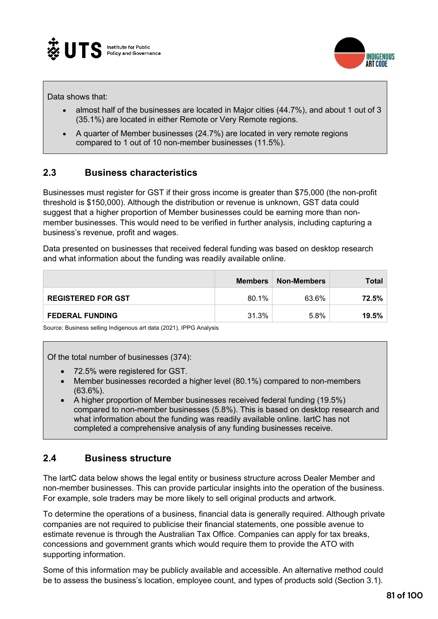



Data shows that:

- almost half of the businesses are located in Major cities (44.7%), and about 1 out of 3 (35.1%) are located in either Remote or Very Remote regions.
- A quarter of Member businesses (24.7%) are located in very remote regions compared to 1 out of 10 non-member businesses (11.5%).

#### **2.3 Business characteristics**

Businesses must register for GST if their gross income is greater than \$75,000 (the non-profit threshold is \$150,000). Although the distribution or revenue is unknown, GST data could suggest that a higher proportion of Member businesses could be earning more than nonmember businesses. This would need to be verified in further analysis, including capturing a business's revenue, profit and wages.

Data presented on businesses that received federal funding was based on desktop research and what information about the funding was readily available online.

|                           | <b>Members</b> | <b>Non-Members</b> | Total |
|---------------------------|----------------|--------------------|-------|
| <b>REGISTERED FOR GST</b> | 80.1%          | 63.6%              | 72.5% |
| <b>FEDERAL FUNDING</b>    | 31.3%          | 5.8%               | 19.5% |

Source: Business selling Indigenous art data (2021), IPPG Analysis

Of the total number of businesses (374):

- 72.5% were registered for GST.
- Member businesses recorded a higher level (80.1%) compared to non-members (63.6%).
- A higher proportion of Member businesses received federal funding (19.5%) compared to non-member businesses (5.8%). This is based on desktop research and what information about the funding was readily available online. IartC has not completed a comprehensive analysis of any funding businesses receive.

#### **2.4 Business structure**

The IartC data below shows the legal entity or business structure across Dealer Member and non-member businesses. This can provide particular insights into the operation of the business. For example, sole traders may be more likely to sell original products and artwork.

To determine the operations of a business, financial data is generally required. Although private companies are not required to publicise their financial statements, one possible avenue to estimate revenue is through the Australian Tax Office. Companies can apply for tax breaks, concessions and government grants which would require them to provide the ATO with supporting information.

Some of this information may be publicly available and accessible. An alternative method could be to assess the business's location, employee count, and types of products sold (Section 3.1).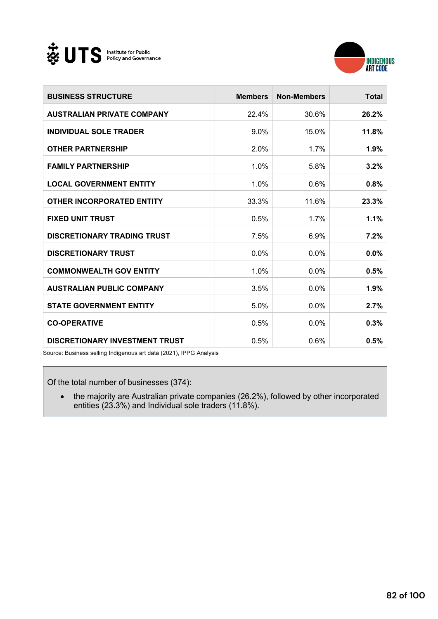



| <b>BUSINESS STRUCTURE</b>             | <b>Members</b> | <b>Non-Members</b> | <b>Total</b> |
|---------------------------------------|----------------|--------------------|--------------|
| <b>AUSTRALIAN PRIVATE COMPANY</b>     | 22.4%          | 30.6%              | 26.2%        |
| <b>INDIVIDUAL SOLE TRADER</b>         | $9.0\%$        | 15.0%              | 11.8%        |
| <b>OTHER PARTNERSHIP</b>              | 2.0%           | 1.7%               | 1.9%         |
| <b>FAMILY PARTNERSHIP</b>             | 1.0%           | 5.8%               | 3.2%         |
| <b>LOCAL GOVERNMENT ENTITY</b>        | 1.0%           | 0.6%               | 0.8%         |
| <b>OTHER INCORPORATED ENTITY</b>      | 33.3%          | 11.6%              | 23.3%        |
| <b>FIXED UNIT TRUST</b>               | 0.5%           | 1.7%               | 1.1%         |
| <b>DISCRETIONARY TRADING TRUST</b>    | 7.5%           | 6.9%               | 7.2%         |
| <b>DISCRETIONARY TRUST</b>            | 0.0%           | 0.0%               | 0.0%         |
| <b>COMMONWEALTH GOV ENTITY</b>        | 1.0%           | 0.0%               | 0.5%         |
| <b>AUSTRALIAN PUBLIC COMPANY</b>      | 3.5%           | 0.0%               | 1.9%         |
| <b>STATE GOVERNMENT ENTITY</b>        | 5.0%           | 0.0%               | 2.7%         |
| <b>CO-OPERATIVE</b>                   | 0.5%           | 0.0%               | 0.3%         |
| <b>DISCRETIONARY INVESTMENT TRUST</b> | 0.5%           | 0.6%               | 0.5%         |

Source: Business selling Indigenous art data (2021), IPPG Analysis

Of the total number of businesses (374):

• the majority are Australian private companies (26.2%), followed by other incorporated entities (23.3%) and Individual sole traders (11.8%).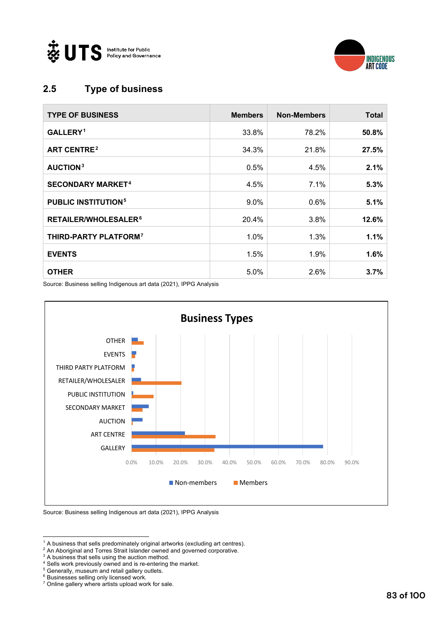



# **2.5 Type of business**

| <b>TYPE OF BUSINESS</b>               | <b>Members</b> | <b>Non-Members</b> | <b>Total</b> |
|---------------------------------------|----------------|--------------------|--------------|
| <b>GALLERY.1</b>                      | 33.8%          | 78.2%              | 50.8%        |
| <b>ART CENTRE<sup>2</sup></b>         | 34.3%          | 21.8%              | 27.5%        |
| AUCTION <sup>3</sup>                  | 0.5%           | 4.5%               | 2.1%         |
| <b>SECONDARY MARKET<sup>4</sup></b>   | 4.5%           | 7.1%               | 5.3%         |
| <b>PUBLIC INSTITUTION<sup>5</sup></b> | $9.0\%$        | 0.6%               | 5.1%         |
| RETAILER/WHOLESALER <sup>6</sup>      | 20.4%          | 3.8%               | 12.6%        |
| THIRD-PARTY PLATFORM <sup>7</sup>     | 1.0%           | 1.3%               | 1.1%         |
| <b>EVENTS</b>                         | 1.5%           | $1.9\%$            | 1.6%         |
| <b>OTHER</b>                          | 5.0%           | 2.6%               | 3.7%         |

Source: Business selling Indigenous art data (2021), IPPG Analysis



Source: Business selling Indigenous art data (2021), IPPG Analysis

<sup>6</sup> Businesses selling only licensed work.

<sup>&</sup>lt;sup>1</sup> A business that sells predominately original artworks (excluding art centres).

<sup>2</sup> An Aboriginal and Torres Strait Islander owned and governed corporative.

<sup>&</sup>lt;sup>3</sup> A business that sells using the auction method.

<sup>4</sup> Sells work previously owned and is re-entering the market.

<sup>5</sup> Generally, museum and retail gallery outlets.

<sup>7</sup> Online gallery where artists upload work for sale.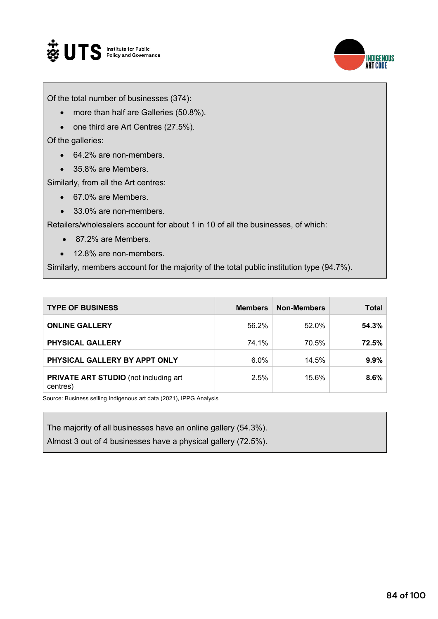



Of the total number of businesses (374):

- more than half are Galleries (50.8%).
- one third are Art Centres (27.5%).

Of the galleries:

- 64.2% are non-members.
- 35.8% are Members.

Similarly, from all the Art centres:

- 67.0% are Members.
- 33.0% are non-members.

Retailers/wholesalers account for about 1 in 10 of all the businesses, of which:

- 87.2% are Members.
- 12.8% are non-members.

Similarly, members account for the majority of the total public institution type (94.7%).

| <b>TYPE OF BUSINESS</b>                                  | <b>Members</b> | <b>Non-Members</b> | Total |
|----------------------------------------------------------|----------------|--------------------|-------|
| <b>ONLINE GALLERY</b>                                    | 56.2%          | 52.0%              | 54.3% |
| <b>PHYSICAL GALLERY</b>                                  | 74.1%          | 70.5%              | 72.5% |
| PHYSICAL GALLERY BY APPT ONLY                            | $6.0\%$        | 14.5%              | 9.9%  |
| <b>PRIVATE ART STUDIO</b> (not including art<br>centres) | 2.5%           | 15.6%              | 8.6%  |

Source: Business selling Indigenous art data (2021), IPPG Analysis

The majority of all businesses have an online gallery (54.3%).

Almost 3 out of 4 businesses have a physical gallery (72.5%).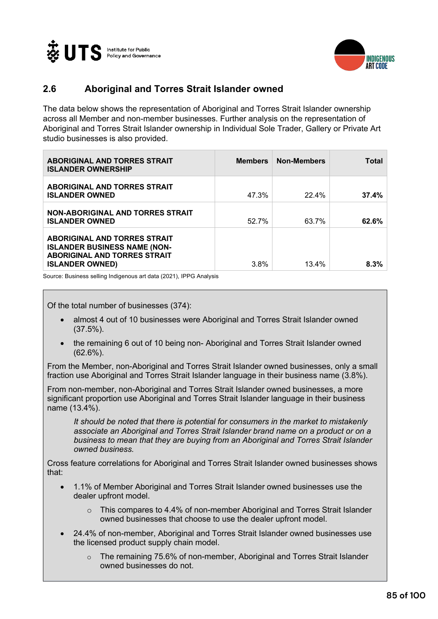



## **2.6 Aboriginal and Torres Strait Islander owned**

The data below shows the representation of Aboriginal and Torres Strait Islander ownership across all Member and non-member businesses. Further analysis on the representation of Aboriginal and Torres Strait Islander ownership in Individual Sole Trader, Gallery or Private Art studio businesses is also provided.

| <b>ABORIGINAL AND TORRES STRAIT</b><br><b>ISLANDER OWNERSHIP</b>                                                                            | <b>Members</b> | Non-Members | Total |
|---------------------------------------------------------------------------------------------------------------------------------------------|----------------|-------------|-------|
| <b>ABORIGINAL AND TORRES STRAIT</b><br><b>ISLANDER OWNED</b>                                                                                | 47.3%          | 22.4%       | 37.4% |
| <b>NON-ABORIGINAL AND TORRES STRAIT</b><br><b>ISLANDER OWNED</b>                                                                            | 52.7%          | 63.7%       | 62.6% |
| <b>ABORIGINAL AND TORRES STRAIT</b><br><b>ISLANDER BUSINESS NAME (NON-</b><br><b>ABORIGINAL AND TORRES STRAIT</b><br><b>ISLANDER OWNED)</b> | 3.8%           | 13.4%       | 8.3%  |

Source: Business selling Indigenous art data (2021), IPPG Analysis

Of the total number of businesses (374):

- almost 4 out of 10 businesses were Aboriginal and Torres Strait Islander owned (37.5%).
- the remaining 6 out of 10 being non- Aboriginal and Torres Strait Islander owned (62.6%).

From the Member, non-Aboriginal and Torres Strait Islander owned businesses, only a small fraction use Aboriginal and Torres Strait Islander language in their business name (3.8%).

From non-member, non-Aboriginal and Torres Strait Islander owned businesses, a more significant proportion use Aboriginal and Torres Strait Islander language in their business name (13.4%).

*It should be noted that there is potential for consumers in the market to mistakenly associate an Aboriginal and Torres Strait Islander brand name on a product or on a business to mean that they are buying from an Aboriginal and Torres Strait Islander owned business.* 

Cross feature correlations for Aboriginal and Torres Strait Islander owned businesses shows that:

- 1.1% of Member Aboriginal and Torres Strait Islander owned businesses use the dealer upfront model.
	- o This compares to 4.4% of non-member Aboriginal and Torres Strait Islander owned businesses that choose to use the dealer upfront model.
- 24.4% of non-member, Aboriginal and Torres Strait Islander owned businesses use the licensed product supply chain model.
	- The remaining 75.6% of non-member, Aboriginal and Torres Strait Islander owned businesses do not.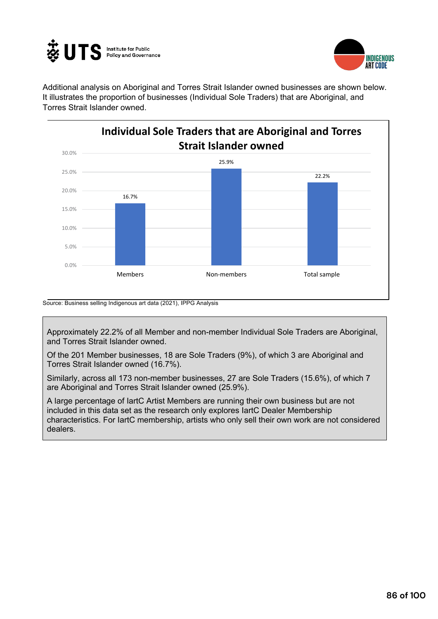



Additional analysis on Aboriginal and Torres Strait Islander owned businesses are shown below. It illustrates the proportion of businesses (Individual Sole Traders) that are Aboriginal, and Torres Strait Islander owned.



Source: Business selling Indigenous art data (2021), IPPG Analysis

Approximately 22.2% of all Member and non-member Individual Sole Traders are Aboriginal, and Torres Strait Islander owned.

Of the 201 Member businesses, 18 are Sole Traders (9%), of which 3 are Aboriginal and Torres Strait Islander owned (16.7%).

Similarly, across all 173 non-member businesses, 27 are Sole Traders (15.6%), of which 7 are Aboriginal and Torres Strait Islander owned (25.9%).

A large percentage of IartC Artist Members are running their own business but are not included in this data set as the research only explores IartC Dealer Membership characteristics. For IartC membership, artists who only sell their own work are not considered dealers.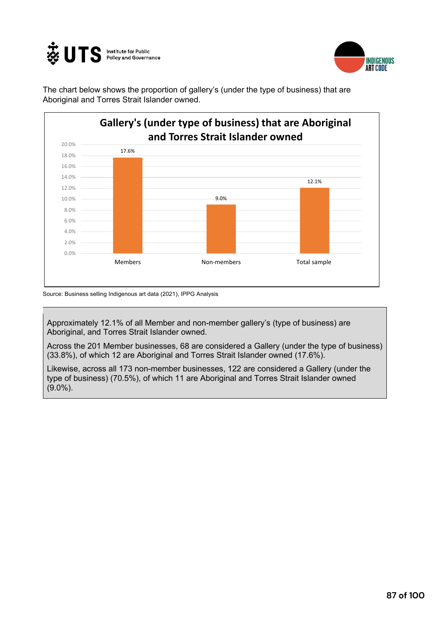



The chart below shows the proportion of gallery's (under the type of business) that are Aboriginal and Torres Strait Islander owned.



Source: Business selling Indigenous art data (2021), IPPG Analysis

Approximately 12.1% of all Member and non-member gallery's (type of business) are Aboriginal, and Torres Strait Islander owned.

Across the 201 Member businesses, 68 are considered a Gallery (under the type of business) (33.8%), of which 12 are Aboriginal and Torres Strait Islander owned (17.6%).

Likewise, across all 173 non-member businesses, 122 are considered a Gallery (under the type of business) (70.5%), of which 11 are Aboriginal and Torres Strait Islander owned (9.0%).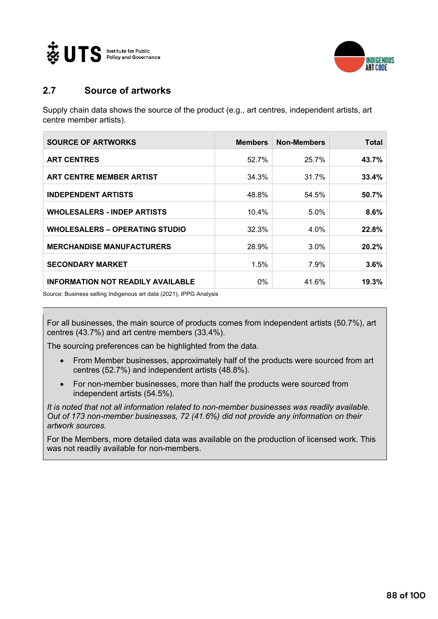



### **2.7 Source of artworks**

Supply chain data shows the source of the product (e.g., art centres, independent artists, art centre member artists).

| <b>SOURCE OF ARTWORKS</b>                | <b>Members</b> | <b>Non-Members</b> | Total |
|------------------------------------------|----------------|--------------------|-------|
| <b>ART CENTRES</b>                       | 52.7%          | 25.7%              | 43.7% |
| <b>ART CENTRE MEMBER ARTIST</b>          | 34.3%          | 31.7%              | 33.4% |
| <b>INDEPENDENT ARTISTS</b>               | 48.8%          | 54.5%              | 50.7% |
| <b>WHOLESALERS - INDEP ARTISTS</b>       | 10.4%          | $5.0\%$            | 8.6%  |
| <b>WHOLESALERS - OPERATING STUDIO</b>    | 32.3%          | $4.0\%$            | 22.8% |
| <b>MERCHANDISE MANUFACTURERS</b>         | 28.9%          | $3.0\%$            | 20.2% |
| <b>SECONDARY MARKET</b>                  | 1.5%           | 7.9%               | 3.6%  |
| <b>INFORMATION NOT READILY AVAILABLE</b> | 0%             | 41.6%              | 19.3% |

Source: Business selling Indigenous art data (2021), IPPG Analysis

For all businesses, the main source of products comes from independent artists (50.7%), art centres (43.7%) and art centre members (33.4%).

The sourcing preferences can be highlighted from the data.

- From Member businesses, approximately half of the products were sourced from art centres (52.7%) and independent artists (48.8%).
- For non-member businesses, more than half the products were sourced from independent artists (54.5%).

*It is noted that not all information related to non-member businesses was readily available. Out of 173 non-member businesses, 72 (41.6%) did not provide any information on their artwork sources.* 

For the Members, more detailed data was available on the production of licensed work. This was not readily available for non-members.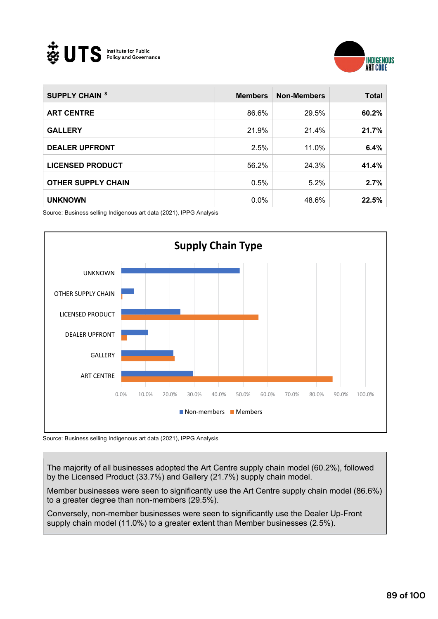



| <b>SUPPLY CHAIN 8</b>     | <b>Members</b> | <b>Non-Members</b> | <b>Total</b> |
|---------------------------|----------------|--------------------|--------------|
| <b>ART CENTRE</b>         | 86.6%          | 29.5%              | 60.2%        |
| <b>GALLERY</b>            | 21.9%          | 21.4%              | 21.7%        |
| <b>DEALER UPFRONT</b>     | 2.5%           | 11.0%              | 6.4%         |
| <b>LICENSED PRODUCT</b>   | 56.2%          | 24.3%              | 41.4%        |
| <b>OTHER SUPPLY CHAIN</b> | 0.5%           | $5.2\%$            | 2.7%         |
| <b>UNKNOWN</b>            | $0.0\%$        | 48.6%              | 22.5%        |

Source: Business selling Indigenous art data (2021), IPPG Analysis



Source: Business selling Indigenous art data (2021), IPPG Analysis

The majority of all businesses adopted the Art Centre supply chain model (60.2%), followed by the Licensed Product (33.7%) and Gallery (21.7%) supply chain model.

Member businesses were seen to significantly use the Art Centre supply chain model (86.6%) to a greater degree than non-members (29.5%).

Conversely, non-member businesses were seen to significantly use the Dealer Up-Front supply chain model (11.0%) to a greater extent than Member businesses (2.5%).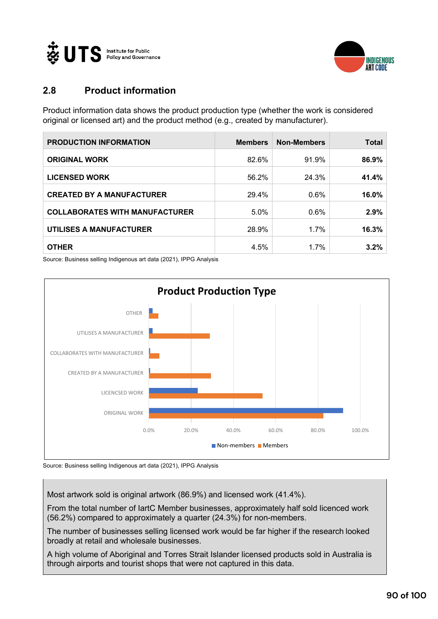



# **2.8 Product information**

Product information data shows the product production type (whether the work is considered original or licensed art) and the product method (e.g., created by manufacturer).

| <b>PRODUCTION INFORMATION</b>         | <b>Members</b> | <b>Non-Members</b> | <b>Total</b> |
|---------------------------------------|----------------|--------------------|--------------|
| <b>ORIGINAL WORK</b>                  | 82.6%          | 91.9%              | 86.9%        |
| <b>LICENSED WORK</b>                  | 56.2%          | 24.3%              | 41.4%        |
| <b>CREATED BY A MANUFACTURER</b>      | 29.4%          | 0.6%               | 16.0%        |
| <b>COLLABORATES WITH MANUFACTURER</b> | 5.0%           | 0.6%               | 2.9%         |
| UTILISES A MANUFACTURER               | 28.9%          | 1.7%               | 16.3%        |
| <b>OTHER</b>                          | 4.5%           | 1.7%               | 3.2%         |

Source: Business selling Indigenous art data (2021), IPPG Analysis



Source: Business selling Indigenous art data (2021), IPPG Analysis

Most artwork sold is original artwork (86.9%) and licensed work (41.4%).

From the total number of IartC Member businesses, approximately half sold licenced work (56.2%) compared to approximately a quarter (24.3%) for non-members.

The number of businesses selling licensed work would be far higher if the research looked broadly at retail and wholesale businesses.

A high volume of Aboriginal and Torres Strait Islander licensed products sold in Australia is through airports and tourist shops that were not captured in this data.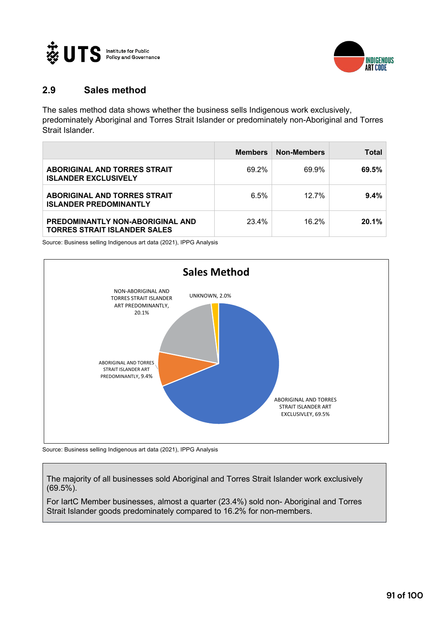



#### **2.9 Sales method**

The sales method data shows whether the business sells Indigenous work exclusively, predominately Aboriginal and Torres Strait Islander or predominately non-Aboriginal and Torres Strait Islander.

|                                                                                | <b>Members</b> | <b>Non-Members</b> | <b>Total</b> |
|--------------------------------------------------------------------------------|----------------|--------------------|--------------|
| <b>ABORIGINAL AND TORRES STRAIT</b><br><b>ISLANDER EXCLUSIVELY</b>             | 69.2%          | 69.9%              | 69.5%        |
| <b>ABORIGINAL AND TORRES STRAIT</b><br><b>ISLANDER PREDOMINANTLY</b>           | $6.5\%$        | $12.7\%$           | 9.4%         |
| <b>PREDOMINANTLY NON-ABORIGINAL AND</b><br><b>TORRES STRAIT ISLANDER SALES</b> | 23.4%          | 16.2%              | 20.1%        |

Source: Business selling Indigenous art data (2021), IPPG Analysis



Source: Business selling Indigenous art data (2021), IPPG Analysis

The majority of all businesses sold Aboriginal and Torres Strait Islander work exclusively (69.5%).

For IartC Member businesses, almost a quarter (23.4%) sold non- Aboriginal and Torres Strait Islander goods predominately compared to 16.2% for non-members.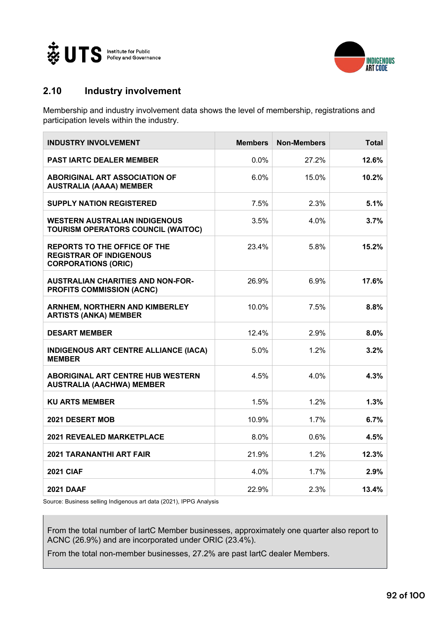



# **2.10 Industry involvement**

Membership and industry involvement data shows the level of membership, registrations and participation levels within the industry.

| <b>INDUSTRY INVOLVEMENT</b>                                                                         | <b>Members</b> | <b>Non-Members</b> | <b>Total</b> |
|-----------------------------------------------------------------------------------------------------|----------------|--------------------|--------------|
| <b>PAST IARTC DEALER MEMBER</b>                                                                     | 0.0%           | 27.2%              | 12.6%        |
| <b>ABORIGINAL ART ASSOCIATION OF</b><br><b>AUSTRALIA (AAAA) MEMBER</b>                              | 6.0%           | $15.0\%$           | 10.2%        |
| <b>SUPPLY NATION REGISTERED</b>                                                                     | 7.5%           | 2.3%               | 5.1%         |
| <b>WESTERN AUSTRALIAN INDIGENOUS</b><br><b>TOURISM OPERATORS COUNCIL (WAITOC)</b>                   | 3.5%           | 4.0%               | 3.7%         |
| <b>REPORTS TO THE OFFICE OF THE</b><br><b>REGISTRAR OF INDIGENOUS</b><br><b>CORPORATIONS (ORIC)</b> | 23.4%          | 5.8%               | 15.2%        |
| <b>AUSTRALIAN CHARITIES AND NON-FOR-</b><br><b>PROFITS COMMISSION (ACNC)</b>                        | 26.9%          | 6.9%               | 17.6%        |
| <b>ARNHEM, NORTHERN AND KIMBERLEY</b><br><b>ARTISTS (ANKA) MEMBER</b>                               | 10.0%          | 7.5%               | 8.8%         |
| <b>DESART MEMBER</b>                                                                                | 12.4%          | 2.9%               | 8.0%         |
| <b>INDIGENOUS ART CENTRE ALLIANCE (IACA)</b><br><b>MEMBER</b>                                       | 5.0%           | 1.2%               | 3.2%         |
| <b>ABORIGINAL ART CENTRE HUB WESTERN</b><br><b>AUSTRALIA (AACHWA) MEMBER</b>                        | 4.5%           | 4.0%               | 4.3%         |
| <b>KU ARTS MEMBER</b>                                                                               | 1.5%           | 1.2%               | 1.3%         |
| 2021 DESERT MOB                                                                                     | 10.9%          | 1.7%               | 6.7%         |
| <b>2021 REVEALED MARKETPLACE</b>                                                                    | 8.0%           | 0.6%               | 4.5%         |
| <b>2021 TARANANTHI ART FAIR</b>                                                                     | 21.9%          | 1.2%               | 12.3%        |
| <b>2021 CIAF</b>                                                                                    | 4.0%           | 1.7%               | 2.9%         |
| <b>2021 DAAF</b>                                                                                    | 22.9%          | 2.3%               | 13.4%        |

Source: Business selling Indigenous art data (2021), IPPG Analysis

From the total number of IartC Member businesses, approximately one quarter also report to ACNC (26.9%) and are incorporated under ORIC (23.4%).

From the total non-member businesses, 27.2% are past IartC dealer Members.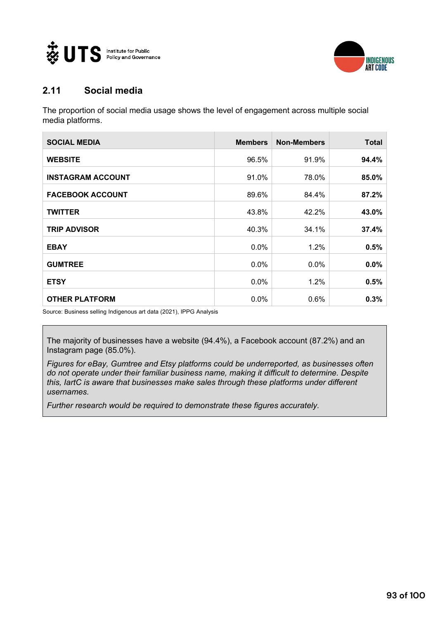



### **2.11 Social media**

The proportion of social media usage shows the level of engagement across multiple social media platforms.

| <b>SOCIAL MEDIA</b>      | <b>Members</b> | <b>Non-Members</b> | Total |
|--------------------------|----------------|--------------------|-------|
| <b>WEBSITE</b>           | 96.5%          | 91.9%              | 94.4% |
| <b>INSTAGRAM ACCOUNT</b> | 91.0%          | 78.0%              | 85.0% |
| <b>FACEBOOK ACCOUNT</b>  | 89.6%          | 84.4%              | 87.2% |
| <b>TWITTER</b>           | 43.8%          | 42.2%              | 43.0% |
| <b>TRIP ADVISOR</b>      | 40.3%          | 34.1%              | 37.4% |
| <b>EBAY</b>              | $0.0\%$        | 1.2%               | 0.5%  |
| <b>GUMTREE</b>           | $0.0\%$        | $0.0\%$            | 0.0%  |
| <b>ETSY</b>              | $0.0\%$        | 1.2%               | 0.5%  |
| <b>OTHER PLATFORM</b>    | $0.0\%$        | 0.6%               | 0.3%  |

Source: Business selling Indigenous art data (2021), IPPG Analysis

The majority of businesses have a website (94.4%), a Facebook account (87.2%) and an Instagram page (85.0%).

*Figures for eBay, Gumtree and Etsy platforms could be underreported, as businesses often do not operate under their familiar business name, making it difficult to determine. Despite this, IartC is aware that businesses make sales through these platforms under different usernames.* 

*Further research would be required to demonstrate these figures accurately.*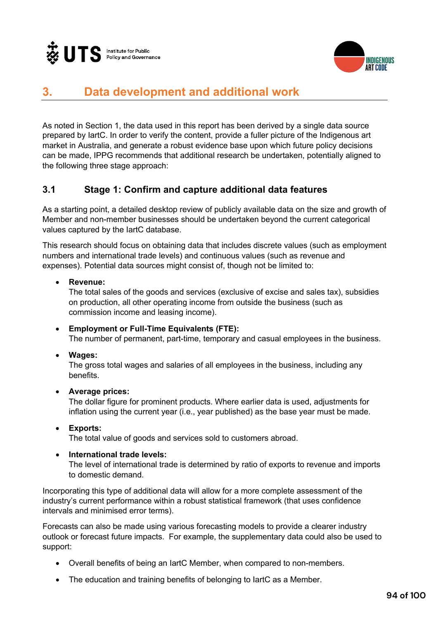



# **3. Data development and additional work**

As noted in Section 1, the data used in this report has been derived by a single data source prepared by IartC. In order to verify the content, provide a fuller picture of the Indigenous art market in Australia, and generate a robust evidence base upon which future policy decisions can be made, IPPG recommends that additional research be undertaken, potentially aligned to the following three stage approach:

#### **3.1 Stage 1: Confirm and capture additional data features**

As a starting point, a detailed desktop review of publicly available data on the size and growth of Member and non-member businesses should be undertaken beyond the current categorical values captured by the IartC database.

This research should focus on obtaining data that includes discrete values (such as employment numbers and international trade levels) and continuous values (such as revenue and expenses). Potential data sources might consist of, though not be limited to:

#### • **Revenue:**

The total sales of the goods and services (exclusive of excise and sales tax), subsidies on production, all other operating income from outside the business (such as commission income and leasing income).

#### • **Employment or Full-Time Equivalents (FTE):** The number of permanent, part-time, temporary and casual employees in the business.

• **Wages:**

The gross total wages and salaries of all employees in the business, including any benefits.

#### • **Average prices:**

The dollar figure for prominent products. Where earlier data is used, adjustments for inflation using the current year (i.e., year published) as the base year must be made.

#### • **Exports:**

The total value of goods and services sold to customers abroad.

#### • **International trade levels:**

The level of international trade is determined by ratio of exports to revenue and imports to domestic demand.

Incorporating this type of additional data will allow for a more complete assessment of the industry's current performance within a robust statistical framework (that uses confidence intervals and minimised error terms).

Forecasts can also be made using various forecasting models to provide a clearer industry outlook or forecast future impacts. For example, the supplementary data could also be used to support:

- Overall benefits of being an IartC Member, when compared to non-members.
- The education and training benefits of belonging to IartC as a Member.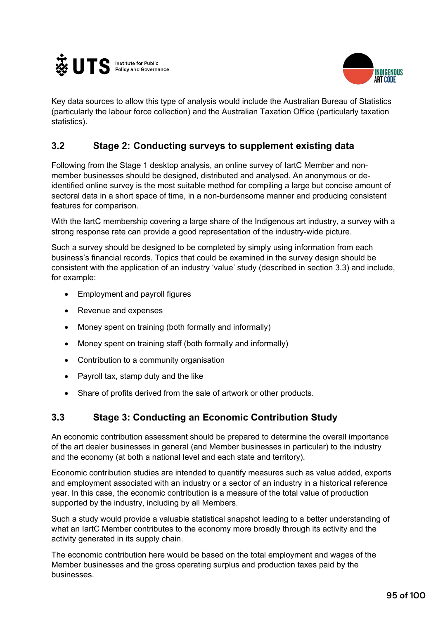



Key data sources to allow this type of analysis would include the Australian Bureau of Statistics (particularly the labour force collection) and the Australian Taxation Office (particularly taxation statistics).

## **3.2 Stage 2: Conducting surveys to supplement existing data**

Following from the Stage 1 desktop analysis, an online survey of IartC Member and nonmember businesses should be designed, distributed and analysed. An anonymous or deidentified online survey is the most suitable method for compiling a large but concise amount of sectoral data in a short space of time, in a non-burdensome manner and producing consistent features for comparison.

With the lartC membership covering a large share of the Indigenous art industry, a survey with a strong response rate can provide a good representation of the industry-wide picture.

Such a survey should be designed to be completed by simply using information from each business's financial records. Topics that could be examined in the survey design should be consistent with the application of an industry 'value' study (described in section 3.3) and include, for example:

- Employment and payroll figures
- Revenue and expenses
- Money spent on training (both formally and informally)
- Money spent on training staff (both formally and informally)
- Contribution to a community organisation
- Payroll tax, stamp duty and the like
- Share of profits derived from the sale of artwork or other products.

### **3.3 Stage 3: Conducting an Economic Contribution Study**

An economic contribution assessment should be prepared to determine the overall importance of the art dealer businesses in general (and Member businesses in particular) to the industry and the economy (at both a national level and each state and territory).

Economic contribution studies are intended to quantify measures such as value added, exports and employment associated with an industry or a sector of an industry in a historical reference year. In this case, the economic contribution is a measure of the total value of production supported by the industry, including by all Members.

Such a study would provide a valuable statistical snapshot leading to a better understanding of what an IartC Member contributes to the economy more broadly through its activity and the activity generated in its supply chain.

The economic contribution here would be based on the total employment and wages of the Member businesses and the gross operating surplus and production taxes paid by the businesses.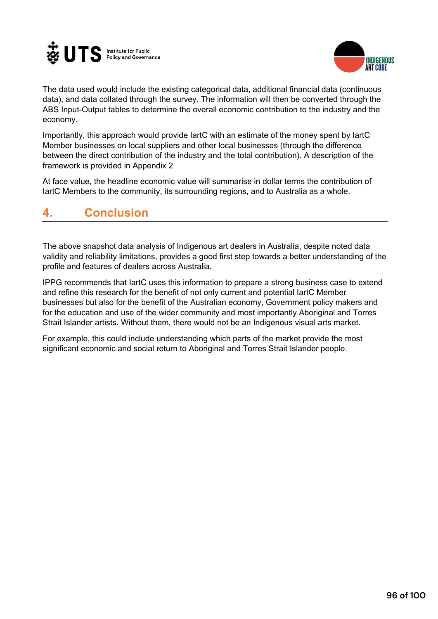



The data used would include the existing categorical data, additional financial data (continuous data), and data collated through the survey. The information will then be converted through the ABS Input-Output tables to determine the overall economic contribution to the industry and the economy.

Importantly, this approach would provide IartC with an estimate of the money spent by IartC Member businesses on local suppliers and other local businesses (through the difference between the direct contribution of the industry and the total contribution). A description of the framework is provided in Appendix 2

At face value, the headline economic value will summarise in dollar terms the contribution of IartC Members to the community, its surrounding regions, and to Australia as a whole.

# **4. Conclusion**

The above snapshot data analysis of Indigenous art dealers in Australia, despite noted data validity and reliability limitations, provides a good first step towards a better understanding of the profile and features of dealers across Australia.

IPPG recommends that IartC uses this information to prepare a strong business case to extend and refine this research for the benefit of not only current and potential IartC Member businesses but also for the benefit of the Australian economy, Government policy makers and for the education and use of the wider community and most importantly Aboriginal and Torres Strait Islander artists. Without them, there would not be an Indigenous visual arts market.

For example, this could include understanding which parts of the market provide the most significant economic and social return to Aboriginal and Torres Strait Islander people.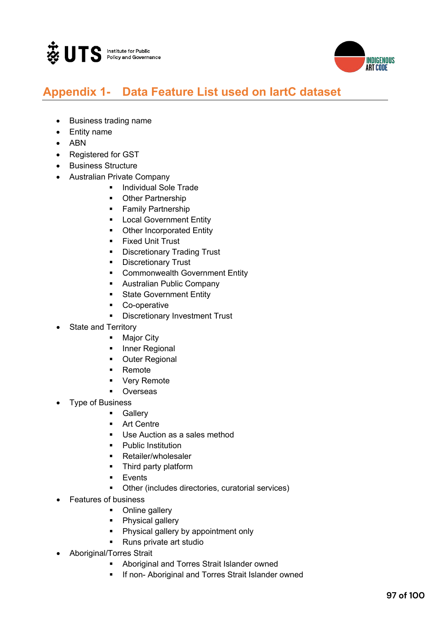



# **Appendix 1- Data Feature List used on IartC dataset**

- Business trading name
- Entity name
- ABN
- Registered for GST
- Business Structure
- Australian Private Company
	- Individual Sole Trade
	- **Other Partnership**
	- Family Partnership
	- **■** Local Government Entity
	- Other Incorporated Entity
	- **Fixed Unit Trust**
	- § Discretionary Trading Trust
	- **•** Discretionary Trust
	- **Commonwealth Government Entity**
	- **Australian Public Company**
	- **State Government Entity**
	- Co-operative
	- **•** Discretionary Investment Trust
- State and Territory
	- Major City
	- Inner Regional
	- **Outer Regional**
	- Remote
	- § Very Remote
	- **Overseas**
- Type of Business
	- **Gallery**
	- § Art Centre
	- Use Auction as a sales method
	- Public Institution
	- § Retailer/wholesaler
	- § Third party platform
	- Events
	- Other (includes directories, curatorial services)
- Features of business
	- Online gallery
	- Physical gallery
	- Physical gallery by appointment only
	- Runs private art studio
- Aboriginal/Torres Strait
	- § Aboriginal and Torres Strait Islander owned
	- **If non- Aboriginal and Torres Strait Islander owned**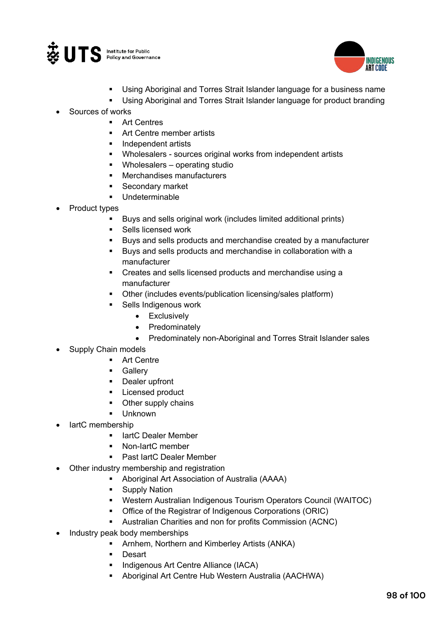



- Using Aboriginal and Torres Strait Islander language for a business name
- Using Aboriginal and Torres Strait Islander language for product branding
- Sources of works
	- Art Centres
	- § Art Centre member artists
	- § Independent artists
	- § Wholesalers sources original works from independent artists
	- § Wholesalers operating studio
	- § Merchandises manufacturers
	- § Secondary market
	- § Undeterminable
- Product types
	- Buys and sells original work (includes limited additional prints)
	- Sells licensed work
	- Buys and sells products and merchandise created by a manufacturer
	- § Buys and sells products and merchandise in collaboration with a manufacturer
	- § Creates and sells licensed products and merchandise using a manufacturer
	- Other (includes events/publication licensing/sales platform)
	- Sells Indigenous work
		- Exclusively
		- Predominately
		- Predominately non-Aboriginal and Torres Strait Islander sales
- Supply Chain models
	- Art Centre
	- Gallery
	- Dealer upfront
	- Licensed product
	- § Other supply chains
	- § Unknown
- lartC membership
	- IartC Dealer Member
	- § Non-IartC member
	- § Past IartC Dealer Member
- Other industry membership and registration
	- § Aboriginal Art Association of Australia (AAAA)
	- Supply Nation
	- § Western Australian Indigenous Tourism Operators Council (WAITOC)
	- Office of the Registrar of Indigenous Corporations (ORIC)
	- § Australian Charities and non for profits Commission (ACNC)
- Industry peak body memberships
	- Arnhem, Northern and Kimberley Artists (ANKA)
	- Desart
	- Indigenous Art Centre Alliance (IACA)
	- § Aboriginal Art Centre Hub Western Australia (AACHWA)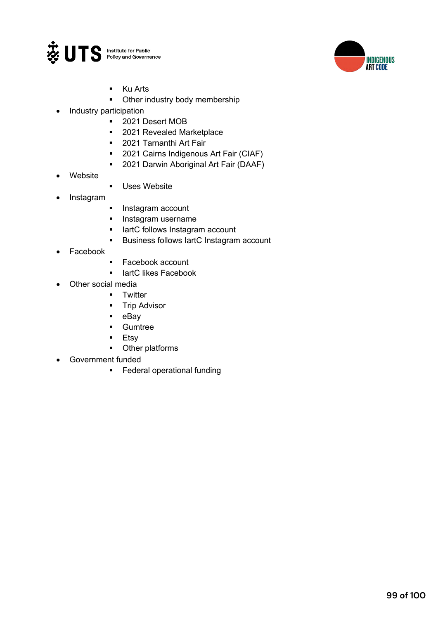



- § Ku Arts
- Other industry body membership
- Industry participation
	- § 2021 Desert MOB
	- 2021 Revealed Marketplace
	- § 2021 Tarnanthi Art Fair
	- 2021 Cairns Indigenous Art Fair (CIAF)
	- 2021 Darwin Aboriginal Art Fair (DAAF)
- **Website**
- **■** Uses Website
- Instagram
- **•** Instagram account
- **•** Instagram username
- **■** lartC follows Instagram account
- **■** Business follows lartC Instagram account
- **Facebook**
- Facebook account
- IartC likes Facebook
- Other social media
	- Twitter
		- **•** Trip Advisor
		- eBay
		- § Gumtree
		- § Etsy
		- Other platforms
- Government funded
	- § Federal operational funding